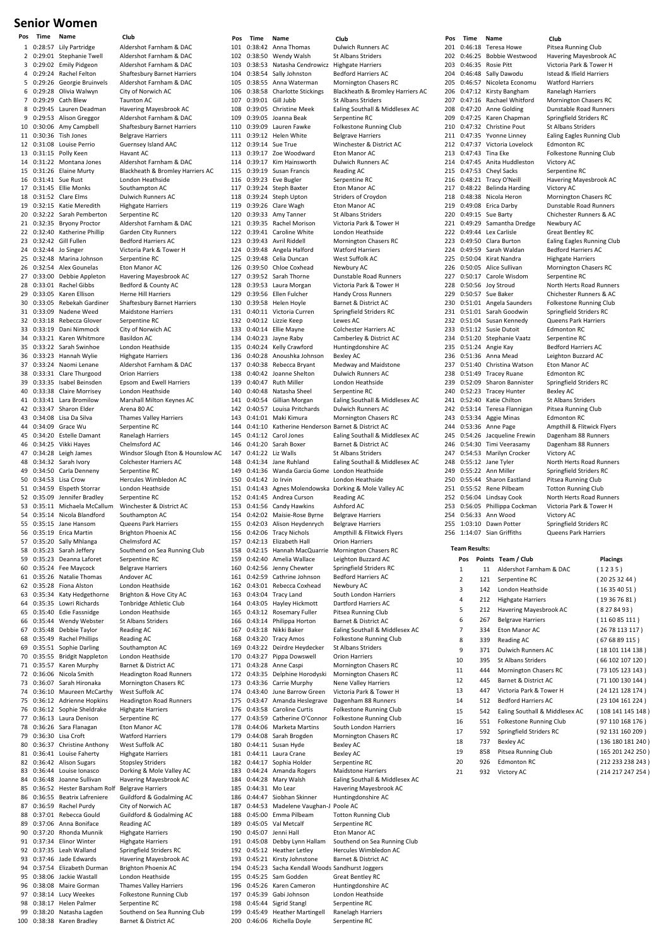## **Senior Women**

1 0:28:57 Lily Partridge Aldershot Farnham & DAC 2 0:29:01 Stephanie Twell Aldershot Farnham & DAC 3 0:29:02 Emily Pidgeon 4 0:29:24 Rachel Felton Shaftesbury Barnet Harriers 5 0:29:26 Georgie Bruinvels Aldershot Farnham & DAC<br>6 0:29:28 Olivia Walwyn City of Norwich AC 0:29:28 Olivia Walwyn 7 0:29:29 Cath Blew Taunton AC 8 0:29:45 Lauren Deadman Havering Mayesbrook AC 9 0:29:53 Alison Greggor<br>10 0:30:06 Amy Campbell 11 0:30:36 Tish Jones Belgrave Harriers<br>12 0:31:08 Louise Perrio Guernsey Island 13 0:31:15 Polly Keen Havant AC 14 0:31:22 Montana Jones Aldershot Farnham & DAC 15 0:31:26 Elaine Murty Blackheath & Bromley Harriers AC 0:31:41 Sue Rust London Heathside<br>0:31:45 Ellie Monks Southampton AC 17 0:31:45 Filie Monks 18 0:31:52 Clare Elms Dulwich Runners AC<br>19 0:32:15 Katie Meredith Highgate Harriers 19 0:32:15 Katie Meredith Highgate Harri<br>20 0:32:22 Sarah Pemberton Serpentine RC 0:32:22 Sarah Pemberton 21 0:32:35 Bryony Proctor Aldershot Farnham & DAC 22 0:32:40 Katherine Phillip Garden City Runners 23 0:32:42 Gill Fullen Bedford Harriers AC<br>24 0:32:44 Jo Singer Victoria Park & Towe 0:32:44 Jo Singer Victoria Park & Tower H<br>0:32:48 Marina Johnson Serpentine RC 25 0:32:48 Marina Johnson Serpentine RC<br>26 0:32:54 Alex Gounelas Fron Manor AC 26 0:32:54 Alex Gounelas<br>27 0:33:00 Debbie Appletor 28 0:33:01 Rachel Gibbs Bedford & County AC<br>29 0:33:05 Karen Ellison Herne Hill Harriers 29 0:33:05 Karen Ellison<br>30 0:33:05 Rebekah Gardine 30 0:33:05 Rebekah Gardiner Shaftesbury Barnet Harriers 32 0:33:18 Rebecca Glover 33 0:33:19 Dani Nimmock City of Norwich AC<br>34 0:33:21 Karen Whitmore Basildon AC 34 0:33:21 Karen Whitmore Basildon AC 35 0:33:22 Sarah Swinhoe 36 0:33:23 Hannah Wylie Highgate Harriers<br>37 0:33:24 Naomi Lenane Aldershot Farnha 38 0:33:31 Clare Thurgood Orion Harriers 39 0:33:35 Isabel Beinsden Epsom and Ewell I<br>40 0:33:38 Claire Morrisey London Heathside 40 0:33:38 Claire Morrisey<br>41 0:33:41 Lara Bromilow 42 0:33:47 Sharon Elder Arena 80 AC 43 0:34:08 Lisa Da Silva Thames Valley Harriers 44 0:34:09 Grace Wu Serpentine RC<br>45 0:34:20 Estelle Damant Banelagh Harr 46 0:34:25 Vikki Hayes 48 0:34:32 Sarah Ivory Colchester Harriers AC<br>49 0:34:50 Carla Denneny Serpentine RC 49 0:34:50 Carla Denneny<br>50 0:34:53 Lisa Crow 50 0:34:53 Lisa Crow Hercules Wimbledon AC<br>51 0:34:59 Elspeth Storrar London Heathside 51 0:34:59 Elspeth Storrar London Heaths<br>52 0:35:09 Jennifer Bradley Serpentine RC 0:35:09 Jennifer Bradley 53 0:35:11 Michaela McCallum Winchester & District AC<br>54 0:35:14 Nicola Blandford Southampton AC 54 0:35:14 Nicola Blandford Southampton AC<br>55 0:35:15 Jane Hansom Queens Park Harriers 0:35:15 Jane Hansom 56 0:35:19 Erica Martin Brighton Phoenix AC 57 0:35:20 Sally Mhlanga Chelmsford AC 58 0:35:23 Sarah Jeffery Southend on Sea Running Club<br>59 0:35:23 Deanna Laforet Serpentine RC 0:35:23 Deanna Laforet 60 0:35:24 Fee Maycock Belgrave Harriers 61 0:35:26 Natalie Thomas Andover AC 62 0:35:28 Fiona Alston London Heathside 63 0:35:34 Katy Hedgethorne Brighton & Hove City AC 64 0:35:35 Lowri Richards Tonbridge Athletic Club 65 0:35:40 Edie Fassnidge London Heathside 0:35:44 Wendy Webster 67 0:35:48 Debbie Taylor Reading AC 68 0:35:49 Rachel Phillips Reading AC<br>69 0:35:51 Sophie Darling Southampton AC 69 0:35:51 Sophie Darling<br>70 0:35:55 Bridgit Nappleton 70 0:35:55 Bridgit Nappleton London Heathside<br>71 0:35:57 Karen Murphy Barnet & District AC karen Murphy 72 0:36:06 Nicola Smith Headington Road Runners 73 0:36:07 Sarah Hironaka Mornington Chasers RC 74 0:36:10 Maureen McCarthy 75 0:36:12 Adrienne Hopkins Headington Road Runners<br>76 0:36:12 Sophie Sheldrake Highgate Harriers 76 0:36:12 Sophie Sheldrake 77 0:36:13 Laura Denison Serpentine RC 78 0:36:26 Sara Flanagan Eton Manor AC 79 0:36:30 Lisa Croft Watford Harrier<br>80 0:36:37 Christine Anthony West Suffolk AC 0:36:37 Christine Anthony West Suffolk AC<br>0:36:41 Louise Faherty Highgate Harriers 81 0:36:41 Louise Faherty 82 0:36:42 Alison Sugars Stopsley Striders 83 0:36:44 Louise Ionasco Dorking & Mole Valley AC<br>84 0:36:48 Joanne Sullivan Havering Mayesbrook AC 84 0:36:48 Joanne Sullivan 85 0:36:52 Hester Barsham Rolf Belgrave Harriers 86 0:36:55 Beatrix Lafreniere Guildford & Godalming AC 87 0:36:59 Rachel Purdy City of Norwich AC<br>88 0:37:01 Rebecca Gould Guildford & Godaln 0:37:01 Rebecca Gould<br>0:37:06 Anna Boniface Beading AC 89 0:37:06 Anna Boniface Reading AC<br>90 0:37:20 Rhonda Munnik Highgate Harriers 90 0:37:20 Rhonda Munnik<br>91 0:37:34 Elinor Winter 92 0:37:35 Leah Walland Springfield Striders RC 93 0:37:46 Jade Edwards Havering Mayesbrook AC<br>94 0:37:54 Elizabeth Durman Brighton Phoenix AC 94 0:37:54 Elizabeth Durman Brighton Phoenix<br>95 0:38:06 Jackie Wastall London Heathside 0:38:06 Jackie Wastall 96 0:38:08 Maire Gorman Thames Valley Harriers 97 0:38:14 Lucy Weekes Folkestone Running Club 98 0:38:17 Helen Palmer Serpentine RC<br>99 0:38:20 Natasha Lagden Southend on S 99 0:38:20 Natasha Lagden Southend on Sea Running Club 100 0:38:38 Karen Bradley Barnet & District AC

Shaftesbury Barnet Harriers Guernsey Island AAC Havering Mayesbrook AC Maidstone Harriers<br>Serpentine RC Aldershot Farnham & DAC Marshall Milton Keynes AC external damant Ranelagh Harriers<br>Chelmsford AC 47 0:34:28 Leigh James Windsor Slough Eton & Hounslow AC **Highgate Harriers** 

**Pos Time Name Club Pos Time Name Club Pos Time Name Club** 101 0:38:42 Anna Thomas Dulwich Runners AC<br>102 0:38:50 Wendy Walsh St Albans Striders 102 0:38:50 Wendy Walsh St Albans Striders<br>103 0:38:53 Natasha Cendrowicz Highgate Harriers 0:38:53 Natasha Cendrowicz 104 0:38:54 Sally Johnston Bedford Harriers AC 105 0:38:55 Anna Waterman Mornington Chasers RC 107 0:39:01 Gill Jubb St Albans Striders 108 0:39:05 Christine Meek Ealing Southall & Middlesex AC 109 0:39:05 Joanna Beak Serpentine RC 0:39:09 Lauren Fawke 111 0:39:12 Helen White Belgrave Harriers<br>112 0:39:14 Sue True Minchester & Dis 112 0:39:14 Sue True Winchester & District AC 113 0:39:17 Zoe Woodward Eton Manor AC 114 0:39:17 Kim Hainsworth Dulwich Runners AC<br>115 0:39:19 Susan Francis Reading AC 115 0:39:19 Susan Francis Reading AC<br>116 0:39:23 Eve Bugler Serpentine RC 116 0:39:23 Eve Bugler Serpentine RC<br>117 0:39:24 Steph Baxter Fton Manor AC  $0:39:24$  Steph Baxter 118 0:39:24 Steph Upton Striders of Croydon 119 0:39:26 Clare Wagh Eton Manor AC<br>120 0:39:33 Amy Tanner St Albans Striders 0:39:33 Amy Tanner 121 0:39:35 Rachel Morison Victoria Park & Tower H 122 0:39:41 Caroline White London Heathside 123 0:39:43 Avril Riddell Mornington Chasers RC<br>124 0:39:48 Angela Halford Watford Harriers 124 0:39:48 Angela Halford Watford Harrier<br>125 0:39:48 Celia Duncan West Suffolk AC  $0:39:48$  Celia Duncan 126 0:39:50 Chloe Coxhead Newbury AC<br>127 0:39:52 Sarah Thorne Dunstable Ro 128 0:39:53 Laura Morgan Victoria Park & Tower H 129 0:39:56 Ellen Fulcher Handy Cross Runners<br>130 0:39:58 Helen Hoyle Barnet & District AC 130 0:39:58 Helen Hoyle Barnet & District AC<br>131 0:40:11 Victoria Curren Springfield Striders RC 0:40:11 Victoria Curren 132 0:40:12 Lizzie Keep Lewes AC 133 0:40:14 Ellie Mayne Colchester Harriers AC<br>134 0:40:23 Jayne Raby Camberley & District A 134 0:40:23 Jayne Raby Camberley & District AC 135 0:40:24 Kelly Crawford 136 0:40:28 Anoushka Johnson Bexley AC<br>137 0:40:38 Rebecca Bryant Medway a 138 0:40:42 Joanne Shelton Dulwich Runners AC<br>139 0:40:47 Ruth Miller London Heathside 139 0:40:47 Ruth Miller London Heathside<br>140 0:40:48 Natasha Sheel Serpentine RC 140 0:40:48 Natasha Sheel<br>141 0:40:54 Gillian Morgan 142 0:40:57 Louisa Pritchards Dulwich Runners AC 143 0:41:01 Maki Kimura Mornington Chasers RC 144 0:41:10 Katherine Henderson Barnet & District AC 146 0:41:20 Sarah Boxer Barnet & District AC 147 0:41:22 Liz Walls St Albans Striders 148 0:41:34 Jane Ruhland Ealing Southall & Middlesex AC 149 0:41:36 Wanda Garcia Gome London Heathside 151 0:41:43 Agnes Molendowska Dorking & N<br>152 0:41:45 Andrea Curson Reading AC 152 0:41:45 Andrea Curson 153 0:41:56 Candy Hawkins Ashford AC<br>154 0:42:02 Maisie-Rose Byrne Belgrave Ha 154 0:42:02 Maisie‐Rose Byrne Belgrave Harriers Alison Heydenrych 156 0:42:06 Tracy Nichols Ampthill & Flitwick Flyers 157 0:42:13 Elizabeth Hall Orion Harriers<br>158 0:42:15 Hannah MacQuarrie Mornington Chasers RC 158 0:42:15 Hannah MacQuarrie Mornington Chasers 159 0:42:40 Amelia Wallace Leighton Buzzard AC 0:42:40 Amelia Wallace 160 0:42:56 Jenny Chewter Springfield Striders RC 161  $0:42:59$  Cathrine Johnson 162 0:43:01 Rebecca Coxhead Newbury AC 163 0:43:04 Tracy Land South London Harriers 164 0:43:05 Hayley Hickmott Dartford Harriers AC  $166$  0:43:14 Philippa Horton 167 0:43:18 Nikki Baker Ealing Southall & Middlesex AC 168 0:43:20 Tracy Amos Folkestone Running Club 169 0:43:22 Deirdre Heydecker St Albans Strid<br>170 0:43:27 Pippa Dowswell Orion Harriers 170  $0:43:27$  Pippa Dowswell<br>171  $0:43:28$  Anne Casni 172 0:43:35 Delphine Horodyski Mornington Chasers RC 173 0:43:36 Carrie Murphy<br>174 0:43:40 June Barrow Green 174 0:43:40 June Barrow Green Victoria Park & Tower H 175 0:43:47 Amanda Heslegrave Dagenham 88 Runners 176 0:43:58 Caroline Curtis Folkestone Running Club 177 0:43:59 Catherine O'Connor Folkestone Running Club 178 0:44:06 Marketa Martins South London Harriers<br>179 0:44:08 Sarah Brogden Mornington Chasers RC 179 0:44:08 Sarah Brogden Mornington Chasers RC<br>180 0:44:11 Susan Hyde Bexley AC 180 0:44:11 Susan Hyde<br>181 0:44:11 Laura Crane 0:44:11 Laura Crane Bexley AC<br>0:44:17 Sophia Holder Serpentine RC 182 0:44:17 Sophia Holder 183 0:44:24 Amanda Rogers Maidstone Harriers 0:44:28 Mary Walsh Ealing Southall & Middlesex AC<br>0:44:31 Mo Lear Havering Mayesbrook AC 185 0:44:31 Mo Lear Havering Mayesbrook AC<br>186 0:44:47 Siobhan Skinner Huntingdonshire AC 186 0:44:47 Siobhan Skinner 187 0:44:53 Madelene Vaughan-J Poole AC<br>188 0:45:00 Emma Pilbeam Totton Running Club 188 0:45:00 Emma Pilbeam Totton Runnin<br>189 0:45:05 Val Metcalf Serpentine RC  $0:45:05$  Val Metcalf 190 0:45:07 Jenni Hall Eton Manor AC<br>191 0:45:08 Debby Lynn Hallam Southend on Se 192 0:45:12 Heather Letley Hercules Wimbledon AC<br>193 0:45:21 Kirsty Johnstone Barnet & District AC 193 0:45:21 Kirsty Johnstone Barnet & District A<br>194 0:45:23 Sacha Kendall Woods Sandhurst Joggers 194 0:45:23 Sacha Kendall Woods Sandhurst Joggers<br>195 0:45:25 Sam Godden Great Bentley RC 0:45:25 Sam Godden 196 0:45:26 Karen Cameron Huntingdonshire AC 197 0:45:39 Gabi Johnson London Heathside 198 0:45:44 Sigrid Stangl Serpentine RC<br>199 0:45:49 Heather Martingell Ranelagh Harriers 199 0:45:49 Heather Martingell 200 0:46:06 Richella Doyle Serpentine RC

Blackheath & Bromley Harriers AC 127 0:39:52 Sarah Thorne Dunstable Road Runners Medway and Maidstone 141 0:40:54 Gillian Morgan Ealing Southall & Middlesex AC 145 0:41:12 Carol Jones Ealing Southall & Middlesex AC London Heathside<br>Dorking & Mole Valley AC Pitsea Running Club<br>Barnet & District AC Mornington Chasers RC Southend on Sea Running Club

201 0:46:18 Teresa Howe Pitsea Running Club<br>202 0:46:25 Bobbie Westwood Havering Mavesbro 202 0:46:25 Bobbie Westwood Havering Mayesbrook AC<br>203 0:46:35 Rosie Pitt Victoria Park & Tower H 203 0:46:35 Rosie Pitt Victoria Park & Tower H 204 0:46:48 Sally Dawodu Istead & Ifield Harriers<br>205 0:46:57 Nicoleta Economu Watford Harriers 205 0:46:57 Nicoleta Economu Watford Harriers<br>206 0:47:12 Kirsty Bangham Ranelagh Harriers 0:47:12 Kirsty Bangham 207 0:47:16 Rachael Whitford Mornington Chasers RC 208 0:47:20 Anne Golding Dunstable Road Runners<br>209 0:47:25 Karen Chapman Springfield Striders RC 209 0:47:25 Karen Chapman Springfield Strider<br>210 0:47:32 Christine Pout St Albans Striders 0:47:32 Christine Pout<br>0:47:35 Yvonne Linney 211 0:47:35 Yvonne Linney Ealing Eagles Running Club<br>212 0:47:37 Victoria Lovelock Edmonton RC 0:47:37 Victoria Lovelock 213 0:47:43 Tina Eke Folkestone Running Club 214 0:47:45 Anita Huddleston Victory AC<br>215 0:47:53 Chevl Sacks Serpentine RC 215 0:47:53 Cheyl Sacks<br>216 0:48:21 Tracy O'Neill 216 0:48:21 Tracy O'Neill Havering Mayesbrook AC<br>217 0:48:22 Belinda Harding Victory AC 0:48:22 Belinda Harding 218 0:48:38 Nicola Heron Mornington Chasers RC 219 0:49:08 Erica Darby Dunstable Road Runners 220 0:49:15 Sue Barty Chichester Runners & AC 221 0:49:29 Samantha Dredge Newbury AC 222 0:49:44 Lex Carlisle Great Bentley RC 223 0:49:50 Clara Burton Ealing Eagles Running Club<br>224 0:49:59 Sarah Waldan Bedford Harriers AC 224 0:49:59 Sarah Waldan<br>225 0:50:04 Kirat Nandra 0:50:04 Kirat Nandra Highgate Harriers<br>0:50:05 Alice Sullivan Mornington Chase 226 0:50:05 Alice Sullivan Mornington Chasers RC<br>227 0:50:17 Carole Wisdom Serpentine RC  $227$  0:50:17 Carole Wisdom 228 0:50:56 Joy Stroud North Herts Road Runners 229 0:50:57 Sue Baker Chichester Runners & AC<br>230 0:51:01 Angela Saunders Folkestone Running Club 230 0:51:01 Angela Saunders Folkestone Running Club<br>231 0:51:01 Sarah Goodwin Springfield Striders RC 232 0:51:04 Susan Kennedy Queens Park Harriers 233 0:51:12 Susie Dutoit Edmonton RC<br>234 0:51:20 Stephanie Vaatz Serpentine RC 234 0:51:20 Stephanie Vaatz Serpentine RC<br>235 0:51:24 Angie Kay Bedford Harriers AC 235 0:51:24 Angie Kay 236 0:51:36 Anna Mead Leighton Buzzard AC<br>237 0:51:40 Christina Watson Fron Manor AC  $0.51:40$  Christina Watson 238 0:51:49 Tracey Ruane Edmonton RC<br>239 0:52:09 Sharon Bannister Springfield Str 239 0:52:09 Sharon Bannister Springfield Striders RC<br>240 0:52:23 Tracey Hunter Bexley AC **Tracey Hunter** Bexley AC<br> **241 Katie Chilton** St Albans Striders  $241$  0:52:40 Katie Chilton 242 0:53:14 Teresa Flannigan Pitsea Running Club 243 0:53:34 Aggie Minas Edmonton RC<br>244 0:53:36 Anne Page Ampthill & Fli 244 0:53:36 Anne Page Ampthill & Flitwick Flyers<br>245 0:54:26 Jacqueline Frewin Dagenham 88 Runners 246 0:54:30 Timi Veerasamy Dagenham 88 Runners 247 0:54:53 Marilyn Crocker Victory AC 248 0:55:12 Jane Tyler North Herts Road Runners 249 0:55:22 Ann Miller Springfield Striders RC<br>250 0:55:44 Sharon Eastland Pitsea Running Club 250 0:55:44 Sharon Eastland Pitsea Running Club 251 0:55:52 Rene Pilbeam<br>252 0:56:04 Lindsay Cook 253 0:56:05 Phillippa Cockman Victoria Park & Tower H<br>254 0:56:33 Ann Wood Victory AC 254 0:56:33 Ann Wood<br>255 1:03:10 Dawn Potter 256 1:14:07 Sian Griffiths Queens Park Harriers **Team Results:**

Springfield Striders RC 2.<br>Dagenham 88 Runners North Herts Road Runners Springfield Striders RC

| Pos            |     | Points Team / Club             | <b>Placings</b>   |
|----------------|-----|--------------------------------|-------------------|
| 1              | 11  | Aldershot Farnham & DAC        | (1235)            |
| $\overline{2}$ | 121 | Serpentine RC                  | (20253244)        |
| 3              | 142 | London Heathside               | (16354051)        |
| 4              | 212 | <b>Highgate Harriers</b>       | (19367681)        |
| 5              | 212 | Havering Mayesbrook AC         | (8278493)         |
| 6              | 267 | <b>Belgrave Harriers</b>       | (116085111)       |
| $\overline{7}$ | 334 | Eton Manor AC                  | (2678113117)      |
| 8              | 339 | Reading AC                     | (676889115)       |
| 9              | 371 | Dulwich Runners AC             | (18101114138)     |
| 10             | 395 | <b>St Albans Striders</b>      | (66102107120)     |
| 11             | 444 | <b>Mornington Chasers RC</b>   | (73 105 123 143)  |
| 12             | 445 | Barnet & District AC           | (71 100 130 144)  |
| 13             | 447 | Victoria Park & Tower H        | (24 121 128 174)  |
| 14             | 512 | <b>Bedford Harriers AC</b>     | (23104161224)     |
| 15             | 542 | Ealing Southall & Middlesex AC | (108 141 145 148) |
| 16             | 551 | Folkestone Running Club        | (97 110 168 176)  |
| 17             | 592 | Springfield Striders RC        | (92131160209)     |
| 18             | 737 | <b>Bexley AC</b>               | (136 180 181 240) |
| 19             | 858 | Pitsea Running Club            | (165 201 242 250) |
| 20             | 926 | <b>Edmonton RC</b>             | (212 233 238 243) |
| 21             | 932 | <b>Victory AC</b>              | (214 217 247 254) |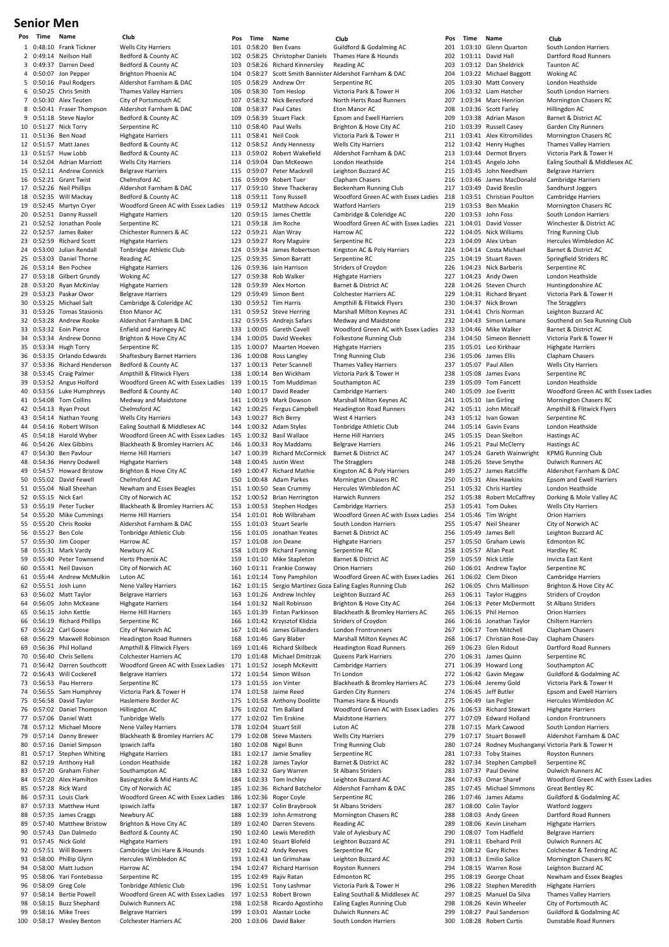# **Senior Men**

0:48:10 Frank Tickner Wells City Harriers<br>0:49:14 Neilson Hall Bedford & County 2 0:49:14 Neilson Hall Bedford & County AC<br>3 0:49:37 Darren Deed Bedford & County AC 3 0:49:37 Darren Deed Bedford & County AC 4 0:50:07 Jon Pepper Brighton Phoenix AC<br>5 0:50:16 Paul Rodgers Aldershot Farnham & 5 0:50:16 Paul Rodgers Aldershot Farnham & DAC 7 0:50:30 Alex Teuten City of Portsmouth AC 8 0:50:41 Fraser Thompson Aldershot Farnham & DAC 9 0:51:18 Steve Naylor Bedford & County Bedford & County According Bedford & County Bernand BC 0:51:27 Nick Torry Serpentine RC<br>0:51:36 Ben Noad Highgate Harriers 11 0:51:36 Ben Noad<br>12 0:51:57 Matt Janes 13 0:51:57 Huw Lobb Bedford & County AC 14 0:52:04 Adrian Marriott Wells City Harriers<br>15 0:52:11 Andrew Connick Belgrave Harriers 15 0:52:11 Andrew Connick<br>16 0:52:21 Grant Twist 16 0:52:21 Grant Twist Chelmsford AC<br>17 0:52:26 Neil Phillips Aldershot Farn 18 0:52:35 Will Mackay Bedford & County AC 19 0:52:45 Martyn Cryer Woodford Green AC with Essex Ladies 0:52:51 Danny Russell 21 0:52:52 Jonathan Poole Serpentine RC 22 0:52:57 James Baker Chichester Runners & AC 23 0:52:59 Richard Scott Highgate Harriers<br>24 0:53:00 Julian Rendall Tonbridge Athletic 25 0:53:03 Daniel Thorne<br>26 0:53:14 Ben Pochee 26 0:53:14 Ben Pochee Highgate Harriers<br>27 0:53:18 Gilbert Grundy Woking AC  $0:53:18$  Gilbert Grundy 28 0:53:20 Ryan McKinlay Highgate Harriers 29 0:53:23 Paskar Owor Belgrave Harriers<br>30 0:53:25 Michael Salt Cambridge & Cole 30 0:53:25 Michael Salt Cambridge & Coleridge AC 0:53:26 Tomas Stasionis 32 0:53:28 Andrew Rooke Aldershot Farnham & DAC 33 0:53:32 Eoin Pierce Enfield and Haringey AC<br>34 0:53:34 Andrew Donno Brighton & Hove City AC 34 0:53:34 Andrew Donno<br>35 0:53:34 Hugh Torry 35 0:53:34 Hugh Torry Serpentine RC 36 0:53:35 Orlando Edwards Shaftesbury Barnet Harriers 38 0:53:45 Craig Palmer Ampthill & Flitwick Flyers 39 0:53:52 Angus Holford Woodford Green AC with Essex Ladies 41 0:54:08 Tom Collins 42 0:54:13 Ryan Prout Chelmsford AC 43 0:54:14 Nathan Young Wells City Harriers<br>44 0:54:16 Robert Wilson Ealing Southall & N 44 0:54:16 Robert Wilson Ealing Southall & Middlesex AC 46 0:54:26 Alex Gibbins Blackheath & Bromley Harriers AC 47 0:54:30 Ben Pavlour Herne Hill Harriers 48 0:54:36 Henry Dodwell Highgate Harriers<br>49 0:54:57 Howard Bristow Brighton & Hove ( 49 0:54:57 Howard Bristow Brighton & Hove City AC 50 0:55:02 David Fewell<br>51 0:55:04 Niall Sheehan 51 0:55:04 Niall Sheehan Newham and Essex Beagles<br>52 0:55:15 Nick Earl City of Norwich AC 53 0:55:19 Peter Tucker Blackheath & Bromley Harriers AC<br>54 0:55:20 Mike Cummings Herne Hill Harriers 54 0:55:20 Mike Cummings Herne Hill Harriers<br>55 0:55:20 Chris Rooke Aldershot Farnhan 56 0:55:27 Ben Cole Tonbridge Athletic Club 57 0:55:30 Jim Cooper Harrow AC 58 0:55:31 Mark Vardy Newbury AC<br>59 0:55:40 Peter Townsend Herts Phoenix AC 0:55:40 Peter Townsend 60 0:55:41 Neil Davison City of Norwich AC 61 0:55:44 Andrew McMulkin Luton AC 62 0:55:51 Josh Lunn Nene Valley Harriers 63 0:56:02 Matt Taylor Belgrave Harriers<br>64 0:56:05 John McKeane Highgate Harriers 64 0:56:05 John McKeane Highgate Harriers 65 0:56:15 John Kettle Herne Hill Harriers<br>66 0:56:19 Richard Phillips Serpentine RC  $0:56:19$  Richard Phillips 67 0:56:22 Carl Goose City of Norwich AC 68 0:56:29 Maxwell Robinson Headington Road Runners 69 0:56:36 Phil Holland Ampthill & Flitwick Flyers 70  $0:56:40$  Chris Sellens<br>  $71.0:56:42$  Darren Southcott 72 0:56:43 Will Cockerell Belgrave Harriers<br>73 0:56:53 Pau Herrero Serpentine RC 73 0:56:53 Pau Herrero 74 0:56:55 Sam Humphrey Victoria Park & Tower H 0:56:58 David Taylor<br>157:02 Daniel Thompson Hillingdon AC 76 0:57:02 Daniel Thompson 77 0:57:06 Daniel Watt Tunbridge Wells 78 0:57:12 Michael Moore Nene Valley Harriers<br>79 0:57:14 Danny Brewer Blackheath & Bromle 79 0:57:14 Danny Brewer Blackheath & Bromley Harriers AC **Daniel Simpson Ipswich Jaffa<br>Stephen Whiting Highgate Harriers** 81 0:57:17 Stephen Whiting 82 0:57:19 Anthony Hall London Heathside 83 0:57:20 Graham Fisher Southampton AC<br>84 0:57:20 Alex Hamilton Basingstoke & Mi 85 0:57:28 Rick Ward City of Norwich AC<br>86 0:57:31 Louis Clark Woodford Green A 86 0:57:31 Louis Clark Woodford Green AC with Essex Ladies 87 0:57:33 Matthew Hunt Ipswich Jaffa<br>88 0:57:35 James Craggs Newbury AC 0:57:35 James Craggs<br>0:57:40 Matthew Bristow 89 0:57:40 Matthew Bristow Brighton & Hove City AC<br>90 0:57:43 Dan Dalmedo Bedford & County AC 90 0:57:43 Dan Dalmedo Bedford & County AC 92 0:57:51 Will Bowers Cambridge Uni Hare & Hounds 93 0:58:00 Phillip Glynn Hercules Wimbledon AC<br>94 0:58:00 Matt Judson Harrow AC 94 0:58:00 Matt Judson Harrow AC<br>95 0:58:06 Yari Fontebasso Serpentine RC Yari Fontebasso Serpentine RC<br>Greg Cole Tonbridge Athletic Club 96 0:58:09 Greg Cole 97 0:58:14 Bertie Powell Woodford Green AC with Essex Ladies<br>98 0:58:15 Buzz Shephard Dulwich Runners AC 98 0:58:15 Buzz Shephard Dulwich Runners<br>99 0:58:16 Mike Trees Belgrave Harriers 99 0:58:16 Mike Trees 100 0:58:17 Wesley Benton Colchester Harriers AC

**Pos Time Name Club Pos Time Name Club Pos Time Name Club** Thames Valley Harriers 12 0:57<br>Bedford & County AC Aldershot Farnham & DAC Tonbridge Athletic Club<br>Reading AC Bedford & County AC Bedford & County AC<br>Medway and Maidstone 45 0:54:18 Harold Wyber Woodford Green AC with Essex Ladies City of Norwich AC Enris Rooke Aldershot Farnham & DAC<br>55 Den Cole Tonbridge Athletic Club Woodford Green AC with Essex Ladies Basingstoke & Mid Hants AC Highgate Harriers

101 0:58:20 Ben Evans Guildford & Godalming AC<br>102 0:58:25 Christopher Daniels Thames Hare & Hounds 102 0:58:25 Christopher Daniels Thames Har<br>103 0:58:26 Richard Kinnersley Reading AC 0:58:26 Richard Kinnersley 104 0:58:27 Scott Smith Bannister Aldershot Farnham & DAC 105 0:58:29 Andrew Orr Serpentine RC<br>106 0:58:30 Tom Heslop Victoria Park & 107 0:58:32 Nick Beresford North Herts Road Runners 108 0:58:37 Paul Cates Eton Manor AC<br>109 0:58:39 Stuart Flack Epsom and Ewe 109 0:58:39 Stuart Flack Epsom and Ewell Harriers<br>110 0:58:40 Paul Wells Brighton & Hove City AC 111 0:58:41 Neil Cook Victoria Park & Tower H 113  $0:59:02$  Robert Wakefield 114 0:59:04 Dan McKeown London Heathside 115 0:59:07 Peter Mackrell Leighton Buzzard AC 117 0:59:10 Steve Thackeray 118 0:59:11 Tony Russell Woodford Green AC with Essex Ladies<br>119 0:59:12 Matthew Adcock Watford Harriers 119 0:59:12 Matthew Adcock Watford Harriers<br>120 0:59:15 James Chettle Cambridge & Cole 121 0:59:18 Jim Roche Woodford Green AC with Essex Ladies 122 0:59:21 Alan Wray Harrow AC 123 0:59:27 Rory Maguire Serpentine RC<br>124 0:59:34 James Robertson Kingston AC & 124 0:59:34 James Robertson Kingston AC & Poly Harriers 125 Simon Barratt Serpentine RC<br>125 125 Striders of Croydon 126 0:59:36 Iain Harrison<br>127 0:59:38 Rob Walker 128 0:59:39 Alex Horton Barnet & District AC 129 0:59:49 Simon Bent Colchester Harriers AC<br>130 0:59:52 Tim Harris Ampthill & Flitwick Flye 130 0:59:52 Tim Harris Ampthill & Flitwick Flyers 132 0:59:55 Andrejs Safars Medway and Maidstone 133 1:00:05 Gareth Cavell Woodford Green AC with Essex Ladies<br>134 1:00:05 David Weekes Folkestone Running Club 134 1:00:05 David Weekes Folkestone Running Club<br>135 1:00:07 Maarten Hoeven Highgate Harriers Maarten Hoeven Highgate Harriers 136 1:00:08 Ross Langley Tring Running Club<br>137 1:00:13 Peter Scannell Thames Valley Harriers 1:00:13 Peter Scannell 138 1:00:14 Ben Wickham Victoria Park & Tower H 139 1:00:15 Tom Muddiman Southampton AC<br>140 1:00:17 David Reader Cambridge Harrie 140 1:00:17 David Reader Cambridge Harriers<br>141 1:00:19 Mark Dowson Marshall Milton Key 142 1:00:25 Fergus Campbell 143 1:00:27 Rich Berry West 4 Harriers 144 1:00:32 Adam Styles Tonbridge Athletic Club 146 1:00:33 Roy Maddams Belgrave Harriers 147 1:00:39 Richard McCormick Barnet & District AC 148 1:00:45 Justin West The Stragglers<br>149 1:00:47 Richard Mathie Kingston AC & 149 1:00:47 Richard Mathie Kingston AC & Poly Harriers 1:00:48 Adam Parkes Mornington Chasers RC<br>1:00:50 Sean Crummy Hercules Wimbledon AC 151 1:00:50 Sean Crummy Hercules Wimbledon AC 1:00:52 Brian Herrington 153 1:00:53 Stephen Hodges Cambridge Harriers 154 1:01:01 Rob Wilbraham Woodford Green AC with Essex Ladies<br>155 1:01:03 Stuart Searle South London Harriers 156 1:01:05 Jonathan Yeates Barnet & District AC 157 1:01:08 Jon Deane Highgate Harriers 158 1:01:09 Richard Fanning Serpentine RC<br>159 1:01:10 Mike Stapleton Barnet & Distr 160 1:01:11 Frankie Conway Orion Harriers 161 1:01:14 Tony Pamphilon Woodford Green AC with Essex Ladies 162 1:01:15 Sergio Martinez Goza Ealing Eagles Running Club 163 1:01:26 Andrew Inchley Leighton Buzzard AC<br>164 1:01:32 Niall Robinson Brighton & Hove City 164 1:01:32 Niall Robinson Brighton & Hove City AC 165 1:01:39 Fintan Parkinson Blackheath & Bromley Harriers AC 1:01:42 Krzysztof Klidzia 167 1:01:46 James Gillanders London Frontrunners 168 1:01:46 Gary Blaber Marshall Milton Keynes AC<br>169 1:01:46 Richard Skilbeck Headington Road Runners 169 1:01:46 Richard Skilbeck<br>170 1:01:48 Michael Dmitrzak 170 1:01:48 Michael Dmitrzak Queens Park Harriers  $1:01:52$  Joseph McKevitt 172 1:01:54 Simon Wilson Tri London<br>173 1:01:55 Jon Vinter Blackheath 173 1:01:55 Jon Vinter Blackheath & Bromley Harriers AC<br>174 1:01:58 Jaime Reed Garden City Runners 174 1:01:58 Jaime Reed Garden City Runners<br>175 1:01:58 Anthony Doolitte Thames Hare & Houn 175 1:01:58 Anthony Doolitte Thames Hare & Hounds<br>176 1:02:02 Tim Ballard Woodford Green AC wit 177 1:02:02 Tim Erskine Maidstone Harriers 178 1:02:04 Stuart Still Luton AC<br>179 1:02:08 Steve Masters Wells City 179 1:02:08 Steve Masters Wells City Harriers 180 1:02:08 Nigel Bunn Tring Running Club<br>181 1:02:17 Jamie Smalley Serpentine RC 1:02:17 Jamie Smalley 182 1:02:28 James Taylor Barnet & District AC 183 1:02:32 Gary Warren St Albans Striders<br>184 1:02:33 Tom Inchley Leighton Buzzard AC 1:02:33 Tom Inchley 185 1:02:36 Richard Batchelor Aldershot Farnham & DAC 186 1:02:36 Roger Coyle 187 1:02:37 Colin Braybrook St Albans Striders<br>188 1:02:39 John Armstrong Mornington Chase 188 1:02:39 John Armstrong Mornington Chasers RC 1:02:40 Darren Stevens Reading AC<br>1:02:40 Lewis Meredith Vale of Aylesbury AC 190 1:02:40 Lewis Meredith<br>191 1:02:40 Stuart Blofeld 192 1:02:42 Andy Reeves Serpentine RC 193 1:02:43 Ian Grimshaw Leighton Buzzard AC<br>194 1:02:47 Richard Harrison Royston Runners 194 1:02:47 Richard Harrison<br>195 1:02:49 Rajiv Ratan 196 1:02:51 Tony Lashmar Victoria Park & Tower H 197 1:02:53 Robert Brown Ealing Southall & Middlesex AC 198 1:02:58 Ricardo Agostinho 199 1:03:01 Alastair Locke Dulwich Runners AC 200 1:03:06 David Baker South London Harriers

Victoria Park & Tower H Brighton & Hove City AC Wells City Harriers<br>Aldershot Farnham & DAC Clapham Chasers<br>Beckenham Running Club Cambridge & Coleridge AC Highgate Harriers Marshall Milton Keynes AC 141 1:00<br>
Marshall Milton Keynes AC<br>
Headington Road Runners Herne Hill Harriers South London Harriers Barnet & District AC Woodford Green AC with Essex Ladies Leighton Buzzard AC Edmonton RC

201 1:03:10 Glenn Quarton South London Harriers<br>202 1:03:11 David Hall Dartford Road Runner 202 1:03:11 David Hall Dartford Road Runners<br>203 1:03:12 Dan Sheldrick Taunton AC 1:03:12 Dan Sheldrick 204 1:03:22 Michael Baggott Woking AC<br>205 1:03:30 Matt Converv London He 205 1:03:30 Matt Convery London Heathside<br>206 1:03:32 Liam Hatcher South London Harriers 1:03:32 Liam Hatcher 207 1:03:34 Marc Henrion Mornington Chasers RC 208 1:03:36 Scott Farley Hillingdon AC<br>209 1:03:38 Adrian Mason Barnet & District AC 209 1:03:38 Adrian Mason Barnet & District AC<br>210 1:03:39 Russell Casey Garden City Runners 1:03:39 Russell Casey 211 1:03:41 Alex Kitromilides Mornington Chasers RC 1:03:42 Henry Hughes 213 1:03:44 Dermot Bryers Victoria Park & Tower H 214 1:03:45 Angelo John Ealing Southall & Middlesex AC 215 1:03:45 John Needham Belgrave Harriers<br>216 1:03:46 James MacDonald Cambridge Harriers  $216$  1:03:46 James MacDonald<br> $217$  1:03:49 David Breslin 218 1:03:51 Christian Poulton Cambridge Harriers<br>219 1:03:53 Ben Meakin Mornington Chaser 219 1:03:53 Ben Meakin Mornington Chasers RC<br>220 1:03:53 John Foss South London Harriers 220 1:03:53 John Foss South London Harriers 221 1:04:01 David Vosser Winchester & District AC 222 1:04:05 Nick Williams Tring Running Club 223 1:04:09 Alex Urban Hercules Wimbledon AC<br>224 1:04:14 Costa Michael Barnet & District AC 224 1:04:14 Costa Michael<br>225 1:04:19 Stuart Raven 226 1:04:23 Nick Barberis Serpentine RC<br>227 1:04:23 Andy Owen London Heathside 1:04:23 Andy Owen 228 1:04:26 Steven Church Huntingdonshire AC<br>229 1:04:31 Richard Brvant Victoria Park & Tower H 229 1:04:31 Richard Bryant<br>230 1:04:37 Nick Brown 230 1:04:37 Nick Brown The Stragglers<br>231 1:04:41 Chris Norman Leighton Buzzard AC 1:04:41 Chris Norman 232 1:04:43 Simon Lemare Southend on Sea Running Club 233 1:04:46 Mike Walker Barnet & District AC<br>234 1:04:50 Simeon Bennett Victoria Park & Towe 234 1:04:50 Simeon Bennett Victoria Park & Tower H<br>235 1:05:01 Leo Kirkhaar Highgate Harriers 236 1:05:06 James Ellis Clapham Chasers 238 1:05:08 James Evans Serpentine RC<br>239 1:05:09 Tom Fancett London Heath 239 1:05:09 Tom Fancett London Heathside<br>240 1:05:09 Joe Everitt Woodford Green 241 1:05:10 Ian Girling Mornington Chasers RC 242 1:05:11 John Mitcalf Ampthill & Flitwick Flyers 243 1:05:12 Ivan Gowan Serpentine RC<br>244 1:05:14 Gavin Evans London Heathside 244 1:05:14 Gavin Evans London Hea<br>245 1:05:15 Dean Skelton Hastings AC Dean Skelton 246 1:05:21 Paul McClerry Hastings AC 247 1:05:24 Gareth Wainwright KPMG Running Club 248 1:05:26 Steve Smythe Dulwich Runners AC 249 1:05:27 James Ratcliffe Aldershot Farnham & DAC<br>250 1:05:31 Alex Hawkins Epsom and Ewell Harriers 251 1:05:32 Chris Hartley London Heathside<br>252 1:05:38 Robert McCaffrey Dorking & Mole Valley AC 1:05:38 Robert McCaffrey 253 1:05:41 Tom Dukes Wells City Harriers<br>254 1:05:46 Tim Wright Orion Harriers 254 1:05:46 Tim Wright Orion Harriers<br>255 1:05:47 Neil Shearer City of Norwich 256 1:05:49 James Bell Leighton Buzzard AC 257 1:05:50 Graham Lewis Edmonton RC 258 1:05:57 Allan Peat Hardley RC<br>259 1:05:59 Nick Little Hardley RC 260 1:06:01 Andrew Taylor Serpentine RC<br>261 1:06:02 Clem Dixon Cambridge Ha 261 1:06:02 Clem Dixon Cambridge Harriers 262 1:06:05 Chris Mallinson Brighton & Hove City AC 263 1:06:11 Taylor Huggins Striders of Croydon<br>264 1:06:13 Peter McDermott St Albans Striders 264 1:06:13 Peter McDermott St Albans Striders<br>265 1:06:15 Phil Hernon Orion Harriers  $266$  1:06:16 Jonathan Taylor 267 1:06:17 Tom Mitchell Clapham Chasers 268 1:06:17 Christian Rose‐Day Clapham Chasers 269 1:06:23 Glen Ridout Dartford Road Runners<br>270 1:06:31 James Quinn Serpentine RC 270 1:06:31 James Quinn Serpentine RC<br>271 1:06:39 Howard Long Southampton AC 2022<br>1:06:39 Howard Long 272 1:06:42 Gavin Megaw Guildford & Godalming AC<br>273 1:06:44 Jeremy Gold Victoria Park & Tower H 273 1:06:44 Jeremy Gold Victoria Park & Tower H 274 1:06:45 Jeff Butler Epsom and Ewell Harriers<br>275 1:06:49 Jan Pegler Hercules Wimbledon AC 275 1:06:49 Ian Pegler<br>276 1:06:53 Richard Stewart Highgate Harriers  $276$  1:06:53 Richard Stewart 277 1:07:09 Edward Holland London Frontrunners 278 1:07:15 Mark Cawood South London Harriers<br>279 1:07:17 Stuart Boswell Aldershot Farnham & I 279 1:07:17 Stuart Boswell Aldershot Farnham & DAC<br>280 1:07:24 Rodney Mushanganyi Victoria Park & Tower H 281 1:07:33 Toby Staines 282 1:07:34 Stephen Campbell Serpentine RC 283 1:07:37 Paul Devine Dulwich Runners AC<br>284 1:07:43 Omar Sharef Woodford Green AC 285 1:07:45 Michael Simmons Great Bentley RC<br>286 1:07:46 James Adams Guildford & Goda 286 1:07:46 James Adams Guildford & Godalming AC 287 1:08:00 Colin Taylor Watford Joggers<br>288 1:08:03 Andy Green Dartford Boad Bu 288 1:08:03 Andy Green Dartford Road Runners<br>289 1:08:06 Kevin Lineham Higheate Harriers 290 1:08:07 Tom Hadfield Belgrave Harriers<br>291 1:08:11 Ebehard Prill Dulwich Bunners 292 1:08:12 Gary Riches Colchester & Tendring AC 293 1:08:13 Emilio Salice Mornington Chasers RC<br>294 1:08:15 Warren Rose Leighton Buzzard AC 294 1:08:15 Warren Rose Leighton Buzzard AC<br>295 1:08:19 George Choat Newham and Essex B 296 1:08:22 Stephen Meredith 297 1:08:25 Manuel Da Silva Thames Valley Harriers 298 1:08:26 Kevin Wheeler City of Portsmouth AC 299 1:08:27 Paul Sanderson Guildford & Godalming AC 300 1:08:28 Robert Curtis Dunstable Road Runners

217 1:03:49 David Breslin Sandhurst Joggers Springfield Striders RC<br>Serpentine RC Highgate Harriers Wells City Harriers 1:05:09 Joe Everitt Woodford Green AC with Essex Ladies<br>1:05:10 Jan Girling Mornington Chasers RC Epsom and Ewell Harriers<br>London Heathside City of Norwich AC Invicta East Kent Orion Harriers<br>Chiltern Harriers Rodney Mushanganyi Victoria Park & Tower H<br>Toby Staines **Royston Runners** Woodford Green AC with Essex Ladies **Highgate Harriers** Dulwich Runners AC Newham and Essex Beagles<br>Highgate Harriers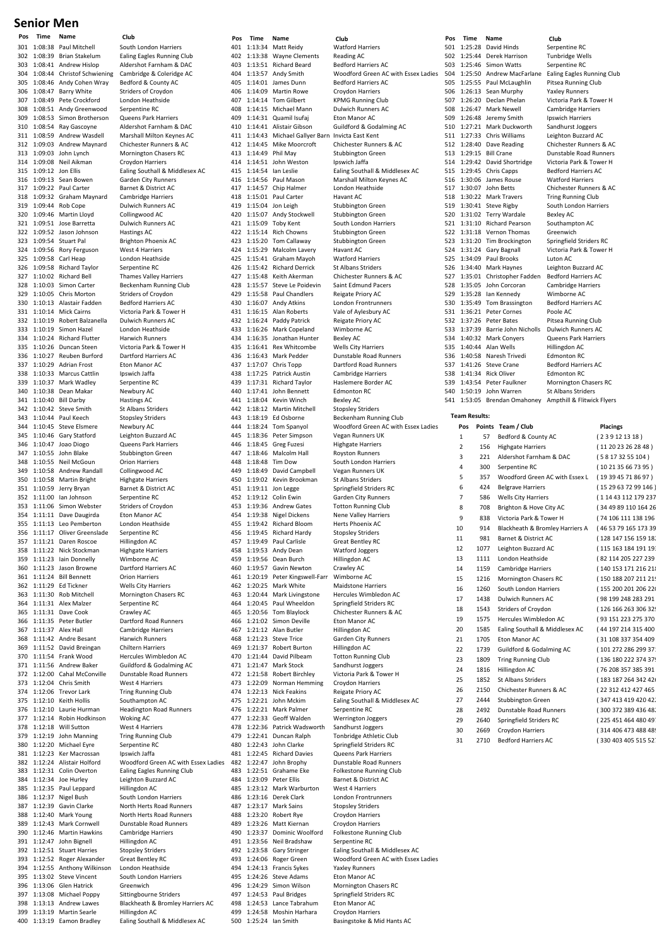# **Senior Men**

301 1:08:38 Paul Mitchell South London Harriers<br>302 1:08:39 Brian Stakelum Faling Fagles Running 303 1:08:41 Andrew Hislop 304 1:08:44 Christof Schwiening Cambridge & Coleridge AC 305 1:08:46 Andy Cohen Wray Bedford & County AC 307 1:08:49 Pete Crockford London Heathside 308 1:08:51 Andy Greenwood Serpentine RC 309 1:08:53 Simon Brotherson<br>310 1:08:54 Ray Gascoyne 311 1:08:59 Andrew Wasdell Marshall Milton Keynes AC 312 1:09:03 Andrew Maynard Chichester Runners & AC 313 1:09:03 John Lynch Mornington Chasers RC 314 1:09:08 Neil Aikman Croydon Harriers 315 1:09:12 Jon Ellis Ealing Southall & Middlesex AC<br>316 1:09:13 Sean Bowen Garden City Runners 316 1:09:13 Sean Bowen Garden City Runners<br>317 1:09:22 Paul Carter Barnet & District AC 1:09:22 Paul Carter 318 1:09:32 Graham Maynard Cambridge Harriers 319 1:09:44 Rob Cope Dulwich Runners AC<br>320 1:09:46 Martin Lloyd Collingwood AC 321 1:09:51 Jose Barretta Dulwich Runners AC 322 1:09:52 Jason Johnson Hastings AC 323 1:09:54 Stuart Pal Brighton Phoenix AC<br>324 1:09:56 Rorv Ferguson West 4 Harriers 324 1:09:56 Rory Ferguson West 4 Harriers<br>325 1:09:58 Carl Heap London Heathsi 325 1:09:58 Carl Heap<br>326 1:09:58 Richard Taylor Serpentine RC 326 1:09:58 Richard Taylor Serpentine RC<br>327 1:10:02 Richard Bell Thames Valley 327 1:10:02 Richard Bell Thames Valley Harriers 328 1:10:03 Simon Carter Beckenham Running Club 329 1:10:05 Chris Morton Striders of Croydon<br>330 1:10:13 Alastair Fadden Bedford Harriers A 330 1:10:13 Alastair Fadden Bedford Harriers AC<br>331 1:10:14 Mick Cairns Victoria Park & Tow 332 1:10:19 Robert Balzanella Dulwich Runners AC 333 1:10:19 Simon Hazel London Heathside 334 1:10:24 Richard Flutter Harwich Runners<br>335 1:10:26 Duncan Steen Victoria Park & To 335 1:10:26 Duncan Steen Victoria Park & Tower H 336 1:10:27 Reuben Burford Dartford Harriers AC  $1:10:29$  Adrian Frost 338 1:10:33 Marcus Cattlin Ipswich Jaffa<br>339 1:10:37 Mark Wadley Serpentine R 339 1:10:37 Mark Wadley Serpentine RC<br>340 1:10:38 Dean Makar Newbury AC Dean Maka 341 1:10:40 Bill Darby Hastings AC 342 1:10:42 Steve Smith St Albans Striders 343 1:10:44 Paul Keech Stopsley Striders 344 1:10:45 Steve Elsmere Newbury AC<br>345 1:10:46 Gary Statford Leighton Buz 346 1:10:47 Joao Diogo Queens Park Harriers 347 1:10:55 John Blake Stubbington Green 348 1:10:55 Neil McGoun Orion Harriers 349 1:10:58 Andrew Randall Collingwood AC 351 1:10:59 Jerry Bryan Barnet & District Barnet & District Act 2011 352 1:11:00 Ian Johnson 353 1:11:06 Simon Webster Striders of Croydon<br>354 1:11:11 Dave Daugirda Fron Manor AC 354 1:11:11 Dave Daugirda<br>355 1:11:13 Leo Pembertor 356 1:11:17 Oliver Greenslade Serpentine RC 357 1:11:21 Daren Roscoe Hillingdon AC 358 1:11:22 Nick Stockman Highgate Harriers<br>359 1:11:23 Iain Donnelly Wimborne AC 1:11:23 Iain Donnelly 360 1:11:23 Jason Browne Dartford Harriers AC 361 1:11:24 Bill Bennett Orion Harriers 362 1:11:29 Ed Tickner Wells City Harriers 363 1:11:30 Rob Mitchell Mornington Chasers RC<br>364 1:11:31 Alex Malzer Serpentine RC 364 1:11:31 Alex Malzer Serpentine<br>365 1:11:31 Dave Cook Crawley AC 1:11:31 Dave Cook<br>1:11:35 Peter Butler 366 1:11:35 Peter Butler Dartford Road Runners 367 1:11:37 Alex Hall Cambridge Harriers 368 1:11:42 Andre Besant Harwich Runners 369 1:11:52 David Breingan Chiltern Harriers 370 1:11:54 Frank Wood Hercules Wimbledon AC<br>371 1:11:56 Andrew Baker Guildford & Godalming 372 1:12:00 Cahal McConville Dunstable Road Runners 373 1:12:04 Chris Smith 374 1:12:06 Trevor Lark Tring Running Club 375 1:12:10 Keith Hollis Southampton AC<br>376 1:12:10 Laurie Hurman Headington Road 376 1:12:10 Laurie Hurman Headington Road Runners 377 1:12:14 Robin Hodkinson Woking AC 378 1:12:18 Will Sutton West 4 Harriers<br>379 1:12:19 John Manning Tring Running C 379 1:12:19 John Manning Tring Running Club<br>380 1:12:20 Michael Eyre Serpentine RC Michael Eyre Serpentine R<br>380 Ker Macrossan Buswich Jaffa 381 1:12:23 Ker Macrossan 383 1:12:31 Colin Overton Ealing Eagles Running Club  $1:12:34$  Joe Hurley 385 1:12:35 Paul Leppard Hillingdon AC<br>386 1:12:37 Nigel Bush South London Harriers 386 1:12:37 Nigel Bush 387 1:12:39 Gavin Clarke North Herts Road Runners<br>388 1:12:40 Mark Young North Herts Road Runners 1:12:40 Mark Young North Herts Road Runners<br>1:12:43 Mark Cornwell Dunstable Road Runners 389 1:12:43 Mark Cornwell Dunstable Road Runners 390 1:12:46 Martin Hawkins Cambridge Harriers 391 1:12:47 John Bignell 392 1:12:51 Stuart Harries Stopsley Striders 393 1:12:52 Roger Alexander Great Bentley RC<br>394 1:12:55 Anthony Wilkinson London Heathside 394 1:12:55 Anthony Wilkinson<br>395 1:13:02 Steve Vincent 396 1:13:06 Glen Hatrick Greenwich 397 1:13:08 Michael Poppy Sittingbourne Striders 399 1:13:19 Martin Searle Hillingdon AC 400 1:13:19 Eamon Bradley Ealing Southall & Middlesex AC

**Pos Time Name Club Pos Time Name Club Pos Time Name Club** Ealing Eagles Running Club<br>Aldershot Farnham & DAC Striders of Croydon Aldershot Farnham & DAC Collingwood AC Victoria Park & Tower H .<br>Leighton Buzzard AC Martin Bright Highgate Harriers<br>1950 Jerry Bryan Barnet & District AC London Heathside Guildford & Godalming AC 382 1:12:24 Alistair Holford Woodford Green AC with Essex Ladies South London Harriers 398 1:13:13 Andrew Lawes Blackheath & Bromley Harriers AC

401 1:13:34 Matt Reidy Watford Harriers 402 1:13:38 Wayne Clements Reading AC<br>403 1:13:51 Richard Beard Bedford Harriers AC 1:13:51 Richard Beard 404 1:13:57 Andy Smith Woodford Green AC with Essex Ladies 405 1:14:01 James Dunn Bedford Harriers<br>406 1:14:09 Martin Rowe Croydon Harriers  $1:14:09$  Martin Rowe 407 1:14:14 Tom Gilbert KPMG Running Club 408 1:14:15 Michael Mann Dulwich Runners AC<br>409 1:14:31 Quamil Isufaj Eton Manor AC 409 1:14:31 Quamil Isufaj<br>410 1:14:41 Alistair Gibson 411 1:14:43 Michael Gallyer Barn Invicta East Kent 412 1:14:45 Mike Moorcroft 413 1:14:49 Phil May Stubbington Green 414 1:14:51 John Weston Ipswich Jaffa<br>415 1:14:54 Jan Leslie Baling Southa 415 1:14:54 Ian Leslie Ealing Southall & Middlesex AC 416 1:14:56 Paul Mason Marshall Milton Keynes AC<br>417 1:14:57 Chin Halmer London Heathside  $1:14:57$  Chip Halmer 418 1:15:01 Paul Carter Havant AC 419 1:15:04 Jon Leigh Stubbington Green<br>420 1:15:07 Andy Stockwell Stubbington Green 1:15:07 Andy Stockwell 421 1:15:09 Toby Kent South London Harriers 422 1:15:14 Rich Chowns Stubbington Green 423 1:15:20 Tom Callaway Stubbington Green<br>424 1:15:29 Malcolm Layery Havant AC 424 1:15:29 Malcolm Lavery Havant AC<br>425 1:15:41 Graham Mavoh Watford Harriers 1:15:41 Graham Mayoh Watford Harriers<br>1:15:42 Richard Derrick St Albans Striders 426 1:15:42 Richard Derrick St Albans Striders<br>427 1:15:48 Keith Akerman Chichester Runners & AC 427 1:15:48 Keith Akerman 428 1:15:57 Steve Le Poidevin Saint Edmund Pacers 429 1:15:58 Paul Chandlers Reigate Priory AC<br>430 1:16:07 Andy Atkins London Frontrunner 430 1:16:07 Andy Atkins London Frontrunners<br>431 1:16:15 Alan Roberts Vale of Aylesbury AC  $1:16:15$  Alan Roberts 432 1:16:24 Paddy Patrick Reigate Priory AC 433 1:16:26 Mark Copeland Wimborne AC<br>434 1:16:35 Jonathan Hunter Bexley AC 434 1:16:35 Jonathan Hunter Bexley AC<br>435 1:16:41 Rex Whitcombe Wells City Harriers 1:16:41 Rex Whitcombe 436 1:16:43 Mark Pedder Dunstable Road Runners<br>437 1:17:07 Chris Tonn Dartford Road Runners 438 1:17:25 Patrick Austin Cambridge Harriers 439 1:17:31 Richard Taylor Haslemere Border AC<br>440 1:17:41 John Bennett Fdmonton RC 1:17:41 John Bennett 441 1:18:04 Kevin Winch Bexley AC 442 1:18:12 Martin Mitchell Stopsley Striders 443 1:18:19 Ed Osborne Beckenham Running Club<br>444 1:18:24 Tom Spanyol Woodford Green AC with 444 1:18:24 Tom Spanyol Woodford Green AC with Essex Ladies 446 1:18:45 Greg Fuzesi Highgate Harriers 447 1:18:46 Malcolm Hall Royston Runners 448 1:18:48 Tim Dow South London Harriers 449 1:18:49 David Campbell Vegan Runners UK<br>450 1:19:02 Kevin Brookman St Albans Striders 1:19:02 Kevin Brookman St Albans Striders<br>1:19:11 Jon Legge Springfield Striders RC 451 1:19:11 Jon Legge<br>452 1:19:12 Colin Ewin 453 1:19:36 Andrew Gates Totton Running Club<br>454 1:19:38 Nigel Dickens Nene Valley Harriers 454 1:19:38 Nigel Dickens<br>455 1:19:42 Richard Bloom Herts Phoenix AC 1:19:42 Richard Bloom 456 1:19:45 Richard Hardy Stopsley Striders 457 1:19:49 Paul Carlisle Great Bentley RC 458 1:19:53 Andy Dean Watford Joggers<br>459 1:19:56 Dean Burch Hillingdon AC 1:19:56 Dean Burch 460 1:19:57 Gavin Newton Crawley AC<br>461 1:20:19 Peter Kingswell-Farr Wimborne AC 461 1:20:19 Peter Kingswell-Farr 462 1:20:25 Mark White Maidstone Harriers 463 1:20:44 Mark Livingstone Hercules Wimbledon AC 464 1:20:45 Paul Wheeldon<br>465 1:20:56 Tom Blavlock 466 1:21:02 Simon Deville 467 1:21:12 Alan Butler Hillingdon AC 468 1:21:23 Steve Trice Garden City Runners<br>469 1:21:37 Robert Burton Hillingdon AC 469 1:21:37 Robert Burton Hillingdon AC<br>470 1:21:44 David Pilbeam Totton Running Club 470 1:21:44 David Pilbeam 472 1:21:58 Robert Birchley Victoria Park & Tower H 473 1:22:09 Norman Hemming Croydon Harriers 474 1:22:13 Nick Feakins Reigate Priory AC<br>475 1:22:21 John Mckim Faling Southall & 475 1:22:21 John Mckim Ealing Southall & Middlesex AC 476 1:22:21 Mark Palmer 477 1:22:33 Geoff Walden Werrington Joggers 478 1:22:36 Patrick Wadsworth Sandhurst Joggers 479 1:22:41 Duncan Ralph Tonbridge Athletic Club<br>480 1:22:43 John Clarke Springfield Striders RC 481 1:22:45 Richard Davies Queens Park Harriers 482 1:22:47 John Brophy Dunstable Road Runners 483 1:22:51 Grahame Eke Folkestone Running Club<br>484 1:23:09 Peter Ellis Barnet & District AC 1:23:09 Peter Ellis 485 1:23:12 Mark Warburton West 4 Harriers 486 1:23:16 Derek Clark 487 1:23:17 Mark Sains Stopsley Striders<br>488 1:23:20 Robert Rve Crovdon Harriers 488 1:23:20 Robert Rye Croydon Harriers<br>489 1:23:26 Matt Kiernan Croydon Harriers 1:23:26 Matt Kiernan Croydon Harriers<br>1:23:37 Dominic Woolford Folkestone Running Club 490 1:23:37 Dominic Woolford Folkestone Rundel Clubbs 1:23:56 Neil Bradshaw 1:23:56 Neil Bradshaw 492 1:23:58 Gary Stringer Ealing Southall & Middlesex AC 493 1:24:06 Roger Green Woodford Green AC with Essex Ladies<br>494 1:24:13 Francis Sykes Yaxley Runners 494 1:24:13 Francis Sykes Yaxley Runners  $1:24:26$  Steve Adams 496 1:24:29 Simon Wilson Mornington Chasers RC 497 1:24:53 Paul Bridges Springfield Striders RC 498 1:24:53 Lance Tabrahum Eton Manor AC 499 1:24:58 Moshin Harhara Croydon Harriers

410 1:14:41 Alistair Gibson Guildford & Godalming AC Dartford Road Runners Vegan Runners UK Garden City Runners Chichester Runners & AC<br>Eton Manor AC 471 1:21:47 Mark Stock Sandhurst Joggers Springfield Striders RC 500 1:25:24 Ian Smith Basingstoke & Mid Hants AC

| 501        |                      |      | 1:25:28 David Hinds                                 | Serpentine RC                                            |                                              |
|------------|----------------------|------|-----------------------------------------------------|----------------------------------------------------------|----------------------------------------------|
| 502        |                      |      | 1:25:44 Derek Harrison                              | <b>Tunbridge Wells</b>                                   |                                              |
| 503        |                      |      | 1:25:46 Simon Watts                                 | Serpentine RC                                            |                                              |
|            |                      |      |                                                     | 504 1:25:50 Andrew MacFarlane Ealing Eagles Running Club |                                              |
| 505        |                      |      | 1:25:55 Paul McLaughlin                             | Pitsea Running Club                                      |                                              |
| 506        |                      |      | 1:26:13 Sean Murphy                                 | <b>Yaxley Runners</b>                                    |                                              |
| 507        |                      |      | 1:26:20 Declan Phelan<br>1:26:47 Mark Newell        | Victoria Park & Tower H<br><b>Cambridge Harriers</b>     |                                              |
| 508        |                      |      |                                                     |                                                          |                                              |
| 509        |                      |      | 1:26:48 Jeremy Smith                                | Ipswich Harriers                                         |                                              |
| 510        |                      |      | 1:27:21 Mark Duckworth                              | Sandhurst Joggers                                        |                                              |
| 511        |                      |      | 1:27:33 Chris Williams                              | Leighton Buzzard AC                                      |                                              |
| 512        |                      |      | 1:28:40 Dave Reading                                | Chichester Runners & AC<br>Dunstable Road Runners        |                                              |
| 513        |                      |      | 1:29:15 Bill Crane                                  |                                                          |                                              |
| 514        |                      |      | 1:29:42 David Shortridge                            | Victoria Park & Tower H                                  |                                              |
| 515<br>516 |                      |      | 1:29:45 Chris Capps                                 | <b>Bedford Harriers AC</b>                               |                                              |
|            |                      |      | 1:30:06 James Rouse                                 | <b>Watford Harriers</b>                                  |                                              |
| 517        |                      |      | 1:30:07 John Betts                                  | Chichester Runners & AC                                  |                                              |
| 518        |                      |      | 1:30:22 Mark Travers                                | <b>Tring Running Club</b>                                |                                              |
|            |                      |      | 519 1:30:41 Steve Rigby                             | South London Harriers                                    |                                              |
|            |                      |      | 520 1:31:02 Terry Wardale                           | Bexley AC                                                |                                              |
|            |                      |      | 521 1:31:10 Richard Pearson                         | Southampton AC                                           |                                              |
|            |                      |      | 522 1:31:18 Vernon Thomas                           | Greenwich                                                |                                              |
|            |                      |      | 523 1:31:20 Tim Brockington                         | Springfield Striders RC                                  |                                              |
| 524        |                      |      | 1:31:24 Gary Bagnall                                | Victoria Park & Tower H                                  |                                              |
| 525        |                      |      | 1:34:09 Paul Brooks                                 | Luton AC                                                 |                                              |
|            |                      |      | 526 1:34:40 Mark Haynes                             | Leighton Buzzard AC                                      |                                              |
| 527        |                      |      | 1:35:01 Christopher Fadden                          | <b>Bedford Harriers AC</b>                               |                                              |
| 528        |                      |      | 1:35:05 John Corcoran                               | <b>Cambridge Harriers</b>                                |                                              |
| 529        |                      |      | 1:35:28 Ian Kennedy                                 | Wimborne AC                                              |                                              |
|            |                      |      | 530 1:35:49 Tom Brassington                         | <b>Bedford Harriers AC</b>                               |                                              |
| 531        |                      |      | 1:36:21 Peter Cornes                                | Poole AC                                                 |                                              |
| 532        |                      |      | 1:37:26 Peter Bates                                 | Pitsea Running Club                                      |                                              |
|            |                      |      | 533 1:37:39 Barrie John Nicholls                    | Dulwich Runners AC                                       |                                              |
| 534        |                      |      | 1:40:32 Mark Conyers                                | Queens Park Harriers                                     |                                              |
| 535        |                      |      | 1:40:44 Alan Wells                                  | Hillingdon AC                                            |                                              |
|            |                      |      | 536 1:40:58 Naresh Trivedi                          | <b>Edmonton RC</b>                                       |                                              |
| 537        |                      |      | 1:41:26 Steve Crane                                 | <b>Bedford Harriers AC</b>                               |                                              |
| 538        |                      |      | 1:41:34 Rick Oliver                                 | <b>Edmonton RC</b>                                       |                                              |
| 539        |                      |      | 1:43:54 Peter Faulkner                              | <b>Mornington Chasers RC</b>                             |                                              |
| 540        |                      |      | 1:50:19 John Warren                                 | St Albans Striders                                       |                                              |
| 541        |                      |      | 1:53:05 Brendan Omahoney Ampthill & Flitwick Flyers |                                                          |                                              |
|            |                      |      |                                                     |                                                          |                                              |
|            |                      |      |                                                     |                                                          |                                              |
|            | <b>Team Results:</b> |      |                                                     |                                                          |                                              |
|            | Pos                  |      | Points Team / Club                                  |                                                          | <b>Placings</b>                              |
|            | 1                    | 57   | Bedford & County AC                                 |                                                          | (239121318)                                  |
|            | 2                    | 156  | <b>Highgate Harriers</b>                            |                                                          | (11 20 23 26 28 48)                          |
|            | 3                    | 221  | Aldershot Farnham & DAC                             |                                                          | (58173255104)                                |
|            | 4                    | 300  | Serpentine RC                                       |                                                          | (10 21 35 66 73 95)                          |
|            | 5                    | 357  | Woodford Green AC with Essex L                      |                                                          | (19 39 45 71 86 97)                          |
|            |                      |      |                                                     |                                                          |                                              |
|            | 6                    | 424  | <b>Belgrave Harriers</b>                            |                                                          | (15 29 63 72 99 146)                         |
|            | 7                    | 586  | <b>Wells City Harriers</b>                          |                                                          | (114 43 112 179 237                          |
|            | 8                    | 708  | Brighton & Hove City AC                             |                                                          | (34 49 89 110 164 26                         |
|            | 9                    | 838  | Victoria Park & Tower H                             |                                                          | (74 106 111 138 196                          |
|            | 10                   | 914  | Blackheath & Bromley Harriers A                     |                                                          | (46 53 79 165 173 39                         |
|            | 11                   | 981  | Barnet & District AC                                |                                                          | (128 147 156 159 18.                         |
|            | 12                   | 1077 | Leighton Buzzard AC                                 |                                                          | ( 115 163 184 191 19:                        |
|            |                      |      |                                                     |                                                          |                                              |
|            | 13                   | 1111 | London Heathside                                    |                                                          | (82 114 205 227 239                          |
|            | 14                   | 1159 | <b>Cambridge Harriers</b>                           |                                                          | (140 153 171 216 218                         |
|            | 15                   | 1216 | Mornington Chasers RC                               |                                                          | (150 188 207 211 21!                         |
|            | 16                   | 1260 | South London Harriers                               |                                                          | (155 200 201 206 22)                         |
|            | 17                   | 1438 | Dulwich Runners AC                                  |                                                          | (98 199 248 283 291                          |
|            | 18                   | 1543 | Striders of Croydon                                 |                                                          | (126 166 263 306 325                         |
|            | 19                   | 1575 | Hercules Wimbledon AC                               |                                                          | (93 151 223 275 370                          |
|            |                      |      |                                                     |                                                          | (44 197 214 315 400                          |
|            | 20                   | 1585 | Ealing Southall & Middlesex AC                      |                                                          |                                              |
|            | 21                   | 1705 | Eton Manor AC                                       |                                                          | (31 108 337 354 409                          |
|            | 22                   | 1739 | Guildford & Godalming AC                            |                                                          | (101 272 286 299 37:                         |
|            | 23                   | 1809 | <b>Tring Running Club</b>                           |                                                          | (136 180 222 374 37!                         |
|            | 24                   | 1816 | Hillingdon AC                                       |                                                          | (76 208 357 385 391                          |
|            | 25                   | 1852 | St Albans Striders                                  |                                                          | (183 187 264 342 426                         |
|            | 26                   | 2150 | Chichester Runners & AC                             |                                                          | (22 312 412 427 465                          |
|            |                      |      |                                                     |                                                          |                                              |
|            | 27                   | 2444 | Stubbington Green                                   |                                                          | (347 413 419 420 42)                         |
|            | 28                   | 2492 | Dunstable Road Runners                              |                                                          | (300 372 389 436 48)                         |
|            | 29<br>30             | 2640 | Springfield Striders RC<br>2669 Croydon Harriers    |                                                          | (225 451 464 480 49)<br>(314 406 473 488 489 |

31 2710 Bedford Harriers AC (330 403 405 515 52)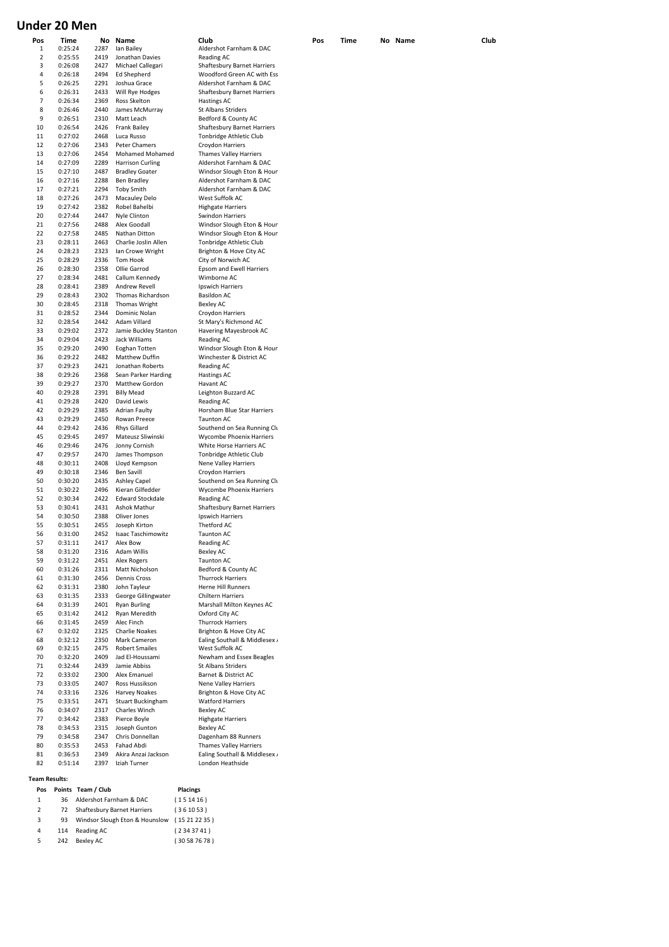# **Under 20 Men**

| Pos | Time    |      | No Name                 | Club                               | Pos | Time | No Name | Club |
|-----|---------|------|-------------------------|------------------------------------|-----|------|---------|------|
| 1   | 0:25:24 | 2287 | Ian Bailey              | Aldershot Farnham & DAC            |     |      |         |      |
| 2   | 0:25:55 | 2419 | Jonathan Davies         | Reading AC                         |     |      |         |      |
| 3   | 0:26:08 | 2427 | Michael Callegari       | <b>Shaftesbury Barnet Harriers</b> |     |      |         |      |
|     |         |      |                         |                                    |     |      |         |      |
| 4   | 0:26:18 | 2494 | <b>Ed Shepherd</b>      | Woodford Green AC with Ess         |     |      |         |      |
| 5   | 0:26:25 | 2291 | Joshua Grace            | Aldershot Farnham & DAC            |     |      |         |      |
| 6   | 0:26:31 | 2433 | Will Rye Hodges         | <b>Shaftesbury Barnet Harriers</b> |     |      |         |      |
|     |         |      |                         |                                    |     |      |         |      |
| 7   | 0:26:34 | 2369 | Ross Skelton            | Hastings AC                        |     |      |         |      |
| 8   | 0:26:46 | 2440 | James McMurray          | St Albans Striders                 |     |      |         |      |
| 9   | 0:26:51 | 2310 | Matt Leach              | Bedford & County AC                |     |      |         |      |
|     |         |      |                         |                                    |     |      |         |      |
| 10  | 0:26:54 | 2426 | <b>Frank Bailey</b>     | <b>Shaftesbury Barnet Harriers</b> |     |      |         |      |
| 11  | 0:27:02 | 2468 | Luca Russo              | Tonbridge Athletic Club            |     |      |         |      |
| 12  | 0:27:06 | 2343 | Peter Chamers           | Croydon Harriers                   |     |      |         |      |
|     |         |      |                         |                                    |     |      |         |      |
| 13  | 0:27:06 | 2454 | Mohamed Mohamed         | Thames Valley Harriers             |     |      |         |      |
| 14  | 0:27:09 | 2289 | <b>Harrison Curling</b> | Aldershot Farnham & DAC            |     |      |         |      |
| 15  | 0:27:10 | 2487 | <b>Bradley Goater</b>   | Windsor Slough Eton & Houn         |     |      |         |      |
|     | 0:27:16 | 2288 |                         | Aldershot Farnham & DAC            |     |      |         |      |
| 16  |         |      | <b>Ben Bradley</b>      |                                    |     |      |         |      |
| 17  | 0:27:21 | 2294 | <b>Toby Smith</b>       | Aldershot Farnham & DAC            |     |      |         |      |
| 18  | 0:27:26 | 2473 | <b>Macauley Delo</b>    | West Suffolk AC                    |     |      |         |      |
| 19  | 0:27:42 | 2382 | Robel Bahelbi           | <b>Highgate Harriers</b>           |     |      |         |      |
|     |         |      |                         |                                    |     |      |         |      |
| 20  | 0:27:44 | 2447 | Nyle Clinton            | Swindon Harriers                   |     |      |         |      |
| 21  | 0:27:56 | 2488 | Alex Goodall            | Windsor Slough Eton & Houn         |     |      |         |      |
| 22  | 0:27:58 | 2485 | Nathan Ditton           | Windsor Slough Eton & Houn         |     |      |         |      |
|     |         |      |                         |                                    |     |      |         |      |
| 23  | 0:28:11 | 2463 | Charlie Joslin Allen    | Tonbridge Athletic Club            |     |      |         |      |
| 24  | 0:28:23 | 2323 | Ian Crowe Wright        | Brighton & Hove City AC            |     |      |         |      |
| 25  | 0:28:29 | 2336 | Tom Hook                | City of Norwich AC                 |     |      |         |      |
|     |         |      |                         |                                    |     |      |         |      |
| 26  | 0:28:30 | 2358 | Ollie Garrod            | Epsom and Ewell Harriers           |     |      |         |      |
| 27  | 0:28:34 | 2481 | Callum Kennedy          | Wimborne AC                        |     |      |         |      |
| 28  | 0:28:41 | 2389 | Andrew Revell           | Ipswich Harriers                   |     |      |         |      |
| 29  |         | 2302 |                         |                                    |     |      |         |      |
|     | 0:28:43 |      | Thomas Richardson       | <b>Basildon AC</b>                 |     |      |         |      |
| 30  | 0:28:45 | 2318 | Thomas Wright           | Bexley AC                          |     |      |         |      |
| 31  | 0:28:52 | 2344 | Dominic Nolan           | Croydon Harriers                   |     |      |         |      |
| 32  |         | 2442 | Adam Villard            | St Mary's Richmond AC              |     |      |         |      |
|     | 0:28:54 |      |                         |                                    |     |      |         |      |
| 33  | 0:29:02 | 2372 | Jamie Buckley Stanton   | Havering Mayesbrook AC             |     |      |         |      |
| 34  | 0:29:04 | 2423 | Jack Williams           | Reading AC                         |     |      |         |      |
| 35  | 0:29:20 | 2490 | Eoghan Totten           | Windsor Slough Eton & Houn         |     |      |         |      |
|     |         |      |                         |                                    |     |      |         |      |
| 36  | 0:29:22 | 2482 | Matthew Duffin          | Winchester & District AC           |     |      |         |      |
| 37  | 0:29:23 | 2421 | Jonathan Roberts        | Reading AC                         |     |      |         |      |
| 38  | 0:29:26 | 2368 | Sean Parker Harding     | <b>Hastings AC</b>                 |     |      |         |      |
|     |         |      |                         |                                    |     |      |         |      |
| 39  | 0:29:27 | 2370 | Matthew Gordon          | Havant AC                          |     |      |         |      |
| 40  | 0:29:28 | 2391 | <b>Billy Mead</b>       | Leighton Buzzard AC                |     |      |         |      |
| 41  | 0:29:28 | 2420 | David Lewis             | Reading AC                         |     |      |         |      |
|     |         |      |                         |                                    |     |      |         |      |
| 42  | 0:29:29 | 2385 | <b>Adrian Faulty</b>    | Horsham Blue Star Harriers         |     |      |         |      |
| 43  | 0:29:29 | 2450 | Rowan Preece            | Taunton AC                         |     |      |         |      |
| 44  | 0:29:42 | 2436 | Rhys Gillard            | Southend on Sea Running Clu        |     |      |         |      |
|     |         |      |                         |                                    |     |      |         |      |
| 45  | 0:29:45 | 2497 | Mateusz Sliwinski       | <b>Wycombe Phoenix Harriers</b>    |     |      |         |      |
| 46  | 0:29:46 | 2476 | Jonny Cornish           | White Horse Harriers AC            |     |      |         |      |
| 47  | 0:29:57 | 2470 | James Thompson          | Tonbridge Athletic Club            |     |      |         |      |
|     |         |      |                         |                                    |     |      |         |      |
| 48  | 0:30:11 | 2408 | Lloyd Kempson           | Nene Valley Harriers               |     |      |         |      |
| 49  | 0:30:18 | 2346 | <b>Ben Savill</b>       | Croydon Harriers                   |     |      |         |      |
| 50  | 0:30:20 | 2435 | <b>Ashley Capel</b>     | Southend on Sea Running Clu        |     |      |         |      |
|     |         |      |                         |                                    |     |      |         |      |
| 51  | 0:30:22 | 2496 | Kieran Gilfedder        | <b>Wycombe Phoenix Harriers</b>    |     |      |         |      |
| 52  | 0:30:34 | 2422 | Edward Stockdale        | Reading AC                         |     |      |         |      |
| 53  | 0:30:41 | 2431 | Ashok Mathur            | Shaftesbury Barnet Harriers        |     |      |         |      |
|     |         |      |                         |                                    |     |      |         |      |
| 54  | 0:30:50 | 2388 | Oliver Jones            | Ipswich Harriers                   |     |      |         |      |
| 55  | 0:30:51 | 2455 | Joseph Kirton           | Thetford AC                        |     |      |         |      |
| 56  | 0:31:00 | 2452 | Isaac Taschimowitz      | <b>Taunton AC</b>                  |     |      |         |      |
| 57  | 0:31:11 | 2417 | Alex Bow                | Reading AC                         |     |      |         |      |
|     |         |      |                         |                                    |     |      |         |      |
| 58  | 0:31:20 | 2316 | Adam Willis             | Bexley AC                          |     |      |         |      |
| 59  | 0:31:22 | 2451 | Alex Rogers             | <b>Taunton AC</b>                  |     |      |         |      |
| 60  | 0:31:26 | 2311 | Matt Nicholson          | Bedford & County AC                |     |      |         |      |
|     |         | 2456 | Dennis Cross            | <b>Thurrock Harriers</b>           |     |      |         |      |
| 61  | 0:31:30 |      |                         |                                    |     |      |         |      |
| 62  | 0:31:31 | 2380 | John Tayleur            | <b>Herne Hill Runners</b>          |     |      |         |      |
| 63  | 0:31:35 | 2333 | George Gillingwater     | Chiltern Harriers                  |     |      |         |      |
| 64  | 0:31:39 | 2401 | <b>Ryan Burling</b>     | Marshall Milton Keynes AC          |     |      |         |      |
|     |         |      |                         |                                    |     |      |         |      |
| 65  | 0:31:42 | 2412 | Ryan Meredith           | Oxford City AC                     |     |      |         |      |
| 66  | 0:31:45 | 2459 | Alec Finch              | <b>Thurrock Harriers</b>           |     |      |         |      |
| 67  | 0:32:02 | 2325 | <b>Charlie Noakes</b>   | Brighton & Hove City AC            |     |      |         |      |
|     |         |      |                         |                                    |     |      |         |      |
| 68  | 0:32:12 | 2350 | Mark Cameron            | Ealing Southall & Middlesex /      |     |      |         |      |
| 69  | 0:32:15 | 2475 | <b>Robert Smailes</b>   | West Suffolk AC                    |     |      |         |      |
| 70  | 0:32:20 | 2409 | Jad El-Houssami         | Newham and Essex Beagles           |     |      |         |      |
|     |         |      |                         |                                    |     |      |         |      |
| 71  | 0:32:44 | 2439 | Jamie Abbiss            | St Albans Striders                 |     |      |         |      |
| 72  | 0:33:02 | 2300 | Alex Emanuel            | Barnet & District AC               |     |      |         |      |
| 73  | 0:33:05 | 2407 | Ross Hussikson          | Nene Valley Harriers               |     |      |         |      |
|     |         |      |                         |                                    |     |      |         |      |
| 74  | 0:33:16 | 2326 | <b>Harvey Noakes</b>    | Brighton & Hove City AC            |     |      |         |      |
| 75  | 0:33:51 | 2471 | Stuart Buckingham       | <b>Watford Harriers</b>            |     |      |         |      |
| 76  | 0:34:07 | 2317 | Charles Winch           | Bexley AC                          |     |      |         |      |
| 77  | 0:34:42 | 2383 | Pierce Boyle            |                                    |     |      |         |      |
|     |         |      |                         | <b>Highgate Harriers</b>           |     |      |         |      |
| 78  | 0:34:53 | 2315 | Joseph Gunton           | Bexley AC                          |     |      |         |      |
| 79  | 0:34:58 | 2347 | Chris Donnellan         | Dagenham 88 Runners                |     |      |         |      |
| 80  | 0:35:53 | 2453 | Fahad Abdi              | Thames Valley Harriers             |     |      |         |      |
|     |         |      |                         |                                    |     |      |         |      |
| 81  | 0:36:53 | 2349 | Akira Anzai Jackson     | Ealing Southall & Middlesex /      |     |      |         |      |
| 82  | 0:51:14 | 2397 | Iziah Turner            | London Heathside                   |     |      |         |      |

**Team Results:**

| Pos            |     | Points Team / Club                 | <b>Placings</b> |
|----------------|-----|------------------------------------|-----------------|
| $\mathbf{1}$   | 36  | Aldershot Farnham & DAC            | (151416)        |
| $\overline{2}$ | 72  | <b>Shaftesbury Barnet Harriers</b> | (361053)        |
| 3              | 93  | Windsor Slough Eton & Hounslow     | (15212235)      |
| 4              | 114 | Reading AC                         | (2343741)       |
| 5              | 242 | Bexley AC                          | (30587678)      |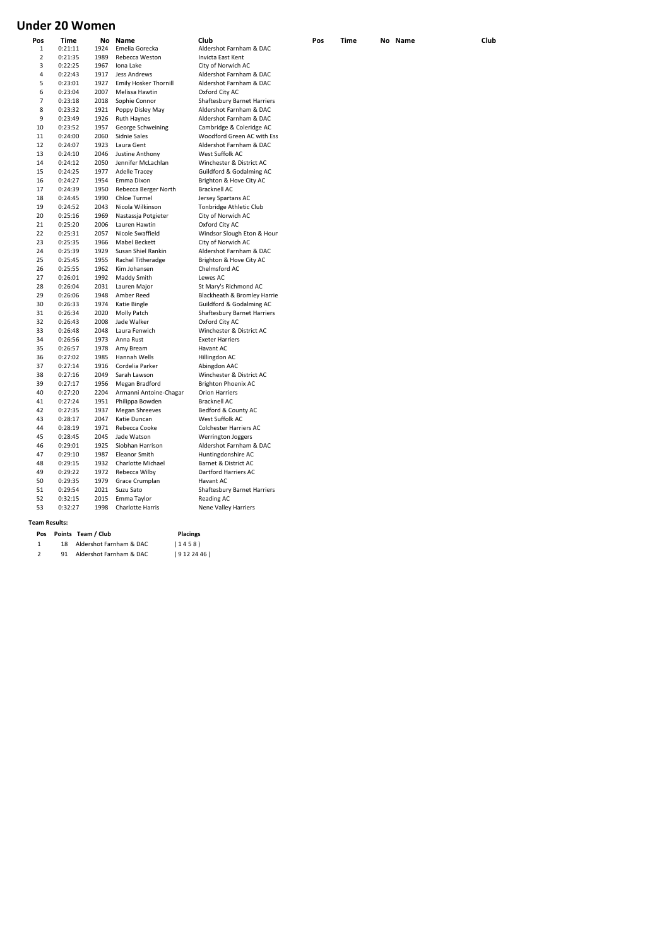# **Under 20 Women**

| Pos<br>1       | Time<br>0:21:11 | 1924 | No Name<br>Emelia Gorecka    | Club<br>Aldershot Farnham & DAC    | Pos | Time | No Name | Club |
|----------------|-----------------|------|------------------------------|------------------------------------|-----|------|---------|------|
| 2              | 0:21:35         | 1989 | Rebecca Weston               | Invicta East Kent                  |     |      |         |      |
| 3              | 0:22:25         | 1967 | Iona Lake                    | City of Norwich AC                 |     |      |         |      |
| 4              | 0:22:43         | 1917 | Jess Andrews                 | Aldershot Farnham & DAC            |     |      |         |      |
| 5              | 0:23:01         | 1927 | <b>Emily Hosker Thornill</b> | Aldershot Farnham & DAC            |     |      |         |      |
| 6              | 0:23:04         | 2007 | Melissa Hawtin               | Oxford City AC                     |     |      |         |      |
| $\overline{7}$ | 0:23:18         | 2018 | Sophie Connor                | <b>Shaftesbury Barnet Harriers</b> |     |      |         |      |
| 8              | 0:23:32         | 1921 | Poppy Disley May             | Aldershot Farnham & DAC            |     |      |         |      |
| 9              | 0:23:49         | 1926 | Ruth Haynes                  | Aldershot Farnham & DAC            |     |      |         |      |
| 10             | 0:23:52         | 1957 | George Schweining            | Cambridge & Coleridge AC           |     |      |         |      |
| 11             | 0:24:00         | 2060 | Sidnie Sales                 | Woodford Green AC with Ess         |     |      |         |      |
| 12             | 0:24:07         | 1923 | Laura Gent                   | Aldershot Farnham & DAC            |     |      |         |      |
| 13             | 0:24:10         | 2046 | Justine Anthony              | West Suffolk AC                    |     |      |         |      |
| 14             | 0:24:12         | 2050 | Jennifer McLachlan           | Winchester & District AC           |     |      |         |      |
| 15             | 0:24:25         | 1977 | Adelle Tracey                | Guildford & Godalming AC           |     |      |         |      |
| 16             | 0:24:27         | 1954 | Emma Dixon                   | Brighton & Hove City AC            |     |      |         |      |
| 17             | 0:24:39         | 1950 | Rebecca Berger North         | Bracknell AC                       |     |      |         |      |
| 18             | 0:24:45         | 1990 | Chloe Turmel                 | Jersey Spartans AC                 |     |      |         |      |
| 19             | 0:24:52         | 2043 | Nicola Wilkinson             | Tonbridge Athletic Club            |     |      |         |      |
| 20             | 0:25:16         | 1969 | Nastassja Potgieter          | City of Norwich AC                 |     |      |         |      |
| 21             | 0:25:20         | 2006 | Lauren Hawtin                | Oxford City AC                     |     |      |         |      |
| 22             | 0:25:31         | 2057 | Nicole Swaffield             | Windsor Slough Eton & Houn         |     |      |         |      |
| 23             | 0:25:35         | 1966 | <b>Mabel Beckett</b>         | City of Norwich AC                 |     |      |         |      |
| 24             | 0:25:39         | 1929 | Susan Shiel Rankin           | Aldershot Farnham & DAC            |     |      |         |      |
| 25             | 0:25:45         | 1955 | Rachel Titheradge            | Brighton & Hove City AC            |     |      |         |      |
| 26             | 0:25:55         | 1962 | Kim Johansen                 | Chelmsford AC                      |     |      |         |      |
| 27             | 0:26:01         | 1992 | Maddy Smith                  | Lewes AC                           |     |      |         |      |
| 28             | 0:26:04         | 2031 | Lauren Major                 | St Mary's Richmond AC              |     |      |         |      |
| 29             | 0:26:06         | 1948 | Amber Reed                   | Blackheath & Bromley Harrie        |     |      |         |      |
| 30             | 0:26:33         | 1974 | Katie Bingle                 | Guildford & Godalming AC           |     |      |         |      |
| 31             | 0:26:34         | 2020 | Molly Patch                  | Shaftesbury Barnet Harriers        |     |      |         |      |
| 32             | 0:26:43         | 2008 | Jade Walker                  | Oxford City AC                     |     |      |         |      |
| 33             | 0:26:48         | 2048 | Laura Fenwich                | Winchester & District AC           |     |      |         |      |
| 34             | 0:26:56         | 1973 | Anna Rust                    | <b>Exeter Harriers</b>             |     |      |         |      |
| 35             | 0:26:57         | 1978 | Amy Bream                    | Havant AC                          |     |      |         |      |
| 36             | 0:27:02         | 1985 | Hannah Wells                 | Hillingdon AC                      |     |      |         |      |
| 37             | 0:27:14         | 1916 | Cordelia Parker              | Abingdon AAC                       |     |      |         |      |
| 38             | 0:27:16         | 2049 | Sarah Lawson                 | Winchester & District AC           |     |      |         |      |
| 39             | 0:27:17         | 1956 | Megan Bradford               | Brighton Phoenix AC                |     |      |         |      |
| 40             | 0:27:20         | 2204 | Armanni Antoine-Chagar       | <b>Orion Harriers</b>              |     |      |         |      |
| 41             | 0:27:24         | 1951 | Philippa Bowden              | Bracknell AC                       |     |      |         |      |
| 42             | 0:27:35         | 1937 | <b>Megan Shreeves</b>        | Bedford & County AC                |     |      |         |      |
| 43             | 0:28:17         | 2047 | Katie Duncan                 | West Suffolk AC                    |     |      |         |      |
| 44             | 0:28:19         | 1971 | Rebecca Cooke                | Colchester Harriers AC             |     |      |         |      |
| 45             | 0:28:45         | 2045 | Jade Watson                  | <b>Werrington Joggers</b>          |     |      |         |      |
| 46             | 0:29:01         | 1925 | Siobhan Harrison             | Aldershot Farnham & DAC            |     |      |         |      |
| 47             | 0:29:10         | 1987 | <b>Eleanor Smith</b>         | Huntingdonshire AC                 |     |      |         |      |
| 48             | 0:29:15         | 1932 | Charlotte Michael            | Barnet & District AC               |     |      |         |      |
| 49             | 0:29:22         | 1972 | Rebecca Wilby                | Dartford Harriers AC               |     |      |         |      |
| 50             | 0:29:35         | 1979 | Grace Crumplan               | Havant AC                          |     |      |         |      |
| 51             | 0:29:54         | 2021 | Suzu Sato                    | <b>Shaftesbury Barnet Harriers</b> |     |      |         |      |
| 52             | 0:32:15         | 2015 | Emma Taylor                  | Reading AC                         |     |      |         |      |
| 53             | 0:32:27         | 1998 | Charlotte Harris             | <b>Nene Valley Harriers</b>        |     |      |         |      |
|                |                 |      |                              |                                    |     |      |         |      |

**Pos Team Points / Club Placings**

1 18 Aldershot Farnham & DAC (1458) 2 91 Aldershot Farnham & DAC (912 24 46)

**Team Results:**

### Woodford Green AC with Ess 12 12 1924<br>Mark Farnham & DAC West Suffolk AC erighton & Hove City AC 11.<br>Bracknell AC lersey Spartans AC Tonbridge Athletic Club 2.<br>20 0:25:25:25:25:25 2.<br>21 Oxford City AC 2020 - 25<br>2002 Nindsor Slough Eton & Houn 2.<br>23 Of Norwich AC Aldershot Farnham & DAC Brighton & Hove City AC 26 0:25:55 1962 Kim Johansen Chelmsford AC **2**<br>Lewes AC 5t Mary's Richmond AC Blackheath & Bromley Harrie .<br>3 xford City AC Winchester & District AC **Exeter Harriers Havant AC** 36 0:27:02 1985 Hannah Wells Hillingdon AC 37 0:27:14 1916 Cordelia Parker Abingdon AAC winchester & District AC Brighton Phoenix AC .<br>Drion Harriers 41 0:27:24 1951 Philippa Bowden Bracknell AC **Bedford & County AC** West Suffolk AC .<br>Colchester Harriers AC Huntingdonshire AC Barnet & District AC **Dartford Harriers AC Havant AC** 51 0:29:54 2021 Suzu Sato Shaftesbury Barnet Harriers .<br>Reading AC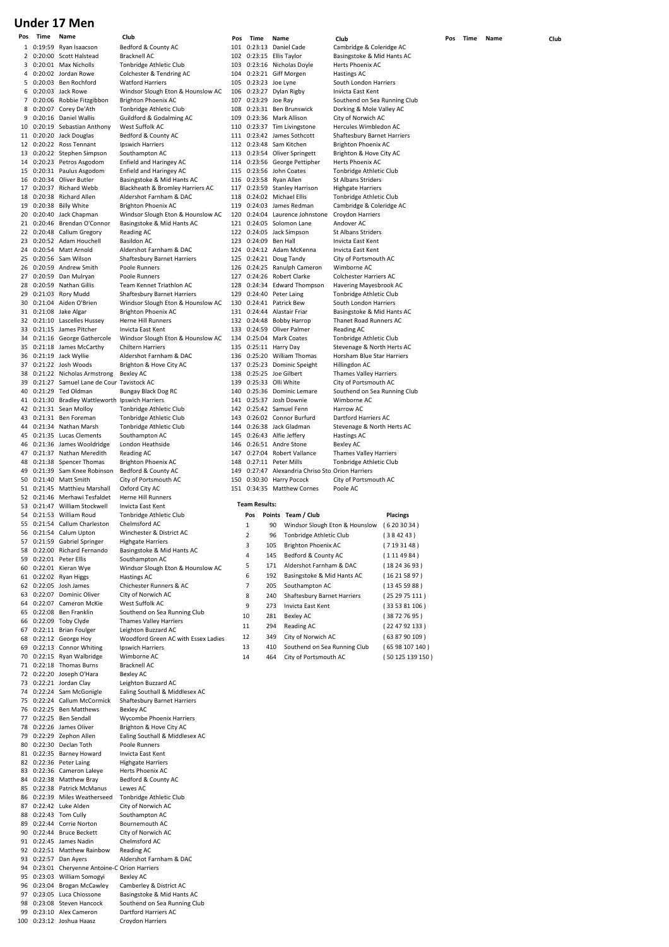# **Under 17 Men**

| Pos | Time | Name                                            | Club                                | Pos | Time                 | Name                                             | Club                           |                 | Pos | Time | Name | Club |
|-----|------|-------------------------------------------------|-------------------------------------|-----|----------------------|--------------------------------------------------|--------------------------------|-----------------|-----|------|------|------|
|     |      | 1 0:19:59 Ryan Isaacson                         | Bedford & County AC                 |     |                      | 101 0:23:13 Daniel Cade                          | Cambridge & Coleridge AC       |                 |     |      |      |      |
|     |      | 2 0:20:00 Scott Halstead                        | <b>Bracknell AC</b>                 |     |                      | 102 0:23:15 Ellis Taylor                         | Basingstoke & Mid Hants AC     |                 |     |      |      |      |
| 3   |      | 0:20:01 Max Nicholls                            | Tonbridge Athletic Club             | 103 |                      | 0:23:16 Nicholas Doyle                           | Herts Phoenix AC               |                 |     |      |      |      |
|     |      |                                                 |                                     |     |                      |                                                  |                                |                 |     |      |      |      |
|     |      | 4 0:20:02 Jordan Rowe                           | Colchester & Tendring AC            |     |                      | 104 0:23:21 Giff Morgen                          | <b>Hastings AC</b>             |                 |     |      |      |      |
|     |      | 5 0:20:03 Ben Rochford                          | <b>Watford Harriers</b>             | 105 |                      | 0:23:23 Joe Lyne                                 | South London Harriers          |                 |     |      |      |      |
| 6   |      | 0:20:03 Jack Rowe                               | Windsor Slough Eton & Hounslow AC   |     |                      | 106 0:23:27 Dylan Rigby                          | Invicta East Kent              |                 |     |      |      |      |
|     |      | 7 0:20:06 Robbie Fitzgibbon                     | Brighton Phoenix AC                 |     | 107 0:23:29 Joe Ray  |                                                  | Southend on Sea Running Club   |                 |     |      |      |      |
|     |      | 8 0:20:07 Corey De'Ath                          | Tonbridge Athletic Club             |     |                      | 108 0:23:31 Ben Brunswick                        | Dorking & Mole Valley AC       |                 |     |      |      |      |
| 9   |      | 0:20:16 Daniel Wallis                           | Guildford & Godalming AC            | 109 |                      | 0:23:36 Mark Allison                             | City of Norwich AC             |                 |     |      |      |      |
|     |      | 10 0:20:19 Sebastian Anthony                    | West Suffolk AC                     |     |                      | 110 0:23:37 Tim Livingstone                      | Hercules Wimbledon AC          |                 |     |      |      |      |
|     |      | 11 0:20:20 Jack Douglas                         | Bedford & County AC                 |     |                      | 111 0:23:42 James Sothcott                       | Shaftesbury Barnet Harriers    |                 |     |      |      |      |
|     |      | 12 0:20:22 Ross Tennant                         | Ipswich Harriers                    |     |                      | 112 0:23:48 Sam Kitchen                          | Brighton Phoenix AC            |                 |     |      |      |      |
|     |      |                                                 |                                     |     |                      |                                                  |                                |                 |     |      |      |      |
|     |      | 13 0:20:22 Stephen Simpson                      | Southampton AC                      |     |                      | 113 0:23:54 Oliver Springett                     | Brighton & Hove City AC        |                 |     |      |      |      |
|     |      | 14 0:20:23 Petros Asgodom                       | Enfield and Haringey AC             |     |                      | 114 0:23:56 George Pettipher                     | Herts Phoenix AC               |                 |     |      |      |      |
|     |      | 15 0:20:31 Paulus Asgodom                       | Enfield and Haringey AC             |     |                      | 115 0:23:56 John Coates                          | Tonbridge Athletic Club        |                 |     |      |      |      |
|     |      | 16 0:20:34 Oliver Butler                        | Basingstoke & Mid Hants AC          |     |                      | 116 0:23:58 Ryan Allen                           | St Albans Striders             |                 |     |      |      |      |
|     |      | 17 0:20:37 Richard Webb                         | Blackheath & Bromley Harriers AC    |     |                      | 117 0:23:59 Stanley Harrison                     | <b>Highgate Harriers</b>       |                 |     |      |      |      |
|     |      | 18 0:20:38 Richard Allen                        | Aldershot Farnham & DAC             |     |                      | 118 0:24:02 Michael Ellis                        | Tonbridge Athletic Club        |                 |     |      |      |      |
|     |      | 19 0:20:38 Billy White                          | Brighton Phoenix AC                 | 119 |                      | 0:24:03 James Redman                             | Cambridge & Coleridge AC       |                 |     |      |      |      |
|     |      | 20 0:20:40 Jack Chapman                         | Windsor Slough Eton & Hounslow AC   |     |                      | 120 0:24:04 Laurence Johnstone                   | Croydon Harriers               |                 |     |      |      |      |
|     |      | 21 0:20:46 Brendan O'Connor                     | Basingstoke & Mid Hants AC          |     |                      | 121 0:24:05 Solomon Lane                         | Andover AC                     |                 |     |      |      |      |
|     |      |                                                 |                                     |     |                      |                                                  |                                |                 |     |      |      |      |
|     |      | 22 0:20:48 Callum Gregory                       | Reading AC                          |     |                      | 122 0:24:05 Jack Simpson                         | St Albans Striders             |                 |     |      |      |      |
|     |      | 23 0:20:52 Adam Houchell                        | <b>Basildon AC</b>                  |     | 123 0:24:09 Ben Hall |                                                  | Invicta East Kent              |                 |     |      |      |      |
|     |      | 24 0:20:54 Matt Arnold                          | Aldershot Farnham & DAC             |     |                      | 124 0:24:12 Adam McKenna                         | Invicta East Kent              |                 |     |      |      |      |
|     |      | 25 0:20:56 Sam Wilson                           | Shaftesbury Barnet Harriers         |     |                      | 125 0:24:21 Doug Tandy                           | City of Portsmouth AC          |                 |     |      |      |      |
|     |      | 26 0:20:59 Andrew Smith                         | Poole Runners                       |     |                      | 126 0:24:25 Ranulph Cameron                      | Wimborne AC                    |                 |     |      |      |      |
|     |      | 27 0:20:59 Dan Mulryan                          | Poole Runners                       | 127 |                      | 0:24:26 Robert Clarke                            | Colchester Harriers AC         |                 |     |      |      |      |
|     |      | 28 0:20:59 Nathan Gillis                        | Team Kennet Triathlon AC            |     |                      | 128 0:24:34 Edward Thompson                      | Havering Mayesbrook AC         |                 |     |      |      |      |
|     |      | 29 0:21:03 Rory Mudd                            | <b>Shaftesbury Barnet Harriers</b>  | 129 |                      | 0:24:40 Peter Laing                              | Tonbridge Athletic Club        |                 |     |      |      |      |
|     |      | 30 0:21:04 Aiden O'Brien                        | Windsor Slough Eton & Hounslow AC   |     |                      | 130 0:24:41 Patrick Bew                          | South London Harriers          |                 |     |      |      |      |
|     |      | 31 0:21:08 Jake Algar                           | <b>Brighton Phoenix AC</b>          |     |                      | 131 0:24:44 Alastair Friar                       |                                |                 |     |      |      |      |
|     |      |                                                 |                                     |     |                      |                                                  | Basingstoke & Mid Hants AC     |                 |     |      |      |      |
|     |      | 32 0:21:10 Lascelles Hussey                     | Herne Hill Runners                  |     | 132 0:24:48          | Bobby Harrop                                     | Thanet Road Runners AC         |                 |     |      |      |      |
|     |      | 33 0:21:15 James Pitcher                        | Invicta East Kent                   |     |                      | 133 0:24:59 Oliver Palmer                        | Reading AC                     |                 |     |      |      |      |
|     |      | 34 0:21:16 George Gathercole                    | Windsor Slough Eton & Hounslow AC   |     |                      | 134 0:25:04 Mark Coates                          | Tonbridge Athletic Club        |                 |     |      |      |      |
|     |      | 35 0:21:18 James McCarthy                       | <b>Chiltern Harriers</b>            |     |                      | 135 0:25:11 Harry Day                            | Stevenage & North Herts AC     |                 |     |      |      |      |
|     |      | 36 0:21:19 Jack Wyllie                          | Aldershot Farnham & DAC             |     |                      | 136 0:25:20 William Thomas                       | Horsham Blue Star Harriers     |                 |     |      |      |      |
|     |      | 37 0:21:22 Josh Woods                           | Brighton & Hove City AC             |     |                      | 137 0:25:23 Dominic Speight                      | Hillingdon AC                  |                 |     |      |      |      |
|     |      | 38 0:21:22 Nicholas Armstrong                   | <b>Bexley AC</b>                    |     |                      | 138 0:25:25 Joe Gilbert                          | <b>Thames Valley Harriers</b>  |                 |     |      |      |      |
|     |      |                                                 |                                     |     |                      | 139 0:25:33 Olli White                           |                                |                 |     |      |      |      |
|     |      | 39 0:21:27 Samuel Lane de Cour Tavistock AC     |                                     |     |                      |                                                  | City of Portsmouth AC          |                 |     |      |      |      |
|     |      | 40 0:21:29 Ted Oldman                           | Bungay Black Dog RC                 |     |                      | 140 0:25:36 Dominic Lemare                       | Southend on Sea Running Club   |                 |     |      |      |      |
|     |      | 41 0:21:30 Bradley Wattleworth Ipswich Harriers |                                     |     |                      | 141 0:25:37 Josh Downie                          | Wimborne AC                    |                 |     |      |      |      |
|     |      | 42 0:21:31 Sean Molloy                          | Tonbridge Athletic Club             |     |                      | 142 0:25:42 Samuel Fenn                          | Harrow AC                      |                 |     |      |      |      |
|     |      | 43 0:21:31 Ben Foreman                          | Tonbridge Athletic Club             |     |                      | 143 0:26:02 Connor Burfurd                       | Dartford Harriers AC           |                 |     |      |      |      |
|     |      | 44 0:21:34 Nathan Marsh                         | Tonbridge Athletic Club             | 144 |                      | 0:26:38 Jack Gladman                             | Stevenage & North Herts AC     |                 |     |      |      |      |
|     |      | 45 0:21:35 Lucas Clements                       | Southampton AC                      | 145 |                      | 0:26:43 Alfie Jeffery                            | <b>Hastings AC</b>             |                 |     |      |      |      |
|     |      | 46 0:21:36 James Wooldridge                     | London Heathside                    |     |                      | 146 0:26:51 Andre Stone                          | Bexley AC                      |                 |     |      |      |      |
|     |      | 47 0:21:37 Nathan Meredith                      | Reading AC                          |     |                      | 147 0:27:04 Robert Vallance                      | <b>Thames Valley Harriers</b>  |                 |     |      |      |      |
|     |      | 48 0:21:38 Spencer Thomas                       | Brighton Phoenix AC                 | 148 |                      | 0:27:11 Peter Mills                              | Tonbridge Athletic Club        |                 |     |      |      |      |
|     |      |                                                 |                                     |     |                      |                                                  |                                |                 |     |      |      |      |
|     |      | 49 0:21:39 Sam Knee Robinson                    | Bedford & County AC                 |     |                      | 149 0:27:47 Alexandria Chriso Sto Orion Harriers |                                |                 |     |      |      |      |
|     |      | 50 0:21:40 Matt Smith                           | City of Portsmouth AC               |     |                      | 150 0:30:30 Harry Pocock                         | City of Portsmouth AC          |                 |     |      |      |      |
|     |      | 51 0:21:45 Matthieu Marshall                    | Oxford City AC                      |     |                      | 151 0:34:35 Matthew Cornes                       | Poole AC                       |                 |     |      |      |      |
|     |      | 52 0:21:46 Merhawi Tesfaldet                    | Herne Hill Runners                  |     |                      |                                                  |                                |                 |     |      |      |      |
|     |      | 53 0:21:47 William Stockwell                    | Invicta East Kent                   |     | <b>Team Results:</b> |                                                  |                                |                 |     |      |      |      |
|     |      | 54 0:21:53 William Roud                         | Tonbridge Athletic Club             |     | Pos                  | Points Team / Club                               |                                | <b>Placings</b> |     |      |      |      |
|     |      | 55 0:21:54 Callum Charleston                    | Chelmsford AC                       |     | 1                    | 90                                               | Windsor Slough Eton & Hounslow | (6203034)       |     |      |      |      |
|     |      | 56 0:21:54 Calum Upton                          | Winchester & District AC            |     | $\overline{2}$       |                                                  |                                |                 |     |      |      |      |
|     |      | 57 0:21:59 Gabriel Springer                     | <b>Highgate Harriers</b>            |     |                      | 96 Tonbridge Athletic Club                       |                                | (384243)        |     |      |      |      |
|     |      | 58 0:22:00 Richard Fernando                     | Basingstoke & Mid Hants AC          |     | 3                    | Brighton Phoenix AC<br>105                       |                                | (7193148)       |     |      |      |      |
|     |      |                                                 |                                     |     | 4                    | 145<br>Bedford & County AC                       |                                | (1114984)       |     |      |      |      |
|     |      | 59 0:22:01 Peter Ellis                          | Southampton AC                      |     | 5                    | 171<br>Aldershot Farnham & DAC                   |                                | (18243693)      |     |      |      |      |
|     |      | 60 0:22:01 Kieran Wye                           | Windsor Slough Eton & Hounslow AC   |     |                      |                                                  |                                |                 |     |      |      |      |
|     |      | 61 0:22:02 Ryan Higgs                           | <b>Hastings AC</b>                  |     | 6                    | 192<br>Basingstoke & Mid Hants AC                |                                | (16215897)      |     |      |      |      |
|     |      | 62 0:22:05 Josh James                           | Chichester Runners & AC             |     | 7                    | 205<br>Southampton AC                            |                                | (13455988)      |     |      |      |      |
|     |      | 63 0:22:07 Dominic Oliver                       | City of Norwich AC                  |     | 8                    | 240<br>Shaftesbury Barnet Harriers               |                                | (252975111)     |     |      |      |      |
|     |      | 64 0:22:07 Cameron McKie                        | West Suffolk AC                     |     | 9                    | 273<br>Invicta East Kent                         |                                | (335381106)     |     |      |      |      |
|     |      | 65 0:22:08 Ben Franklin                         | Southend on Sea Running Club        |     |                      |                                                  |                                |                 |     |      |      |      |
|     |      | 66 0:22:09 Toby Clyde                           | <b>Thames Valley Harriers</b>       |     | 10                   | 281<br><b>Bexley AC</b>                          |                                | (38727695)      |     |      |      |      |
|     |      | 67 0:22:11 Brian Foulger                        | Leighton Buzzard AC                 |     | 11                   | 294<br>Reading AC                                |                                | (224792133)     |     |      |      |      |
|     |      | 68 0:22:12 George Hoy                           | Woodford Green AC with Essex Ladies |     | 12                   | 349<br>City of Norwich AC                        |                                | (638790109)     |     |      |      |      |
|     |      | 69 0:22:13 Connor Whiting                       | Ipswich Harriers                    |     | 13                   | 410<br>Southend on Sea Running Club              |                                | (6598107140)    |     |      |      |      |
|     |      |                                                 | Wimborne AC                         |     |                      |                                                  |                                |                 |     |      |      |      |
|     |      | 70 0:22:15 Ryan Walbridge                       |                                     |     | 14                   | 464<br>City of Portsmouth AC                     |                                | (50125139150)   |     |      |      |      |
|     |      | 71 0:22:18 Thomas Burns                         | <b>Bracknell AC</b>                 |     |                      |                                                  |                                |                 |     |      |      |      |
|     |      | 72 0:22:20 Joseph O'Hara                        | <b>Bexley AC</b>                    |     |                      |                                                  |                                |                 |     |      |      |      |
|     |      | 73 0:22:21 Jordan Clay                          | Leighton Buzzard AC                 |     |                      |                                                  |                                |                 |     |      |      |      |
|     |      | 74 0:22:24 Sam McGonigle                        | Ealing Southall & Middlesex AC      |     |                      |                                                  |                                |                 |     |      |      |      |
|     |      | 75 0:22:24 Callum McCormick                     | Shaftesbury Barnet Harriers         |     |                      |                                                  |                                |                 |     |      |      |      |
|     |      | 76 0:22:25 Ben Matthews                         | <b>Bexley AC</b>                    |     |                      |                                                  |                                |                 |     |      |      |      |
|     |      | 77 0:22:25 Ben Sendall                          | <b>Wycombe Phoenix Harriers</b>     |     |                      |                                                  |                                |                 |     |      |      |      |
|     |      | 78 0:22:26 James Oliver                         | Brighton & Hove City AC             |     |                      |                                                  |                                |                 |     |      |      |      |
|     |      | 79 0:22:29 Zephon Allen                         | Ealing Southall & Middlesex AC      |     |                      |                                                  |                                |                 |     |      |      |      |
|     |      | 80 0:22:30 Declan Toth                          | Poole Runners                       |     |                      |                                                  |                                |                 |     |      |      |      |
|     |      |                                                 |                                     |     |                      |                                                  |                                |                 |     |      |      |      |
|     |      | 81 0:22:35 Barney Howard                        | Invicta East Kent                   |     |                      |                                                  |                                |                 |     |      |      |      |
|     |      | 82 0:22:36 Peter Laing                          | <b>Highgate Harriers</b>            |     |                      |                                                  |                                |                 |     |      |      |      |
|     |      | 83 0:22:36 Cameron Laleye                       | Herts Phoenix AC                    |     |                      |                                                  |                                |                 |     |      |      |      |
|     |      | 84 0:22:38 Matthew Bray                         | Bedford & County AC                 |     |                      |                                                  |                                |                 |     |      |      |      |
|     |      | 85 0:22:38 Patrick McManus                      | Lewes AC                            |     |                      |                                                  |                                |                 |     |      |      |      |
|     |      | 86 0:22:39 Miles Weatherseed                    | Tonbridge Athletic Club             |     |                      |                                                  |                                |                 |     |      |      |      |
|     |      | 87 0:22:42 Luke Alden                           | City of Norwich AC                  |     |                      |                                                  |                                |                 |     |      |      |      |
|     |      | 88 0:22:43 Tom Cully                            | Southampton AC                      |     |                      |                                                  |                                |                 |     |      |      |      |
|     |      |                                                 |                                     |     |                      |                                                  |                                |                 |     |      |      |      |
|     |      | 89 0:22:44 Corrie Norton                        | Bournemouth AC                      |     |                      |                                                  |                                |                 |     |      |      |      |
|     |      | 90 0:22:44 Bruce Beckett                        | City of Norwich AC                  |     |                      |                                                  |                                |                 |     |      |      |      |
|     |      | 91 0:22:45 James Nadin                          | Chelmsford AC                       |     |                      |                                                  |                                |                 |     |      |      |      |
|     |      | 92 0:22:51 Matthew Rainbow                      | Reading AC                          |     |                      |                                                  |                                |                 |     |      |      |      |
|     |      | 93 0:22:57 Dan Ayers                            | Aldershot Farnham & DAC             |     |                      |                                                  |                                |                 |     |      |      |      |
|     |      | 94 0:23:01 Cheryenne Antoine-C Orion Harriers   |                                     |     |                      |                                                  |                                |                 |     |      |      |      |
|     |      | 95 0:23:03 William Somogyi                      | Bexley AC                           |     |                      |                                                  |                                |                 |     |      |      |      |
|     |      | 96 0:23:04 Brogan McCawley                      | Camberley & District AC             |     |                      |                                                  |                                |                 |     |      |      |      |
|     |      | 97 0:23:05 Luca Chiossone                       | Basingstoke & Mid Hants AC          |     |                      |                                                  |                                |                 |     |      |      |      |
|     |      | 98 0:23:08 Steven Hancock                       | Southend on Sea Running Club        |     |                      |                                                  |                                |                 |     |      |      |      |
|     |      | 99 0:23:10 Alex Cameron                         | Dartford Harriers AC                |     |                      |                                                  |                                |                 |     |      |      |      |
|     |      | 100 0:23:12 Joshua Haasz                        | Croydon Harriers                    |     |                      |                                                  |                                |                 |     |      |      |      |
|     |      |                                                 |                                     |     |                      |                                                  |                                |                 |     |      |      |      |

| 101        | 0:23:13                |        | Daniel Cade                           | Cambridge & Coleridge AC                          |                 |  |
|------------|------------------------|--------|---------------------------------------|---------------------------------------------------|-----------------|--|
| 102        | 0:23:15                |        | Ellis Taylor                          | Basingstoke & Mid Hants AC                        |                 |  |
| 103        | 0:23:16                |        | Nicholas Doyle                        | Herts Phoenix AC                                  |                 |  |
| 104        |                        |        | 0:23:21 Giff Morgen                   | <b>Hastings AC</b>                                |                 |  |
| 105        | 0:23:23                |        | Joe Lyne                              | South London Harriers                             |                 |  |
| 106        | 0:23:27                |        | Dylan Rigby                           | Invicta East Kent                                 |                 |  |
| 107        | 0:23:29                |        | Joe Ray                               | Southend on Sea Running Club                      |                 |  |
| 108        |                        |        | 0:23:31 Ben Brunswick                 | Dorking & Mole Valley AC                          |                 |  |
| 109        | 0:23:36                |        | Mark Allison                          | City of Norwich AC                                |                 |  |
| 110        | 0:23:37                |        | Tim Livingstone                       | Hercules Wimbledon AC                             |                 |  |
| 111        | 0:23:42                |        | James Sothcott                        | Shaftesbury Barnet Harriers                       |                 |  |
| 112        | 0:23:48                |        | Sam Kitchen                           | <b>Brighton Phoenix AC</b>                        |                 |  |
| 113        |                        |        | 0:23:54 Oliver Springett              | Brighton & Hove City AC                           |                 |  |
| 114        | 0:23:56                |        | George Pettipher                      | Herts Phoenix AC                                  |                 |  |
| 115        | 0:23:56                |        | John Coates                           | Tonbridge Athletic Club                           |                 |  |
| 116        | 0:23:58                |        | Ryan Allen                            | <b>St Albans Striders</b>                         |                 |  |
| 117        | 0:23:59                |        | <b>Stanley Harrison</b>               | <b>Highgate Harriers</b>                          |                 |  |
| 118        | 0:24:02                |        | <b>Michael Ellis</b>                  | Tonbridge Athletic Club                           |                 |  |
| 119        |                        |        | 0:24:03 James Redman                  | Cambridge & Coleridge AC                          |                 |  |
| 120        | 0:24:04                |        | Laurence Johnstone                    | Croydon Harriers                                  |                 |  |
| 121        | 0:24:05                |        | Solomon Lane                          | Andover AC                                        |                 |  |
| 122        | 0:24:05                |        | Jack Simpson                          | <b>St Albans Striders</b>                         |                 |  |
| 123        | 0:24:09                |        | <b>Ben Hall</b>                       | Invicta East Kent                                 |                 |  |
|            | 124 0:24:12            |        | Adam McKenna                          | Invicta East Kent                                 |                 |  |
| 125        | 0:24:21                |        | Doug Tandy                            | City of Portsmouth AC                             |                 |  |
| 126        | 0:24:25                |        | Ranulph Cameron                       | Wimborne AC                                       |                 |  |
| 127<br>128 | 0:24:26<br>0:24:34     |        | Robert Clarke                         | Colchester Harriers AC                            |                 |  |
| 129        | 0:24:40                |        | <b>Edward Thompson</b><br>Peter Laing | Havering Mayesbrook AC<br>Tonbridge Athletic Club |                 |  |
| 130        | 0:24:41                |        | Patrick Bew                           | South London Harriers                             |                 |  |
| 131        | 0:24:44                |        | Alastair Friar                        | Basingstoke & Mid Hants AC                        |                 |  |
| 132        | 0:24:48                |        | <b>Bobby Harrop</b>                   | Thanet Road Runners AC                            |                 |  |
| 133        | 0:24:59                |        | Oliver Palmer                         | Reading AC                                        |                 |  |
| 134        | 0:25:04                |        | <b>Mark Coates</b>                    | Tonbridge Athletic Club                           |                 |  |
| 135        | 0:25:11                |        | Harry Day                             | Stevenage & North Herts AC                        |                 |  |
| 136        |                        |        | 0:25:20 William Thomas                | Horsham Blue Star Harriers                        |                 |  |
| 137        | 0:25:23                |        | Dominic Speight                       | Hillingdon AC                                     |                 |  |
| 138        | 0:25:25                |        | Joe Gilbert                           | <b>Thames Valley Harriers</b>                     |                 |  |
|            | 139 0:25:33 Olli White |        |                                       | City of Portsmouth AC                             |                 |  |
| 140        | 0:25:36                |        | Dominic Lemare                        | Southend on Sea Running Club                      |                 |  |
| 141        | 0:25:37                |        | Josh Downie                           | Wimborne AC                                       |                 |  |
| 142        |                        |        | 0:25:42 Samuel Fenn                   | Harrow AC                                         |                 |  |
| 143        | 0:26:02                |        | Connor Burfurd                        | Dartford Harriers AC                              |                 |  |
| 144        |                        |        | 0:26:38 Jack Gladman                  | Stevenage & North Herts AC                        |                 |  |
| 145        | 0:26:43                |        | Alfie Jeffery                         | Hastings AC                                       |                 |  |
| 146        |                        |        | 0:26:51 Andre Stone                   | <b>Bexley AC</b>                                  |                 |  |
| 147        | 0:27:04                |        | Robert Vallance                       | <b>Thames Valley Harriers</b>                     |                 |  |
| 148        | 0:27:11                |        | Peter Mills                           | Tonbridge Athletic Club                           |                 |  |
| 149        | 0:27:47                |        | Alexandria Chriso Sto Orion Harriers  |                                                   |                 |  |
| 150        | 0:30:30                |        | Harry Pocock                          | City of Portsmouth AC                             |                 |  |
| 151        | 0:34:35                |        | <b>Matthew Cornes</b>                 | Poole AC                                          |                 |  |
|            | <b>Team Results:</b>   |        |                                       |                                                   |                 |  |
|            | Pos                    | Points | Team / Club                           |                                                   | <b>Placings</b> |  |
|            | $\mathbf{1}$           | 90     |                                       | Windsor Slough Eton & Hounslow                    | (6203034)       |  |
|            | 2                      | 96     | Tonbridge Athletic Club               |                                                   | (384243)        |  |
|            | 3                      | 105    | Brighton Phoenix AC                   |                                                   | (7193148)       |  |
|            | 4                      | 145    | Bedford & County AC                   |                                                   | (1114984)       |  |

| 4  | 145 | Bedford & County AC                | (1114984)        |
|----|-----|------------------------------------|------------------|
| 5  | 171 | Aldershot Farnham & DAC            | (18243693)       |
| 6  | 192 | Basingstoke & Mid Hants AC         | (16215897)       |
| 7  | 205 | Southampton AC                     | (13455988)       |
| 8  | 240 | <b>Shaftesbury Barnet Harriers</b> | (252975111)      |
| 9  | 273 | <b>Invicta Fast Kent</b>           | (335381106)      |
| 10 | 281 | <b>Bexley AC</b>                   | (38727695)       |
| 11 | 294 | Reading AC                         | (224792133)      |
| 12 | 349 | City of Norwich AC                 | (638790109)      |
| 13 | 410 | Southend on Sea Running Club       | (6598107140)     |
| 14 | 464 | City of Portsmouth AC              | (50 125 139 150) |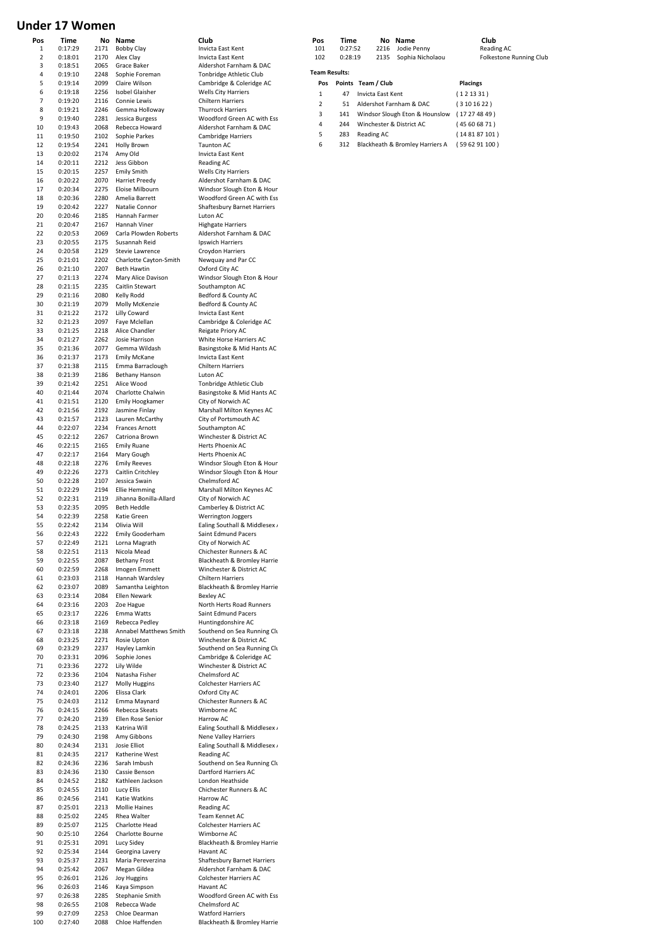# **Under 17 Women**

| Pos | Time    | Νo   | Name                   | Club                               | Pos                  | Time    |                    |      | No Name                         | Club            |
|-----|---------|------|------------------------|------------------------------------|----------------------|---------|--------------------|------|---------------------------------|-----------------|
| 1   | 0:17:29 | 2171 | Bobby Clay             | Invicta East Kent                  | 101                  | 0:27:52 |                    | 2216 | Jodie Penny                     | Readi           |
| 2   | 0:18:01 | 2170 | Alex Clay              | <b>Invicta East Kent</b>           | 102                  | 0:28:19 |                    | 2135 | Sophia Nicholaou                | Folkes          |
| 3   | 0:18:51 | 2065 | Grace Baker            | Aldershot Farnham & DAC            |                      |         |                    |      |                                 |                 |
| 4   | 0:19:10 | 2248 | Sophie Foreman         | Tonbridge Athletic Club            | <b>Team Results:</b> |         |                    |      |                                 |                 |
| 5   | 0:19:14 | 2099 | Claire Wilson          | Cambridge & Coleridge AC           | Pos                  |         | Points Team / Club |      |                                 | <b>Placings</b> |
| 6   |         | 2256 | Isobel Glaisher        | <b>Wells City Harriers</b>         |                      |         |                    |      |                                 |                 |
|     | 0:19:18 |      |                        |                                    | 1                    | 47      | Invicta East Kent  |      |                                 | (121331)        |
| 7   | 0:19:20 | 2116 | Connie Lewis           | Chiltern Harriers                  | $\overline{2}$       | 51      |                    |      | Aldershot Farnham & DAC         | (3101622)       |
| 8   | 0:19:21 | 2246 | Gemma Holloway         | <b>Thurrock Harriers</b>           | 3                    | 141     |                    |      | Windsor Slough Eton & Hounslow  | (17274849)      |
| 9   | 0:19:40 | 2281 | Jessica Burgess        | Woodford Green AC with Ess         | 4                    | 244     |                    |      | Winchester & District AC        | (45606871)      |
| 10  | 0:19:43 | 2068 | Rebecca Howard         | Aldershot Farnham & DAC            |                      |         |                    |      |                                 |                 |
| 11  | 0:19:50 | 2102 | Sophie Parkes          | Cambridge Harriers                 | 5                    | 283     | Reading AC         |      |                                 | (14 81 87 101   |
| 12  | 0:19:54 | 2241 | Holly Brown            | Taunton AC                         | 6                    | 312     |                    |      | Blackheath & Bromley Harriers A | (59 62 91 100   |
| 13  | 0:20:02 | 2174 | Amy Old                | Invicta East Kent                  |                      |         |                    |      |                                 |                 |
| 14  | 0:20:11 | 2212 | Jess Gibbon            | Reading AC                         |                      |         |                    |      |                                 |                 |
| 15  | 0:20:15 | 2257 | <b>Emily Smith</b>     |                                    |                      |         |                    |      |                                 |                 |
|     |         |      |                        | <b>Wells City Harriers</b>         |                      |         |                    |      |                                 |                 |
| 16  | 0:20:22 | 2070 | <b>Harriet Preedy</b>  | Aldershot Farnham & DAC            |                      |         |                    |      |                                 |                 |
| 17  | 0:20:34 | 2275 | Eloise Milbourn        | Windsor Slough Eton & Houn         |                      |         |                    |      |                                 |                 |
| 18  | 0:20:36 | 2280 | Amelia Barrett         | Woodford Green AC with Ess         |                      |         |                    |      |                                 |                 |
| 19  | 0:20:42 | 2227 | Natalie Connor         | <b>Shaftesbury Barnet Harriers</b> |                      |         |                    |      |                                 |                 |
| 20  | 0:20:46 | 2185 | Hannah Farmer          | Luton AC                           |                      |         |                    |      |                                 |                 |
| 21  | 0:20:47 | 2167 | Hannah Viner           | <b>Highgate Harriers</b>           |                      |         |                    |      |                                 |                 |
| 22  | 0:20:53 | 2069 | Carla Plowden Roberts  | Aldershot Farnham & DAC            |                      |         |                    |      |                                 |                 |
| 23  | 0:20:55 | 2175 | Susannah Reid          | Ipswich Harriers                   |                      |         |                    |      |                                 |                 |
| 24  | 0:20:58 | 2129 | Stevie Lawrence        | Croydon Harriers                   |                      |         |                    |      |                                 |                 |
| 25  | 0:21:01 | 2202 |                        |                                    |                      |         |                    |      |                                 |                 |
|     |         |      | Charlotte Cayton-Smith | Newquay and Par CC                 |                      |         |                    |      |                                 |                 |
| 26  | 0:21:10 | 2207 | <b>Beth Hawtin</b>     | Oxford City AC                     |                      |         |                    |      |                                 |                 |
| 27  | 0:21:13 | 2274 | Mary Alice Davison     | Windsor Slough Eton & Houn         |                      |         |                    |      |                                 |                 |
| 28  | 0:21:15 | 2235 | Caitlin Stewart        | Southampton AC                     |                      |         |                    |      |                                 |                 |
| 29  | 0:21:16 | 2080 | Kelly Rodd             | Bedford & County AC                |                      |         |                    |      |                                 |                 |
| 30  | 0:21:19 | 2079 | Molly McKenzie         | Bedford & County AC                |                      |         |                    |      |                                 |                 |
| 31  | 0:21:22 | 2172 | Lilly Coward           | Invicta East Kent                  |                      |         |                    |      |                                 |                 |
| 32  | 0:21:23 | 2097 | Faye Mclellan          | Cambridge & Coleridge AC           |                      |         |                    |      |                                 |                 |
| 33  | 0:21:25 | 2218 | Alice Chandler         | Reigate Priory AC                  |                      |         |                    |      |                                 |                 |
|     |         |      |                        |                                    |                      |         |                    |      |                                 |                 |
| 34  | 0:21:27 | 2262 | Josie Harrison         | White Horse Harriers AC            |                      |         |                    |      |                                 |                 |
| 35  | 0:21:36 | 2077 | Gemma Wildash          | Basingstoke & Mid Hants AC         |                      |         |                    |      |                                 |                 |
| 36  | 0:21:37 | 2173 | <b>Emily McKane</b>    | Invicta East Kent                  |                      |         |                    |      |                                 |                 |
| 37  | 0:21:38 | 2115 | Emma Barraclough       | <b>Chiltern Harriers</b>           |                      |         |                    |      |                                 |                 |
| 38  | 0:21:39 | 2186 | <b>Bethany Hanson</b>  | Luton AC                           |                      |         |                    |      |                                 |                 |
| 39  | 0:21:42 | 2251 | Alice Wood             | Tonbridge Athletic Club            |                      |         |                    |      |                                 |                 |
| 40  | 0:21:44 | 2074 | Charlotte Chalwin      | Basingstoke & Mid Hants AC         |                      |         |                    |      |                                 |                 |
| 41  | 0:21:51 | 2120 | Emily Hoogkamer        |                                    |                      |         |                    |      |                                 |                 |
|     |         |      |                        | City of Norwich AC                 |                      |         |                    |      |                                 |                 |
| 42  | 0:21:56 | 2192 | Jasmine Finlay         | Marshall Milton Keynes AC          |                      |         |                    |      |                                 |                 |
| 43  | 0:21:57 | 2123 | Lauren McCarthy        | City of Portsmouth AC              |                      |         |                    |      |                                 |                 |
| 44  | 0:22:07 | 2234 | <b>Frances Arnott</b>  | Southampton AC                     |                      |         |                    |      |                                 |                 |
| 45  | 0:22:12 | 2267 | Catriona Brown         | Winchester & District AC           |                      |         |                    |      |                                 |                 |
| 46  | 0:22:15 | 2165 | <b>Emily Ruane</b>     | Herts Phoenix AC                   |                      |         |                    |      |                                 |                 |
| 47  | 0:22:17 | 2164 | Mary Gough             | Herts Phoenix AC                   |                      |         |                    |      |                                 |                 |
| 48  | 0:22:18 | 2276 | <b>Emily Reeves</b>    | Windsor Slough Eton & Houn         |                      |         |                    |      |                                 |                 |
|     |         |      | Caitlin Critchley      | Windsor Slough Eton & Houn         |                      |         |                    |      |                                 |                 |
| 49  | 0:22:26 | 2273 |                        |                                    |                      |         |                    |      |                                 |                 |
| 50  | 0:22:28 | 2107 | Jessica Swain          | Chelmsford AC                      |                      |         |                    |      |                                 |                 |
| 51  | 0:22:29 | 2194 | <b>Ellie Hemming</b>   | Marshall Milton Keynes AC          |                      |         |                    |      |                                 |                 |
| 52  | 0:22:31 | 2119 | Jihanna Bonilla-Allard | City of Norwich AC                 |                      |         |                    |      |                                 |                 |
| 53  | 0:22:35 | 2095 | <b>Beth Heddle</b>     | Camberley & District AC            |                      |         |                    |      |                                 |                 |
| 54  | 0:22:39 | 2258 | Katie Green            | Werrington Joggers                 |                      |         |                    |      |                                 |                 |
| 55  | 0:22:42 | 2134 | Olivia Will            | Ealing Southall & Middlesex /      |                      |         |                    |      |                                 |                 |
| 56  | 0:22:43 | 2222 | Emily Gooderham        | Saint Edmund Pacers                |                      |         |                    |      |                                 |                 |
| 57  | 0:22:49 | 2121 | Lorna Magrath          | City of Norwich AC                 |                      |         |                    |      |                                 |                 |
|     |         |      |                        |                                    |                      |         |                    |      |                                 |                 |
| 58  | 0:22:51 | 2113 | Nicola Mead            | Chichester Runners & AC            |                      |         |                    |      |                                 |                 |
| 59  | 0:22:55 | 2087 | <b>Bethany Frost</b>   | Blackheath & Bromley Harrie        |                      |         |                    |      |                                 |                 |
| 60  | 0:22:59 | 2268 | Imogen Emmett          | Winchester & District AC           |                      |         |                    |      |                                 |                 |
| 61  | 0:23:03 | 2118 | Hannah Wardsley        | <b>Chiltern Harriers</b>           |                      |         |                    |      |                                 |                 |
| 62  | 0:23:07 | 2089 | Samantha Leighton      | Blackheath & Bromley Harrie        |                      |         |                    |      |                                 |                 |
| 63  | 0:23:14 | 2084 | Ellen Newark           | Bexley AC                          |                      |         |                    |      |                                 |                 |
| 64  | 0:23:16 | 2203 | Zoe Hague              | North Herts Road Runners           |                      |         |                    |      |                                 |                 |
| 65  | 0:23:17 | 2226 | Emma Watts             | Saint Edmund Pacers                |                      |         |                    |      |                                 |                 |
| 66  |         | 2169 | Rebecca Pedley         | Huntingdonshire AC                 |                      |         |                    |      |                                 |                 |
|     | 0:23:18 |      |                        | Southend on Sea Running Clu        |                      |         |                    |      |                                 |                 |
| 67  | 0:23:18 | 2238 | Annabel Matthews Smith |                                    |                      |         |                    |      |                                 |                 |
| 68  | 0:23:25 | 2271 | Rosie Upton            | Winchester & District AC           |                      |         |                    |      |                                 |                 |
| 69  | 0:23:29 | 2237 | Hayley Lamkin          | Southend on Sea Running Clu        |                      |         |                    |      |                                 |                 |
| 70  | 0:23:31 | 2096 | Sophie Jones           | Cambridge & Coleridge AC           |                      |         |                    |      |                                 |                 |
| 71  | 0:23:36 | 2272 | Lily Wilde             | Winchester & District AC           |                      |         |                    |      |                                 |                 |
| 72  | 0:23:36 | 2104 | Natasha Fisher         | Chelmsford AC                      |                      |         |                    |      |                                 |                 |
| 73  | 0:23:40 | 2127 | Molly Huggins          | <b>Colchester Harriers AC</b>      |                      |         |                    |      |                                 |                 |
| 74  | 0:24:01 | 2206 | Elissa Clark           | Oxford City AC                     |                      |         |                    |      |                                 |                 |
| 75  | 0:24:03 | 2112 | Emma Maynard           | Chichester Runners & AC            |                      |         |                    |      |                                 |                 |
| 76  | 0:24:15 | 2266 | Rebecca Skeats         | Wimborne AC                        |                      |         |                    |      |                                 |                 |
| 77  |         | 2139 | Ellen Rose Senior      |                                    |                      |         |                    |      |                                 |                 |
|     | 0:24:20 |      |                        | Harrow AC                          |                      |         |                    |      |                                 |                 |
| 78  | 0:24:25 | 2133 | Katrina Will           | Ealing Southall & Middlesex /      |                      |         |                    |      |                                 |                 |
| 79  | 0:24:30 | 2198 | Amy Gibbons            | Nene Valley Harriers               |                      |         |                    |      |                                 |                 |
| 80  | 0:24:34 | 2131 | Josie Elliot           | Ealing Southall & Middlesex /      |                      |         |                    |      |                                 |                 |
| 81  | 0:24:35 | 2217 | Katherine West         | Reading AC                         |                      |         |                    |      |                                 |                 |
| 82  | 0:24:36 | 2236 | Sarah Imbush           | Southend on Sea Running Clu        |                      |         |                    |      |                                 |                 |
| 83  | 0:24:36 | 2130 | Cassie Benson          | Dartford Harriers AC               |                      |         |                    |      |                                 |                 |
| 84  | 0:24:52 | 2182 | Kathleen Jackson       | London Heathside                   |                      |         |                    |      |                                 |                 |
|     |         |      |                        |                                    |                      |         |                    |      |                                 |                 |
| 85  | 0:24:55 | 2110 | Lucy Ellis             | Chichester Runners & AC            |                      |         |                    |      |                                 |                 |
| 86  | 0:24:56 | 2141 | Katie Watkins          | Harrow AC                          |                      |         |                    |      |                                 |                 |
| 87  | 0:25:01 | 2213 | <b>Mollie Haines</b>   | Reading AC                         |                      |         |                    |      |                                 |                 |
| 88  | 0:25:02 | 2245 | Rhea Walter            | Team Kennet AC                     |                      |         |                    |      |                                 |                 |
| 89  | 0:25:07 | 2125 | Charlotte Head         | Colchester Harriers AC             |                      |         |                    |      |                                 |                 |
| 90  | 0:25:10 | 2264 | Charlotte Bourne       | Wimborne AC                        |                      |         |                    |      |                                 |                 |
| 91  | 0:25:31 | 2091 | Lucy Sidey             | Blackheath & Bromley Harrie        |                      |         |                    |      |                                 |                 |
| 92  | 0:25:34 | 2144 | Georgina Lavery        | Havant AC                          |                      |         |                    |      |                                 |                 |
|     |         |      |                        |                                    |                      |         |                    |      |                                 |                 |
| 93  | 0:25:37 | 2231 | Maria Pereverzina      | Shaftesbury Barnet Harriers        |                      |         |                    |      |                                 |                 |
| 94  | 0:25:42 | 2067 | Megan Gildea           | Aldershot Farnham & DAC            |                      |         |                    |      |                                 |                 |
| 95  | 0:26:01 | 2126 | <b>Joy Huggins</b>     | <b>Colchester Harriers AC</b>      |                      |         |                    |      |                                 |                 |
| 96  | 0:26:03 | 2146 | Kaya Simpson           | Havant AC                          |                      |         |                    |      |                                 |                 |
| 97  | 0:26:38 | 2285 | Stephanie Smith        | Woodford Green AC with Ess         |                      |         |                    |      |                                 |                 |
| 98  | 0:26:55 | 2108 | Rebecca Wade           | Chelmsford AC                      |                      |         |                    |      |                                 |                 |
| 99  | 0:27:09 | 2253 | Chloe Dearman          | <b>Watford Harriers</b>            |                      |         |                    |      |                                 |                 |
| 100 | 0:27:40 | 2088 | Chloe Haffenden        | Blackheath & Bromley Harrie        |                      |         |                    |      |                                 |                 |

| ros | ,,,,,,  | nuo  | ш |
|-----|---------|------|---|
| 101 | 0:27:52 | 2216 |   |
| 102 | 0:28:19 | 2135 |   |
|     |         |      |   |

# **101 Name**<br>101 101 0:2016 Dodie Penny Reading AC<br>101 Folkestone

102 2018 102 0:28:19 Polkestone Running Club

|     | <b>Team Results:</b> |                                 |                 |  |  |  |  |  |  |
|-----|----------------------|---------------------------------|-----------------|--|--|--|--|--|--|
| Pos |                      | Points Team / Club              | <b>Placings</b> |  |  |  |  |  |  |
| 1   | 47                   | Invicta East Kent               | (121331)        |  |  |  |  |  |  |
| 2   | 51                   | Aldershot Farnham & DAC         | (3101622)       |  |  |  |  |  |  |
| 3   | 141                  | Windsor Slough Eton & Hounslow  | (17274849)      |  |  |  |  |  |  |
| 4   | 244                  | Winchester & District AC        | (45606871)      |  |  |  |  |  |  |
| 5   | 283                  | Reading AC                      | (148187101)     |  |  |  |  |  |  |
| 6   | 312                  | Blackheath & Bromley Harriers A | (596291100)     |  |  |  |  |  |  |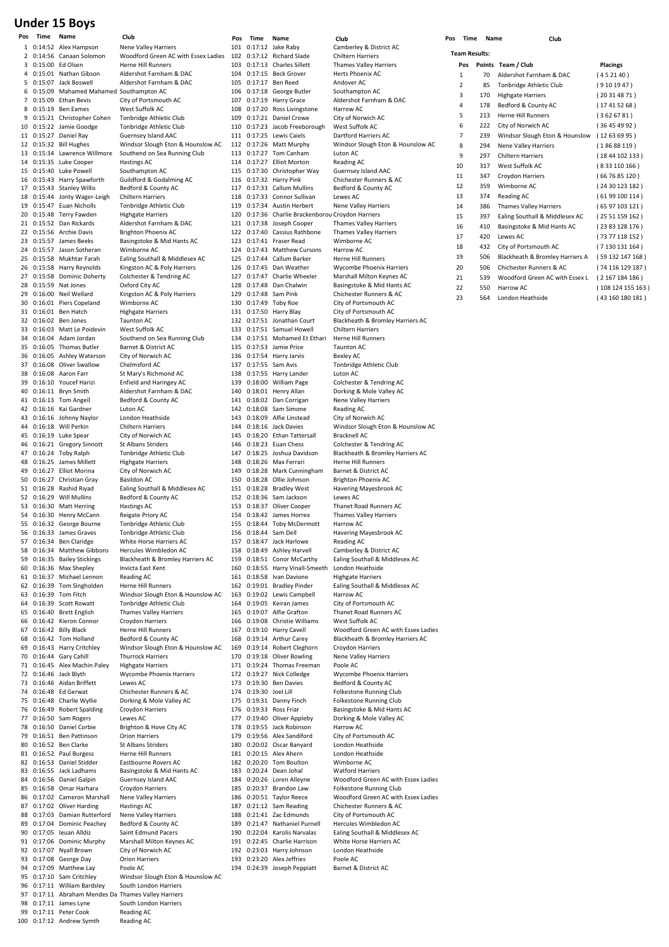# **Under 15 Boys**

1 0:14:52 Alex Hampson Nene Valley Harriers<br>2 0:14:56 Canaan Solomon Woodford Green AC  $3.0:15:00$  Ed Olsen 0:15:01 Nathan Gibson Aldershot Farnham & DAC<br>0:15:07 Jack Boswell Aldershot Farnham & DAC 5 0:15:07 Jack Boswell Aldershot Farnham & DAC<br>6 0:15:09 Mahamed Mahamed Southampton AC 6 0:15:09 Mahamed Mahamed Southampton AC 7 0:15:09 Ethan Bevis City of Portsmouth AC 8 0:15:19 Ben Eames West Suffolk AC 9 0:15:21 Christopher Cohen Tonbridge Athletic Club<br>10 0:15:22 Jamie Goodge Tonbridge Athletic Club 10 0:15:22 Jamie Goodge<br>11 0:15:27 Daniel Ray 11 0:15:27 Daniel Ray Guernsey Island AAC<br>12 0:15:32 Bill Hughes Windsor Slough Eton 13 0:15:34 Lawrence Willmore Southend on Sea Running Club 14 0:15:35 Luke Cooper Hastings AC 0:15:40 Luke Powell Southampton AC<br>0:15:43 Harry Spawforth Guildford & Godalming AC 16 0:15:43 Harry Spawforth Guildford & Godalmin<br>17 0:15:43 Stanley Willis Bedford & County AC 17  $0:15:43$  Stanley Willis 18 0:15:44 Jonty Wager-Leigh Chiltern Harriers<br>19 0:15:47 Euan Nicholls Tonbridge Athletic Club 19 0:15:47 Euan Nicholls Tonbridge Athletic<br>20 0:15:48 Terry Fawden Highgate Harriers 0:15:48 Terry Fawden 21 0:15:52 Dan Rickards Aldershot Farnham & DAC 22 0:15:56 Archie Davis Brighton Phoenix AC 23 0:15:57 James Beeks Basingstoke & Mid Hants AC<br>24 0:15:57 Jason Sotheran Wimborne AC 24 0:15:57 Jason Sotheran<br>25 0:15:58 Mukhtar Farah 25 0:15:58 Mukhtar Farah Ealing Southall & Middlesex AC<br>26 0:15:58 Harry Reynolds Kingston AC & Poly Harriers 26 0:15:58 Harry Reynolds Kingston AC & Poly Harrier<br>27 0:15:58 Dominic Doherty Colchester & Tendring AC 27 0:15:58 Dominic Doherty 28 0:15:59 Nat Jones Oxford City AC 29 0:16:00 Neil Wellard Kingston AC & Poly Harriers<br>30 0:16:01 Piers Copeland Wimborne AC 0:16:01 Piers Copeland Wimborne AC<br>0:16:01 Ben Hatch Highgate Harriers 31 0:16:01 Ben Hatch 32 0:16:02 Ben Jones Taunton AC 33 0:16:03 Matt Le Poidevin West Suffolk AC<br>34 0:16:04 Adam Jordan Southend on Sea  $35$   $0:16:05$  Thomas Butler 36 0:16:05 Ashley Waterson City of Norwich AC<br>37 0:16:08 Oliver Swallow Chelmsford AC 37 0:16:08 Oliver Swallow Chelmsford AC<br>38 0:16:08 Aaron Farr St Mary's Richmond AC 38 0:16:08 Aaron Farr<br>39 0:16:10 Youcef Harizi 39 0:16:10 Youcef Harizi Enfield and Haringey AC<br>40 0:16:11 Brvn Smith Aldershot Farnham & DAC 0:16:11 Bryn Smith Aldershot Farnham & 0:16:13 Tom Angell Bedford & County AC 41  $0:16:13$  Tom Angell 42 0:16:16 Kai Gardner Luton AC 43 0:16:16 Johnny Naylor London Heathside<br>44 0:16:18 Will Perkin Chiltern Harriers 44 0:16:18 Will Perkin<br>45 0:16:19 Luke Spear City of Norwich AC 0:16:19 Luke Spear City of Norwich AC<br>0:16:21 Gregory Sinnott St Albans Striders 46 0:16:21 Gregory Sinnott 47 0:16:24 Toby Ralph Tonbridge Athletic Club 48 0:16:25 James Millett Highgate Harriers<br>49 0:16:27 Filiot Morina City of Norwich AG 49 0:16:27 Elliot Morina City of Norwich AC<br>50 0:16:27 Christian Gray Basildon AC 50 0:16:27 Christian Gray<br>51 0:16:28 Rashid Riyad 51 0:16:28 Rashid Riyad Ealing Southall & Middlesex AC<br>52 0:16:29 Will Mullins Bedford & County AC 53 0:16:30 Matt Herring Hastings AC<br>54 0:16:30 Henry McCann Rejeate Priory AC 54 0:16:30 Henry McCann Reigate Priory AC<br>55 0:16:32 George Bourne Tonbridge Athletic Club 0:16:32 George Bourne 56 0:16:33 James Graves Tonbridge Athletic Club 57 0:16:34 Ben Claridge White Horse Harriers AC<br>58 0:16:34 Matthew Gibbons Hercules Wimbledon AC 58 0:16:34 Matthew Gibbons<br>59 0:16:35 Bailey Stickings 60 0:16:36 Max Shepley Invicta East Kent 61 0:16:37 Michael Lennon Reading AC 62 0:16:39 Tom Singholden Herne Hill Runners 64 0:16:39 Scott Rowatt Tonbridge Athletic Club 65 0:16:40 Brett English Thames Valley Harriers<br>66 0:16:42 Kieron Connor Croydon Harriers 0:16:42 Kieron Connor 67 0:16:42 Billy Black Herne Hill Runners 68 0:16:42 Tom Holland Bedford & County AC<br>69 0:16:43 Harry Critchley Windsor Slough Eton 70 0:16:44 Gary Cahill<br>71 0:16:45 Alex Machin Paley 72 0:16:46 Jack Blyth Wycombe Phoenix Harriers 73 0:16:46 Aidan Briffett<br>74 0:16:48 Ed Gerwat 74 0:16:48 Ed Gerwat Chichester Runners & AC<br>75 0:16:48 Charlie Wyllie Dorking & Mole Valley AC 75 0:16:48 Charlie Wyllie Dorking & Mole Valley AC 76 0:16:49 Robert Spalding 77 0:16:50 Sam Rogers Lewes AC<br>78 0:16:50 Daniel Corbie Brighton & Hove City AC 78 0:16:50 Daniel Corbie Brighton & Hove Corbie Brighton & Hove Corp.<br>79 0:16:51 Ben Pattinson Orion Harriers 79 0:16:51 Ben Pattinson Orion Harriers<br>80 0:16:52 Ben Clarke St Albans Striders 0:16:52 Ben Clarke St Albans Striders<br>0:16:52 Paul Burgess Herne Hill Runners 81 0:16:52 Paul Burgess 82 0:16:53 Daniel Stidder Eastbourne Rovers AC<br>83 0:16:55 Jack Ladhams Basingstoke & Mid Han 83 0:16:55 Jack Ladhams Basingstoke & Mid Hants AC<br>84 0:16:56 Daniel Galpin Guernsey Island AAC 84 0:16:56 Daniel Galpin 85 0:16:58 Omar Harhara Croydon Harriers<br>86 0:17:02 Cameron Marshall Nene Valley Harriers 86 0:17:02 Cameron Marshall 87 0:17:02 Oliver Harding Hastings AC<br>88 0:17:03 Damian Rutterford Nene Valley Harriers 8.17:03 Damian Rutterford Nene Valley Harriers<br>0:17:04 Dominic Peachev Bedford & County AC 89 0:17:04 Dominic Peachey Bedford & County AC<br>90 0:17:05 Jeuan Alldiz Saint Edmund Pacers 90  $0:17:05$  Ieuan Alldiz<br>91  $0:17:06$  Dominic Murphy 92 0:17:07 Nyall Brown City of Norwich AC 93 0:17:08 George Day Orion Harriers<br>94 0:17:09 Matthew Lav Poole AC 94 0:17:09 Matthew Lay<br>95 0:17:10 Sam Critchley 96 0:17:11 William Bardsley South London Harriers 97 0:17:11 Abraham Mendes Da Thames Valley Harriers 98 0:17:11 James Lyne South Lond<br>99 0:17:11 Peter Cook Reading AC 99 0:17:11 Peter Cook 100 0:17:12 Andrew Symth Reading AC

**Pos Time Name Club Pos Time Name Club Pos Time Name Club** Woodford Green AC with Essex Ladies<br>Herne Hill Runners Windsor Slough Eton & Hounslow AC Southend on Sea Running Club<br>Barnet & District AC Bedford & County AC Blackheath & Bromley Harriers AC 63 0:16:39 Tom Fitch Windsor Slough Eton & Hounslow AC<br>64 0:16:39 Scott Rowatt Tonbridge Athletic Club 69 0:16:43 Harry Critchley Windsor Slough Eton & Hounslow AC<br>70 0:16:44 Gary Cahill Thurrock Harriers 71 0:16:45 Alex Machin Paley Highgate Harriers Marshall Milton Keynes AC Windsor Slough Eton & Hounslow AC

## 101 0:17:12 Jake Raby Camberley & District AC<br>102 0:17:12 Richard Slade Chiltern Harriers 102 0:17:12 Richard Slade<br>103 0:17:13 Charles Sillett 104 0:17:15 Beck Grover Herts Phoenix AC<br>105 0:17:17 Ben Reed Andover AC 105 0:17:17 Ben Reed Andover AC<br>106 0:17:18 George Butler Southampton AC  $106$   $0:17:18$  George Butle 107 0:17:19 Harry Grace Aldershot Farnham & DAC 108 0:17:20 Ross Livingstone Harrow AC<br>109 0:17:21 Daniel Crowe City of Norwich AC 109 0:17:21 Daniel Crowe City of Norwich<br>110 0:17:23 Jacob Freeborough West Suffolk AC 110 0:17:23 Jacob Freeborough West Suffolk AC<br>111 0:17:25 Lewis Caiels Dartford Harriers AC 111 0:17:25 Lewis Caiels<br>112 0:17:26 Matt Murphy 113 0:17:27 Tom Canham Luton AC 114 0:17:27 Elliot Morton Reading AC<br>115 0:17:30 Christopher Way Guernsey Is 116 0:17:32 Harry Pink Chichester Runners & <br>117 0:17:33 Callum Mullins Bedford & County AC 117  $0:17:33$  Callum Mullins 118 0:17:33 Connor Sullivan Lewes AC<br>119 0:17:34 Austin Herbert Nene Valley Harriers 119  $0:17:34$  Austin Herbert 120 0:17:36 Charlie Brackenborou Croydon Harriers 121 0:17:38 Joseph Cooper 122 0:17:40 Cassius Rathbone Thames Valley Harriers 123 0:17:41 Fraser Read Wimborne AC<br>124 0:17:43 Matthew Cursons Harrow AC 124 0:17:43 Matthew Cursons Harrow AC<br>125 0:17:44 Callum Barker Herne Hill Runners 0:17:44 Callum Barker Herne Hill Runners<br>0:17:45 Dan Weather Mycombe Phoenix Harriers 126 0:17:45 Dan Weather<br>127 0:17:47 Charlie Wheeler 128 0:17:48 Dan Chalwin Basingstoke & Mid Hants AC<br>129 0:17:48 Sam Pink Chichester Runners & AC 129 0:17:48 Sam Pink Chichester Runners & AC<br>130 0:17:49 Toby Roe City of Portsmouth AC 131 0:17:50 Harry Blay 133 0:17:51 Samuel Howell Chiltern Harriers<br>134 0:17:51 Mohamed Et Ethari Herne Hill Runners 134 0:17:51 Mohamed Et Ethari Herne Hill R<br>135 0:17:53 Jamie Price Taunton AC 135 0:17:53 Jamie Price 136 0:17:54 Harry Jarvis Bexley AC<br>137 0:17:55 Sam Avis Tonbridge 138 0:17:55 Harry Lander Luton AC<br>139 0:18:00 William Page Colcheste 139 0:18:00 William Page Colchester & Tendring AC<br>140 0:18:01 Henry Allan Dorking & Mole Valley AC 141  $0:18:02$  Dan Corrigan 142 0:18:08 Sam Simone Reading AC 143 0:18:09 Alfie Linstead City of Norwich AC<br>144 0:18:16 Jack Davies Windsor Slough Etc 0:18:20 Ethan Tattersall 146 0:18:23 Euan Chess Colchester & Tendring AC 148 0:18:26 Max Ferrari Herne Hill Runners<br>149 0:18:28 Mark Cunningham Barnet & District AC 149 0:18:28 Mark Cunningham Barnet & District AC 150 0:18:28 Ollie Johnson<br>151 0:18:28 Bradley West 152 0:18:36 Sam Jackson Lewes AC<br>153 0:18:37 Oliver Cooper Thanet Road Runners AC 153 0:18:37 Oliver Cooper<br>154 0:18:42 James Horrex 154 0:18:42 James Horrex Thames Valley Harriers<br>155 0:18:44 Toby McDermott Harrow AC 0:18:44 Toby McDermott 156 0:18:44 Sam Dell Havering Mayesbrook AC 157 0:18:47 Jack Harlowe Reading AC<br>158 0:18:49 Ashlev Harvell Camberlev & District AC 158 0:18:49 Ashley Harvell<br>159 0:18:51 Conor McCarthy 160 0:18:55 Harry Vinall-Smeeth London Heathside<br>161 0:18:58 Ivan Davione Highgate Harriers 161  $0:18:58$  Ivan Davione 162 0:19:01 Bradley Pinder Ealing Southall & Middlesex AC 163 0:19:02 Lewis Campbell Harrow AC<br>164 0:19:05 Keiran James City of Portsmouth AC 164 0:19:05 Keiran James<br>165 0:19:07 Alfie Grafton 166 0:19:08 Christie Williams 169 0:19:14 Robert Cleghorn Croydon Harriers<br>170 0:19:18 Oliver Bowling Nene Valley Harriers 0:19:18 Oliver Bowling Nene Vall<br>0:19:24 Thomas Freeman Roole AC  $171 \quad 0.19.24$  Thomas Freeman 172 0:19:27 Nick Colledge Wycombe Phoenix Harriers 173 0:19:30 Ben Davies<br>174 0:19:30 Joel Lill 174 0:19:30 Joel Lill Folkestone Running Club 175 0:19:31 Danny Finch Folkestone Running Club<br>176 0:19:33 Ross Friar Basingstoke & Mid Hants 177 0:19:40 Oliver Appleby Dorking & Mole Valley AC 178 0:19:55 Jack Robinson Harrow AC<br>179 0:19:56 Alex Sandiford City of Port 179 0:19:56 Alex Sandiford City of Portsmouth AC 0:20:02 Oscar Banyard 181 0:20:15 Alex Ahern London Heathside 182 0:20:20 Tom Boulton Wimborne AC 183 0:20:24 Dean Johal Watford Harriers 185 0:20:37 Brandon Law Folkestone Running Club 187 0:21:12 Sam Reading Chichester Runners & AC<br>188 0:21:41 Zac Edmunds City of Portsmouth AC 188 0:21:41 Zac Edmunds City of Portsmouth AC<br>189 0:21:47 Nathaniel Purnell Hercules Wimbledon AC 0:21:47 Nathaniel Purnell Hercules Wimbledon AC<br>0:22:04 Karolis Narvalas Faling Southall & Middlesex AC 190 0:22:04 Karolis Narvalas Ealing Southall & Middle<br>191 0:22:45 Charlie Harrison White Horse Harriers AC 191  $0:22:45$  Charlie Harrison 192 0:23:03 Harry Johnson London Heathside 193 0:23:20 Alex Jeffries Poole AC<br>194 0:24:39 Joseph Peppiatt Barnet & District AC 194  $0:24:39$  Joseph Peppiatt

Thames Valley Harriers Windsor Slough Eton & Hounslow AC Guernsey Island AAC<br>Chichester Runners & AC Marshall Milton Keynes AC City of Portsmouth AC<br>City of Portsmouth AC 132 0:17:51 Jonathan Court Blackheath & Bromley Harriers AC Tonbridge Athletic Club 140 Dorking & Mole Valley<br>140 Nene Valley Harriers 144 0:18:16 Jack Davies Windsor Slough Eton & Hounslow AC 147 0:18:25 Joshua Davidson Blackheath & Bromley Harriers AC Havering Mayesbrook AC<br>Lewes AC Ealing Southall & Middlesex AC Thanet Road Runners AC<br>West Suffolk AC 167 0:19:10 Harry Cavell Woodford Green AC with Essex Ladies 168 0:19:14 Arthur Carey Blackheath & Bromley Harriers AC Basingstoke & Mid Hants AC Woodford Green AC with Essex Ladies 186 0:20:51 Taylor Reece Woodford Green AC with Essex Ladies

| Time           | <b>Name</b> | Club                            |                   |
|----------------|-------------|---------------------------------|-------------------|
| am Results:    |             |                                 |                   |
| Pos            | Points      | Team / Club                     | <b>Placings</b>   |
| 1              | 70          | Aldershot Farnham & DAC         | (452140)          |
| $\overline{2}$ | 85          | Tonbridge Athletic Club         | (9101947)         |
| 3              | 170         | <b>Highgate Harriers</b>        | (20314871)        |
| 4              | 178         | Bedford & County AC             | (17415268)        |
| 5              | 213         | <b>Herne Hill Runners</b>       | (3626781)         |
| 6              | 222         | City of Norwich AC              | (36454992)        |
| 7              | 239         | Windsor Slough Eton & Hounslow  | (12636995)        |
| 8              | 294         | Nene Valley Harriers            | (18688119)        |
| 9              | 297         | <b>Chiltern Harriers</b>        | (18 44 102 133)   |
| 10             | 317         | West Suffolk AC                 | (833110166)       |
| 11             | 347         | Croydon Harriers                | (667685120)       |
| 12             | 359         | Wimborne AC                     | (24 30 123 182)   |
| 13             | 374         | Reading AC                      | (6199100114)      |
| 14             | 386         | <b>Thames Valley Harriers</b>   | (6597103121)      |
| 15             | 397         | Ealing Southall & Middlesex AC  | (2551159162)      |
| 16             | 410         | Basingstoke & Mid Hants AC      | (2383128176)      |
| 17             | 420         | Lewes AC                        | (73 77 118 152)   |
| 18             | 432         | City of Portsmouth AC           | (7130131164)      |
| 19             | 506         | Blackheath & Bromley Harriers A | (59 132 147 168)  |
| 20             | 506         | Chichester Runners & AC         | (74 116 129 187)  |
| 21             | 539         | Woodford Green AC with Essex L  | (2167184186)      |
| 22             | 550         | Harrow AC                       | (108 124 155 163) |
| 23             | 564         | London Heathside                | (43160180181)     |

**Tea**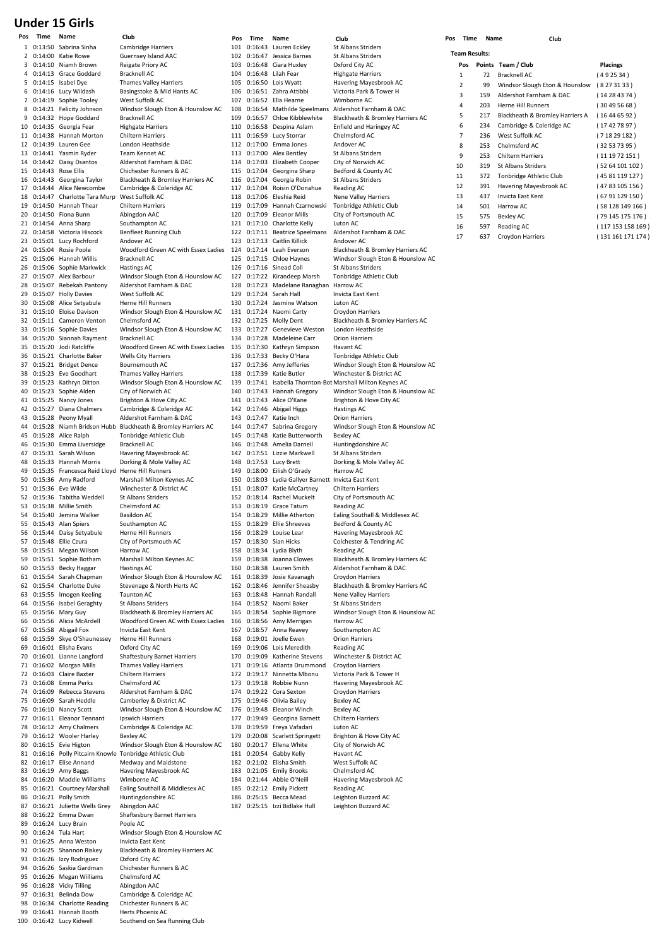# **Under 15 Girls**

| Pos | Time | Name                                                   | Club                                                            | Pos        | Time    | Name                                                       | Club                                                              | Pos | Time                 | Name | Club                      |
|-----|------|--------------------------------------------------------|-----------------------------------------------------------------|------------|---------|------------------------------------------------------------|-------------------------------------------------------------------|-----|----------------------|------|---------------------------|
|     |      | 1 0:13:50 Sabrina Sinha                                | <b>Cambridge Harriers</b>                                       | 101        |         | 0:16:43 Lauren Eckley                                      | <b>St Albans Striders</b>                                         |     | <b>Team Results:</b> |      |                           |
|     |      | 2 0:14:00 Katie Rowe                                   | Guernsey Island AAC                                             |            |         | 102 0:16:47 Jessica Barnes                                 | St Albans Striders                                                |     |                      |      |                           |
|     |      | 3 0:14:10 Niamh Brown                                  | Reigate Priory AC                                               | 103        |         | 0:16:48 Ciara Huxley                                       | Oxford City AC                                                    |     | Pos                  |      | Points Team / Club        |
|     |      | 4 0:14:13 Grace Goddard                                | Bracknell AC                                                    | 104        |         | 0:16:48 Lilah Fear                                         | <b>Highgate Harriers</b>                                          |     | 1                    | 72   | <b>Bracknell AC</b>       |
|     |      | 5 0:14:15 Isabel Dye                                   | <b>Thames Valley Harriers</b>                                   | 105        |         | 0:16:50 Lois Wyatt                                         | Havering Mayesbrook AC                                            |     | 2                    | 99   | Windsor Slough Eton &     |
|     |      | 6 0:14:16 Lucy Wildash                                 | Basingstoke & Mid Hants AC<br>West Suffolk AC                   | 106        |         | 0:16:51 Zahra Attibbi<br>0:16:52 Ella Hearne               | Victoria Park & Tower H                                           |     | 3                    | 159  | Aldershot Farnham & D     |
|     |      | 7 0:14:19 Sophie Tooley<br>8 0:14:21 Felicity Johnson  | Windsor Slough Eton & Hounslow AC                               | 107<br>108 |         |                                                            | Wimborne AC<br>0:16:54 Mathilde Speelmans Aldershot Farnham & DAC |     | 4                    | 203  | <b>Herne Hill Runners</b> |
|     |      | 9 0:14:32 Hope Goddard                                 | <b>Bracknell AC</b>                                             | 109        |         | 0:16:57 Chloe Kibblewhite                                  | Blackheath & Bromley Harriers AC                                  |     | 5                    | 217  | Blackheath & Bromley      |
|     |      | 10 0:14:35 Georgia Fear                                | <b>Highgate Harriers</b>                                        | 110        |         | 0:16:58 Despina Aslam                                      | Enfield and Haringey AC                                           |     | 6                    | 234  | Cambridge & Coleridge     |
|     |      | 11 0:14:38 Hannah Morton                               | Chiltern Harriers                                               |            |         | 111 0:16:59 Lucy Storrar                                   | Chelmsford AC                                                     |     | 7                    | 236  | West Suffolk AC           |
|     |      | 12 0:14:39 Lauren Gee                                  | London Heathside                                                |            |         | 112 0:17:00 Emma Jones                                     | Andover AC                                                        |     | 8                    | 253  | Chelmsford AC             |
|     |      | 13 0:14:41 Yasmin Ryder                                | Team Kennet AC                                                  | 113        |         | 0:17:00 Alex Bentley                                       | St Albans Striders                                                |     | 9                    | 253  | <b>Chiltern Harriers</b>  |
|     |      | 14 0:14:42 Daisy Dsantos                               | Aldershot Farnham & DAC                                         |            |         | 114 0:17:03 Elizabeth Cooper                               | City of Norwich AC                                                |     |                      |      |                           |
|     |      | 15 0:14:43 Rose Ellis                                  | Chichester Runners & AC                                         |            |         | 115 0:17:04 Georgina Sharp                                 | Bedford & County AC                                               |     | 10                   | 319  | St Albans Striders        |
|     |      | 16 0:14:43 Georgina Taylor                             | Blackheath & Bromley Harriers AC                                |            |         | 116 0:17:04 Georgia Robin                                  | St Albans Striders                                                |     | 11                   | 372  | Tonbridge Athletic Club   |
|     |      | 17 0:14:44 Alice Newcombe                              | Cambridge & Coleridge AC                                        | 117        | 0:17:04 | Roisin O'Donahue                                           | Reading AC                                                        |     | 12                   | 391  | Havering Mayesbrook       |
|     |      | 18 0:14:47 Charlotte Tara Murp                         | West Suffolk AC                                                 |            |         | 118 0:17:06 Eleshia Reid                                   | Nene Valley Harriers                                              |     | 13                   | 437  | Invicta East Kent         |
|     |      | 19 0:14:50 Hannah Thear                                | Chiltern Harriers                                               | 119        |         | 0:17:09 Hannah Czarnowski                                  | Tonbridge Athletic Club                                           |     | 14                   | 501  | Harrow AC                 |
|     |      | 20 0:14:50 Fiona Bunn                                  | Abingdon AAC                                                    | 120        |         | 0:17:09 Eleanor Mills                                      | City of Portsmouth AC                                             |     | 15                   | 575  | <b>Bexley AC</b>          |
|     |      | 21 0:14:54 Anna Sharp                                  | Southampton AC                                                  |            |         | 121 0:17:10 Charlotte Kelly                                | Luton AC                                                          |     | 16                   | 597  | Reading AC                |
|     |      | 22 0:14:58 Victoria Hiscock                            | Benfleet Running Club                                           |            |         | 122 0:17:11 Beatrice Speelmans                             | Aldershot Farnham & DAC                                           |     | 17                   | 637  | Croydon Harriers          |
|     |      | 23 0:15:01 Lucy Rochford                               | Andover AC                                                      | 123        |         | 0:17:13 Caitlin Killick                                    | Andover AC                                                        |     |                      |      |                           |
|     |      | 24 0:15:04 Rosie Poole                                 | Woodford Green AC with Essex Ladies 124                         |            |         | 0:17:14 Leah Everson                                       | Blackheath & Bromley Harriers AC                                  |     |                      |      |                           |
|     |      | 25 0:15:06 Hannah Willis                               | <b>Bracknell AC</b>                                             | 125        |         | 0:17:15 Chloe Haynes                                       | Windsor Slough Eton & Hounslow AC<br><b>St Albans Striders</b>    |     |                      |      |                           |
|     |      | 26 0:15:06 Sophie Markwick<br>27 0:15:07 Alex Barbour  | <b>Hastings AC</b>                                              | 127        |         | 126 0:17:16 Sinead Coll<br>0:17:22 Kirandeep Marsh         | Tonbridge Athletic Club                                           |     |                      |      |                           |
|     |      | 28 0:15:07 Rebekah Pantony                             | Windsor Slough Eton & Hounslow AC<br>Aldershot Farnham & DAC    | 128        |         | 0:17:23 Madelane Ranaghan Harrow AC                        |                                                                   |     |                      |      |                           |
|     |      | 29 0:15:07 Holly Davies                                | West Suffolk AC                                                 | 129        |         | 0:17:24 Sarah Hall                                         | Invicta East Kent                                                 |     |                      |      |                           |
|     |      | 30 0:15:08 Alice Setyabule                             | Herne Hill Runners                                              | 130        |         | 0:17:24 Jasmine Watson                                     | Luton AC                                                          |     |                      |      |                           |
|     |      | 31 0:15:10 Eloise Davison                              | Windsor Slough Eton & Hounslow AC                               |            |         | 131 0:17:24 Naomi Carty                                    | Croydon Harriers                                                  |     |                      |      |                           |
|     |      | 32 0:15:11 Cameron Venton                              | Chelmsford AC                                                   |            |         | 132 0:17:25 Molly Dent                                     | Blackheath & Bromley Harriers AC                                  |     |                      |      |                           |
|     |      | 33 0:15:16 Sophie Davies                               | Windsor Slough Eton & Hounslow AC                               |            |         | 133 0:17:27 Genevieve Weston                               | London Heathside                                                  |     |                      |      |                           |
|     |      | 34 0:15:20 Siannah Rayment                             | <b>Bracknell AC</b>                                             |            |         | 134 0:17:28 Madeleine Carr                                 | <b>Orion Harriers</b>                                             |     |                      |      |                           |
|     |      | 35 0:15:20 Jodi Ratcliffe                              | Woodford Green AC with Essex Ladies 135                         |            |         | 0:17:30 Kathryn Simpson                                    | Havant AC                                                         |     |                      |      |                           |
|     |      | 36 0:15:21 Charlotte Baker                             | Wells City Harriers                                             | 136        |         | 0:17:33 Becky O'Hara                                       | Tonbridge Athletic Club                                           |     |                      |      |                           |
|     |      | 37 0:15:21 Bridget Dence                               | Bournemouth AC                                                  | 137        |         | 0:17:36 Amy Jefferies                                      | Windsor Slough Eton & Hounslow AC                                 |     |                      |      |                           |
|     |      | 38 0:15:23 Eve Goodhart                                | <b>Thames Valley Harriers</b>                                   | 138        |         | 0:17:39 Katie Butler                                       | Winchester & District AC                                          |     |                      |      |                           |
|     |      | 39 0:15:23 Kathryn Ditton                              | Windsor Slough Eton & Hounslow AC                               | 139        |         |                                                            | 0:17:41 Isabella Thornton-Bot Marshall Milton Keynes AC           |     |                      |      |                           |
|     |      | 40 0:15:23 Sophie Alden                                | City of Norwich AC                                              | 140        |         | 0:17:43 Hannah Gregory                                     | Windsor Slough Eton & Hounslow AC                                 |     |                      |      |                           |
|     |      | 41 0:15:25 Nancy Jones                                 | Brighton & Hove City AC                                         |            |         | 141 0:17:43 Alice O'Kane                                   | Brighton & Hove City AC                                           |     |                      |      |                           |
|     |      | 42 0:15:27 Diana Chalmers                              | Cambridge & Coleridge AC                                        |            |         | 142 0:17:46 Abigail Higgs                                  | Hastings AC                                                       |     |                      |      |                           |
|     |      | 43 0:15:28 Peony Myall                                 | Aldershot Farnham & DAC                                         | 143        |         | 0:17:47 Katie Inch                                         | <b>Orion Harriers</b>                                             |     |                      |      |                           |
|     |      |                                                        | 44 0:15:28 Niamh Bridson Hubb Blackheath & Bromley Harriers AC  |            |         | 144 0:17:47 Sabrina Gregory                                | Windsor Slough Eton & Hounslow AC                                 |     |                      |      |                           |
|     |      | 45 0:15:28 Alice Ralph                                 | Tonbridge Athletic Club                                         | 145        |         | 0:17:48 Katie Butterworth                                  | <b>Bexley AC</b>                                                  |     |                      |      |                           |
|     |      | 46 0:15:30 Emma Liversidge<br>47 0:15:31 Sarah Wilson  | Bracknell AC<br>Havering Mayesbrook AC                          | 146        |         | 0:17:48 Amelia Darnell<br>147 0:17:51 Lizzie Markwell      | Huntingdonshire AC<br>St Albans Striders                          |     |                      |      |                           |
|     |      | 48 0:15:33 Hannah Morris                               | Dorking & Mole Valley AC                                        | 148        |         | 0:17:53 Lucy Brett                                         | Dorking & Mole Valley AC                                          |     |                      |      |                           |
|     |      | 49 0:15:35 Francesca Reid Lloyd Herne Hill Runners     |                                                                 | 149        |         | 0:18:00 Eilish O'Grady                                     | Harrow AC                                                         |     |                      |      |                           |
|     |      | 50 0:15:36 Amy Radford                                 | Marshall Milton Keynes AC                                       | 150        |         | 0:18:03 Lydia Gallyer Barnett Invicta East Kent            |                                                                   |     |                      |      |                           |
|     |      | 51 0:15:36 Eve Wilde                                   | Winchester & District AC                                        |            |         | 151 0:18:07 Katie McCartney                                | <b>Chiltern Harriers</b>                                          |     |                      |      |                           |
|     |      | 52 0:15:36 Tabitha Weddell                             | St Albans Striders                                              |            |         | 152 0:18:14 Rachel Muckelt                                 | City of Portsmouth AC                                             |     |                      |      |                           |
|     |      | 53 0:15:38 Millie Smith                                | Chelmsford AC                                                   |            |         | 153 0:18:19 Grace Tatum                                    | Reading AC                                                        |     |                      |      |                           |
|     |      | 54 0:15:40 Jemina Walker                               | <b>Basildon AC</b>                                              |            |         | 154 0:18:29 Millie Atherton                                | Ealing Southall & Middlesex AC                                    |     |                      |      |                           |
|     |      | 55 0:15:43 Alan Spiers                                 | Southampton AC                                                  | 155        |         | 0:18:29 Ellie Shreeves                                     | Bedford & County AC                                               |     |                      |      |                           |
|     |      | 56 0:15:44 Daisy Setyabule                             | <b>Herne Hill Runners</b>                                       |            |         | 156 0:18:29 Louise Lear                                    | Havering Mayesbrook AC                                            |     |                      |      |                           |
| 57  |      | 0:15:48 Ellie Czura                                    | City of Portsmouth AC                                           | 157        |         | 0:18:30 Sian Hicks                                         | Colchester & Tendring AC                                          |     |                      |      |                           |
|     |      | 58 0:15:51 Megan Wilson                                | Harrow AC                                                       |            |         | 158 0:18:34 Lydia Blyth                                    | Reading AC                                                        |     |                      |      |                           |
|     |      | 59 0:15:51 Sophie Botham                               | Marshall Milton Keynes AC                                       | 159        |         | 0:18:38 Joanna Clowes                                      | Blackheath & Bromley Harriers AC                                  |     |                      |      |                           |
|     |      | 60 0:15:53 Becky Haggar                                | <b>Hastings AC</b>                                              | 160        |         | 0:18:38 Lauren Smith                                       | Aldershot Farnham & DAC                                           |     |                      |      |                           |
|     |      | 61 0:15:54 Sarah Chapman                               | Windsor Slough Eton & Hounslow AC<br>Stevenage & North Herts AC | 161        |         | 0:18:39 Josie Kavanagh                                     | Croydon Harriers                                                  |     |                      |      |                           |
|     |      | 62 0:15:54 Charlotte Duke<br>63 0:15:55 Imogen Keeling | <b>Taunton AC</b>                                               |            |         | 162 0:18:46 Jennifer Sheasby<br>163 0:18:48 Hannah Randall | Blackheath & Bromley Harriers AC<br><b>Nene Valley Harriers</b>   |     |                      |      |                           |
|     |      | 64 0:15:56 Isabel Geraghty                             | St Albans Striders                                              |            |         | 164 0:18:52 Naomi Baker                                    | St Albans Striders                                                |     |                      |      |                           |
|     |      | 65 0:15:56 Mary Guy                                    | Blackheath & Bromley Harriers AC                                | 165        |         | 0:18:54 Sophie Bigmore                                     | Windsor Slough Eton & Hounslow AC                                 |     |                      |      |                           |
|     |      | 66 0:15:56 Alicia McArdell                             | Woodford Green AC with Essex Ladies 166                         |            |         | 0:18:56 Amy Merrigan                                       | Harrow AC                                                         |     |                      |      |                           |
|     |      | 67 0:15:58 Abigail Fox                                 | Invicta East Kent                                               |            |         | 167 0:18:57 Anna Reavey                                    | Southampton AC                                                    |     |                      |      |                           |
|     |      | 68 0:15:59 Skye O'Shaunessey                           | Herne Hill Runners                                              |            |         | 168 0:19:01 Joelle Ewen                                    | <b>Orion Harriers</b>                                             |     |                      |      |                           |
|     |      | 69 0:16:01 Elisha Evans                                | Oxford City AC                                                  | 169        |         | 0:19:06 Lois Meredith                                      | Reading AC                                                        |     |                      |      |                           |
|     |      | 70 0:16:01 Lianne Langford                             | Shaftesbury Barnet Harriers                                     | 170        |         | 0:19:09 Katherine Stevens                                  | Winchester & District AC                                          |     |                      |      |                           |
|     |      | 71 0:16:02 Morgan Mills                                | <b>Thames Valley Harriers</b>                                   |            |         | 171 0:19:16 Atlanta Drummond                               | Croydon Harriers                                                  |     |                      |      |                           |
|     |      | 72 0:16:03 Claire Baxter                               | Chiltern Harriers                                               | 172        |         | 0:19:17 Ninnetta Mbonu                                     | Victoria Park & Tower H                                           |     |                      |      |                           |
|     |      | 73 0:16:08 Emma Perks                                  | Chelmsford AC                                                   |            |         | 173 0:19:18 Robbie Nunn                                    | Havering Mayesbrook AC                                            |     |                      |      |                           |
|     |      | 74 0:16:09 Rebecca Stevens                             | Aldershot Farnham & DAC                                         | 175        |         | 174 0:19:22 Cora Sexton                                    | Croydon Harriers                                                  |     |                      |      |                           |
|     |      | 75 0:16:09 Sarah Heddle<br>76 0:16:10 Nancy Scott      | Camberley & District AC<br>Windsor Slough Eton & Hounslow AC    | 176        |         | 0:19:46 Olivia Bailey<br>0:19:48 Eleanor Winch             | <b>Bexley AC</b><br><b>Bexley AC</b>                              |     |                      |      |                           |
|     |      | 77 0:16:11 Eleanor Tennant                             | Ipswich Harriers                                                |            |         | 177 0:19:49 Georgina Barnett                               | <b>Chiltern Harriers</b>                                          |     |                      |      |                           |
|     |      | 78 0:16:12 Amy Chalmers                                | Cambridge & Coleridge AC                                        | 178        |         | 0:19:59 Freya Vafadari                                     | Luton AC                                                          |     |                      |      |                           |
|     |      | 79 0:16:12 Wooler Harley                               | <b>Bexley AC</b>                                                | 179        |         | 0:20:08 Scarlett Springett                                 | Brighton & Hove City AC                                           |     |                      |      |                           |
|     |      | 80 0:16:15 Evie Higton                                 | Windsor Slough Eton & Hounslow AC                               | 180        |         | 0:20:17 Ellena White                                       | City of Norwich AC                                                |     |                      |      |                           |
|     |      |                                                        | 81 0:16:16 Polly Pitcairn Knowle Tonbridge Athletic Club        |            |         | 181 0:20:54 Gabby Kelly                                    | Havant AC                                                         |     |                      |      |                           |
|     |      | 82 0:16:17 Elise Annand                                | Medway and Maidstone                                            |            |         | 182 0:21:02 Elisha Smith                                   | West Suffolk AC                                                   |     |                      |      |                           |
|     |      | 83 0:16:19 Amy Baggs                                   | Havering Mayesbrook AC                                          |            |         | 183 0:21:05 Emily Brooks                                   | Chelmsford AC                                                     |     |                      |      |                           |
|     |      | 84 0:16:20 Maddie Williams                             | Wimborne AC                                                     |            |         | 184 0:21:44 Abbie O'Neill                                  | Havering Mayesbrook AC                                            |     |                      |      |                           |
|     |      | 85 0:16:21 Courtney Marshall                           | Ealing Southall & Middlesex AC                                  | 185        |         | 0:22:12 Emily Pickett                                      | Reading AC                                                        |     |                      |      |                           |
|     |      | 86 0:16:21 Polly Smith                                 | Huntingdonshire AC                                              |            |         | 186 0:25:15 Becca Mead                                     | Leighton Buzzard AC                                               |     |                      |      |                           |
|     |      | 87 0:16:21 Juliette Wells Grey                         | Abingdon AAC                                                    |            |         | 187 0:25:15 Izzi Bidlake Hull                              | Leighton Buzzard AC                                               |     |                      |      |                           |
|     |      | 88 0:16:22 Emma Dwan                                   | Shaftesbury Barnet Harriers                                     |            |         |                                                            |                                                                   |     |                      |      |                           |
|     |      | 89 0:16:24 Lucy Brain                                  | Poole AC                                                        |            |         |                                                            |                                                                   |     |                      |      |                           |
|     |      | 90 0:16:24 Tula Hart                                   | Windsor Slough Eton & Hounslow AC                               |            |         |                                                            |                                                                   |     |                      |      |                           |
|     |      | 91 0:16:25 Anna Weston                                 | Invicta East Kent                                               |            |         |                                                            |                                                                   |     |                      |      |                           |
|     |      | 92 0:16:25 Shannon Riskey<br>93 0:16:26 Izzy Rodriguez | Blackheath & Bromley Harriers AC<br>Oxford City AC              |            |         |                                                            |                                                                   |     |                      |      |                           |
|     |      | 94 0:16:26 Saskia Gardman                              | Chichester Runners & AC                                         |            |         |                                                            |                                                                   |     |                      |      |                           |
|     |      | 95 0:16:26 Megan Williams                              | Chelmsford AC                                                   |            |         |                                                            |                                                                   |     |                      |      |                           |
|     |      | 96 0:16:28 Vicky Tilling                               | Abingdon AAC                                                    |            |         |                                                            |                                                                   |     |                      |      |                           |
|     |      | 97 0:16:31 Belinda Dow                                 | Cambridge & Coleridge AC                                        |            |         |                                                            |                                                                   |     |                      |      |                           |
|     |      | 98 0:16:34 Charlotte Reading                           | Chichester Runners & AC                                         |            |         |                                                            |                                                                   |     |                      |      |                           |
|     |      | 99 0:16:41 Hannah Booth                                | Herts Phoenix AC                                                |            |         |                                                            |                                                                   |     |                      |      |                           |
|     |      | 100 0:16:42 Lucy Kidwell                               | Southend on Sea Running Club                                    |            |         |                                                            |                                                                   |     |                      |      |                           |
|     |      |                                                        |                                                                 |            |         |                                                            |                                                                   |     |                      |      |                           |

| rs                     | 101        | 0:16:43                 | Laur         |
|------------------------|------------|-------------------------|--------------|
| AC                     | 102        | 0:16:47                 | Jess         |
|                        | 103        | 0:16:48                 | Ciar         |
|                        | 104        | 0:16:48                 | Lilal        |
| rriers                 |            | 105 0:16:50 Lois        |              |
| d Hants AC             | 106        | 0:16:51                 | Zahı         |
| ton & Hounslow AC      | 107<br>108 | 0:16:52<br>0:16:54 Mat  | Ella         |
|                        | 109        | 0:16:57 Chlo            |              |
|                        | 110        | 0:16:58                 | Des          |
|                        | 111        | 0:16:59                 | Lucy         |
| ì                      | 112        | 0:17:00 Emr             |              |
|                        | 113        | 0:17:00                 | Alex         |
| ከ & DAC                | 114        | 0:17:03 Eliza           |              |
| rs & AC                | 115        | 0:17:04                 | Geo          |
| nley Harriers AC       | 116        | 0:17:04                 | Geo          |
| ridge AC               | 117        | 0:17:04                 | Rois         |
|                        | 118        | 0:17:06 Eles            |              |
|                        | 119        | 0:17:09                 | Han          |
|                        | 120        | 0:17:09                 | Elea         |
|                        | 121        | 0:17:10                 | Cha          |
| Club                   | 122        | 0:17:11                 | Bea          |
| AC with Essex Ladies   | 123<br>124 | 0:17:13<br>0:17:14 Leal | Cait         |
|                        | 125        | 0:17:15 Chlo            |              |
|                        | 126        | 0:17:16                 | Sine         |
| ton & Hounslow AC      | 127        | 0:17:22 Kira            |              |
| n & DAC                | 128        | 0:17:23                 | Mac          |
|                        | 129        | 0:17:24                 | Sara         |
| S                      | 130        | 0:17:24                 | Jasn         |
| ton & Hounslow AC      | 131        | 0:17:24                 | Nao          |
|                        | 132        | 0:17:25                 | Mol          |
| ton & Hounslow AC      | 133        | 0:17:27                 | Gen          |
|                        | 134        | 0:17:28 Mac             |              |
| AC with Essex Ladies   | 135        | 0:17:30                 | Kath         |
| S                      | 136        | 0:17:33                 | Bec          |
|                        | 137        | $0:17:36$ Amy           |              |
| rriers                 | 138        | 0:17:39<br>0:17:41      | Kati<br>Isab |
| ton & Hounslow AC<br>ς | 139<br>140 | 0:17:43                 | Han          |
| City AC                | 141        | 0:17:43                 | Alic         |
| ridge AC               | 142        | 0:17:46                 | Abig         |
| ከ & DAC                | 143        | 0:17:47                 | Kati         |
| nley Harriers AC       | 144        | 0:17:47                 | Sab          |
| c Club                 | 145        | 0:17:48                 | Kati         |
|                        | 146        | 0:17:48                 | Ame          |
| ook AC                 | 147        | 0:17:51                 | Lizzi        |
| alley AC               | 148        | 0:17:53                 | Lucy         |
| S                      | 149        | 0:18:00                 | Eilis        |
| eynes AC               | 150        | 0:18:03 Lydi            |              |
| rict AC                | 151        | 0:18:07                 | Kati         |
|                        | 152        | 0:18:14                 | Racl         |
|                        | 153<br>154 | 0:18:19<br>0:18:29      | Gra<br>Mill  |
|                        | 155        | 0:18:29                 | Ellie        |
| S                      |            | 156 0:18:29 Loui        |              |
| h AC                   | 157        | 0:18:30 Sian            |              |
|                        | 158        | 0:18:34                 | Lydi         |
| eynes AC               | 159        | 0:18:38                 | Joar         |
|                        | 160        | 0:18:38                 | Laur         |
| ton & Hounslow AC      | 161        | 0:18:39                 | Josi         |
| h Herts AC             | 162        | 0:18:46                 | Jenr         |
|                        | 163        | 0:18:48                 | Han          |
|                        | 164        | 0:18:52                 | Nao          |
| nley Harriers AC       | 165        | 0:18:54                 | Sop          |
| AC with Essex Ladies   | 166        | 0:18:56                 | Amy          |
|                        | 167<br>168 | 0:18:57                 | Ann          |
| S                      | 169        | 0:19:01<br>0:19:06      | Joel<br>Lois |
| et Harriers            | 170        | 0:19:09                 | Kath         |
| rriers                 | 171        | 0:19:16                 | Atla         |
|                        | 172        | 0:19:17                 | Nin          |
|                        |            | 0:19:18                 | Rob          |
| ከ & DAC                | 173        |                         |              |
| rict AC                | 174        | 0:19:22                 | Cora         |
|                        | 175        | 0:19:46                 | Oliv         |
| ton & Hounslow AC      | 176        | 0:19:48 Elea            |              |
|                        | 177        | 0:19:49                 | Geo          |
| ridge AC               | 178        | 0:19:59                 | Frey         |
|                        | 179        | 0:20:08                 | Scar         |
| ton & Hounslow AC      | 180        | 0:20:17                 | Eller        |
| c Club                 | 181        | 0:20:54                 | Gab          |
| dstone                 | 182        | 0:21:02                 | Elish        |
| ook AC                 | 183        | 0:21:05                 | Emi          |
| Middlesex AC           | 184<br>185 | 0:21:44<br>0:22:12      | Abb<br>Emi   |
| ۹C                     | 186        | 0:25:15                 | Bec          |
|                        | 187        | 0:25:15                 | Izzi         |
| et Harriers            |            |                         |              |
|                        |            |                         |              |
| ton & Hounslow AC      |            |                         |              |
|                        |            |                         |              |
| nley Harriers AC       |            |                         |              |

# Windsor Slough Eton & Hounslow AC Windsor Slough Eton & Hounslow AC<br>Bexley AC Windsor Slough Eton & Hounslow AC<br>Harrow AC **Team Results:** 17 637 Croydon Harriers (131 161 171 174 )

| Time<br><b>Name</b> |     | Club                            |                   |
|---------------------|-----|---------------------------------|-------------------|
| eam Results:        |     |                                 |                   |
| Pos                 |     | Points Team / Club              | <b>Placings</b>   |
| 1                   | 72  | Bracknell AC                    | (492534)          |
| $\overline{2}$      | 99  | Windsor Slough Eton & Hounslow  | (8273133)         |
| 3                   | 159 | Aldershot Farnham & DAC         | (14284374)        |
| 4                   | 203 | Herne Hill Runners              | (30495668)        |
| 5                   | 217 | Blackheath & Bromley Harriers A | (16446592)        |
| 6                   | 234 | Cambridge & Coleridge AC        | (17427897)        |
| $\overline{7}$      | 236 | West Suffolk AC                 | (71829182)        |
| 8                   | 253 | Chelmsford AC                   | (32537395)        |
| 9                   | 253 | <b>Chiltern Harriers</b>        | (111972151)       |
| 10                  | 319 | St Albans Striders              | (5264101102)      |
| 11                  | 372 | Tonbridge Athletic Club         | (45 81 119 127)   |
| 12                  | 391 | Havering Mayesbrook AC          | (4783 105 156)    |
| 13                  | 437 | <b>Invicta Fast Kent</b>        | (6791129150)      |
| 14                  | 501 | Harrow AC                       | (58128149166)     |
| 15                  | 575 | <b>Bexley AC</b>                | (79 145 175 176)  |
| 16                  | 597 | Reading AC                      | (117 153 158 169) |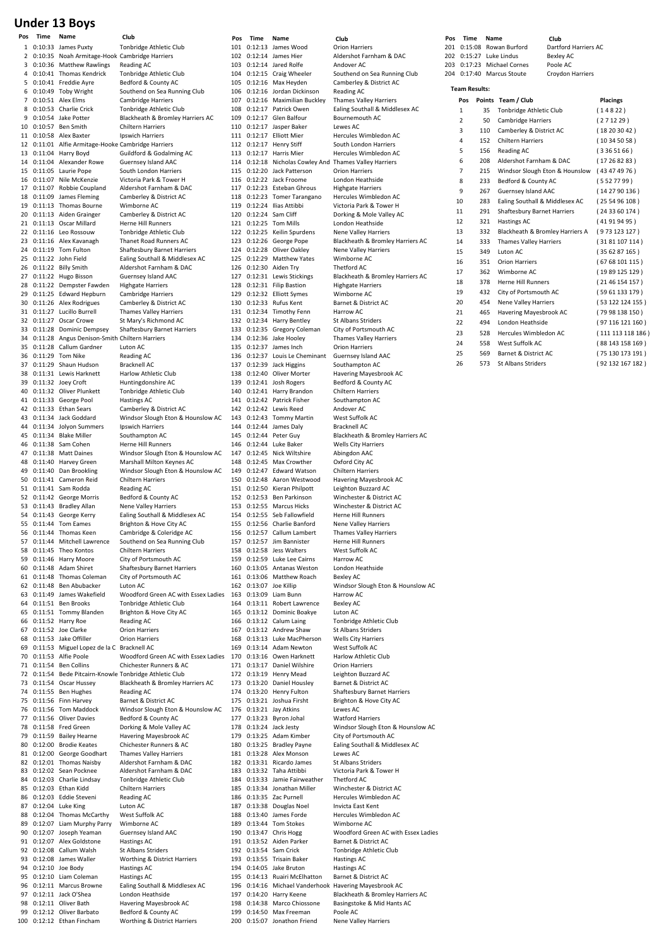# **Under 13 Boys**

| 1        | 0:10:33 James Puxty                                                     | Tonbridge Athletic Club                                   |
|----------|-------------------------------------------------------------------------|-----------------------------------------------------------|
| 2        | 0:10:35 Noah Armitage-Hook Cambridge Harriers                           |                                                           |
| 3        | 0:10:36 Matthew Rawlings                                                | Reading AC                                                |
| 4        | 0:10:41 Thomas Kendrick                                                 | Tonbridge Athletic Club                                   |
| 5        | 0:10:41 Freddie Ayre                                                    | Bedford & County AC                                       |
| 6<br>7   | 0:10:49 Toby Wright<br>0:10:51 Alex Elms                                | Southend on Sea Running Club                              |
| 8        | 0:10:53 Charlie Crick                                                   | Cambridge Harriers<br>Tonbridge Athletic Club             |
| 9        | 0:10:54 Jake Potter                                                     | Blackheath & Bromley Harriers AC                          |
| 10       | 0:10:57 Ben Smith                                                       | <b>Chiltern Harriers</b>                                  |
| 11       | 0:10:58 Alex Baxter                                                     | Ipswich Harriers                                          |
| 12       | 0:11:01 Alfie Armitage-Hooke Cambridge Harriers                         |                                                           |
| 13       | 0:11:04 Harry Boyd                                                      | Guildford & Godalming AC                                  |
| 14       | 0:11:04 Alexander Rowe                                                  | Guernsey Island AAC                                       |
| 15       | 0:11:05 Laurie Pope                                                     | South London Harriers                                     |
| 16       | 0:11:07 Nile McKenzie                                                   | Victoria Park & Tower H                                   |
| 17       | 0:11:07 Robbie Coupland                                                 | Aldershot Farnham & DAC                                   |
| 18       | 0:11:09 James Fleming                                                   | Camberley & District AC                                   |
| 19       | 0:11:13 Thomas Bourne                                                   | Wimborne AC                                               |
| 20       | 0:11:13 Aiden Grainger                                                  | Camberley & District AC                                   |
| 21<br>22 | 0:11:13 Oscar Millard<br>0:11:16 Leo Rossouw                            | Herne Hill Runners<br>Tonbridge Athletic Club             |
| 23       | 0:11:16 Alex Kavanagh                                                   | Thanet Road Runners AC                                    |
| 24       | 0:11:19 Tom Fulton                                                      | Shaftesbury Barnet Harriers                               |
| 25       | 0:11:22 John Field                                                      | Ealing Southall & Middlesex AC                            |
| 26       | 0:11:22 Billy Smith                                                     | Aldershot Farnham & DAC                                   |
| 27       | 0:11:22 Hugo Bisson                                                     | Guernsey Island AAC                                       |
| 28       | 0:11:22 Dempster Fawden                                                 | <b>Highgate Harriers</b>                                  |
| 29       | 0:11:25 Edward Hepburn                                                  | Cambridge Harriers                                        |
| 30       | 0:11:26 Alex Rodrigues                                                  | Camberley & District AC                                   |
| 31       | 0:11:27 Lucillo Burrell                                                 | <b>Thames Valley Harriers</b>                             |
| 32       | 0:11:27 Oscar Crowe                                                     | St Mary's Richmond AC                                     |
| 33       | 0:11:28 Dominic Dempsey                                                 | Shaftesbury Barnet Harriers                               |
| 34<br>35 | 0:11:28 Angus Denison-Smith Chiltern Harriers<br>0:11:28 Callum Gardner | Luton AC                                                  |
| 36       | 0:11:29 Tom Nike                                                        | <b>Reading AC</b>                                         |
| 37       | 0:11:29 Shaun Hudson                                                    | <b>Bracknell AC</b>                                       |
| 38       | 0:11:31 Lewis Harknett                                                  | Harlow Athletic Club                                      |
| 39       | 0:11:32 Joey Croft                                                      | Huntingdonshire AC                                        |
| 40       | 0:11:32 Oliver Plunkett                                                 | Tonbridge Athletic Club                                   |
| 41       | 0:11:33 George Pool                                                     | <b>Hastings AC</b>                                        |
| 42       | 0:11:33 Ethan Sears                                                     | Camberley & District AC                                   |
| 43       | 0:11:34 Jack Goddard                                                    | Windsor Slough Eton & Hounslow AC                         |
| 44<br>45 | 0:11:34 Jolyon Summers<br>0:11:34 Blake Miller                          | <b>Ipswich Harriers</b><br>Southampton AC                 |
| 46       | 0:11:38 Sam Cohen                                                       | Herne Hill Runners                                        |
| 47       | 0:11:38 Matt Daines                                                     | Windsor Slough Eton & Hounslow AC                         |
| 48       | 0:11:40 Harvey Green                                                    | Marshall Milton Keynes AC                                 |
| 49       | 0:11:40 Dan Brookling                                                   | Windsor Slough Eton & Hounslow AC                         |
| 50       | 0:11:41 Cameron Reid                                                    | Chiltern Harriers                                         |
|          |                                                                         |                                                           |
| 51       | 0:11:41 Sam Rodda                                                       | <b>Reading AC</b>                                         |
| 52       | 0:11:42 George Morris                                                   | Bedford & County AC                                       |
| 53       | 0:11:43 Bradley Allan                                                   | <b>Nene Valley Harriers</b>                               |
| 54<br>55 | 0:11:43 George Kerry<br>0:11:44 Tom Eames                               | Ealing Southall & Middlesex AC<br>Brighton & Hove City AC |
| 56       | 0:11:44 Thomas Keen                                                     | Cambridge & Coleridge AC                                  |
| 57       | 0:11:44 Mitchell Lawrence                                               | Southend on Sea Running Club                              |
|          | 58 0:11:45 Theo Kontos                                                  | Chiltern Harriers                                         |
| 59       | 0:11:46 Harry Moore                                                     | City of Portsmouth AC                                     |
| 60       | 0:11:48 Adam Shiret                                                     | <b>Shaftesbury Barnet Harriers</b>                        |
| 61       | 0:11:48 Thomas Coleman                                                  | City of Portsmouth AC                                     |
| 62       | 0:11:48 Ben Abubacker                                                   | Luton AC                                                  |
| 63       | 0:11:49 James Wakefield                                                 | Woodford Green AC with Essex Ladie                        |
| 64<br>65 | 0:11:51 Ben Brooks<br>0:11:51 Tommy Blanden                             | Tonbridge Athletic Club<br>Brighton & Hove City AC        |
| 66       | 0:11:52 Harry Roe                                                       | <b>Reading AC</b>                                         |
| 67       | 0:11:52 Joe Clarke                                                      | Orion Harriers                                            |
| 68       | 0:11:53 Jake Offiller                                                   | <b>Orion Harriers</b>                                     |
| 69       | 0:11:53 Miguel Lopez de la C Bracknell AC                               |                                                           |
| 70       | 0:11:53 Alfie Poole                                                     | Woodford Green AC with Essex Ladie                        |
| 71       | 0:11:54 Ben Collins                                                     | Chichester Runners & AC                                   |
| 72<br>73 |                                                                         | 0:11:54 Bede Pitcairn-Knowle Tonbridge Athletic Club      |
| 74       | 0:11:54 Oscar Hussey<br>0:11:55 Ben Hughes                              | Blackheath & Bromley Harriers AC<br><b>Reading AC</b>     |
| 75       | 0:11:56 Finn Harvey                                                     | Barnet & District AC                                      |
| 76       | 0:11:56 Tom Maddock                                                     | Windsor Slough Eton & Hounslow AC                         |
| 77       | 0:11:56 Oliver Davies                                                   | Bedford & County AC                                       |
| 78       | 0:11:58 Fred Green                                                      | Dorking & Mole Valley AC                                  |
| 79       | 0:11:59 Bailey Hearne                                                   | Havering Mayesbrook AC                                    |
| 80       | 0:12:00 Brodie Keates                                                   | Chichester Runners & AC                                   |
| 81<br>82 | 0:12:00 George Goodhart                                                 | <b>Thames Valley Harriers</b>                             |
| 83       | 0:12:01 Thomas Naisby<br>0:12:02 Sean Pocknee                           | Aldershot Farnham & DAC<br>Aldershot Farnham & DAC        |
| 84       | 0:12:03 Charlie Lindsay                                                 | Tonbridge Athletic Club                                   |
| 85       | 0:12:03 Ethan Kidd                                                      | Chiltern Harriers                                         |
| 86       | 0:12:03 Eddie Steveni                                                   | Reading AC                                                |
| 87       | 0:12:04 Luke King                                                       | Luton AC                                                  |
| 88       | 0:12:04 Thomas McCarthy                                                 | West Suffolk AC                                           |
| 89<br>90 | 0:12:07 Liam Murphy Parry<br>0:12:07 Joseph Yeaman                      | Wimborne AC                                               |
| 91       | 0:12:07 Alex Goldstone                                                  | Guernsey Island AAC<br><b>Hastings AC</b>                 |
| 92       | 0:12:08 Callum Walsh                                                    | St Albans Striders                                        |
| 93       | 0:12:08 James Waller                                                    | Worthing & District Harriers                              |
| 94       | 0:12:10 Joe Body                                                        | <b>Hastings AC</b>                                        |
| 95       | 0:12:10 Liam Coleman                                                    | <b>Hastings AC</b>                                        |
| 96       | 0:12:11 Marcus Browne                                                   | Ealing Southall & Middlesex AC                            |
| 97<br>98 | 0:12:11 Jack O'Shea<br>0:12:11 Oliver Bath                              | London Heathside                                          |
| 99       | 0:12:12 Oliver Barbato                                                  | Havering Mayesbrook AC<br>Bedford & County AC             |
| 100      | 0:12:12 Ethan Fincham                                                   | Worthing & District Harriers                              |

|   | 101 | 0:12:13 | James Wood                 | <b>Orion Harriers</b>                            |
|---|-----|---------|----------------------------|--------------------------------------------------|
|   | 102 |         | 0:12:14 James Hier         | Aldershot Farnham & D/                           |
|   | 103 |         | 0:12:14 Jared Rolfe        | Andover AC                                       |
|   | 104 |         | 0:12:15 Craig Wheeler      | Southend on Sea Runnir                           |
|   | 105 |         | 0:12:16 Max Heyden         | Camberley & District AC                          |
|   | 106 |         | 0:12:16 Jordan Dickinson   | Reading AC                                       |
|   | 107 |         | 0:12:16 Maximilian Buckley | <b>Thames Valley Harriers</b>                    |
|   | 108 |         | 0:12:17 Patrick Owen       | Ealing Southall & Middle                         |
|   | 109 | 0:12:17 | Glen Balfour               | Bournemouth AC                                   |
|   | 110 | 0:12:17 | Jasper Baker               | Lewes AC                                         |
|   | 111 | 0:12:17 | <b>Elliott Mier</b>        | Hercules Wimbledon AC                            |
|   | 112 | 0:12:17 | <b>Henry Stiff</b>         | South London Harriers                            |
|   | 113 |         | 0:12:17 Harris Mier        | Hercules Wimbledon AC                            |
|   | 114 | 0:12:18 |                            | Nicholas Cowley And Thames Valley Harriers       |
|   | 115 |         | 0:12:20 Jack Patterson     | <b>Orion Harriers</b>                            |
|   | 116 |         | 0:12:22 Jack Froome        | London Heathside                                 |
|   | 117 |         | 0:12:23 Esteban Ghrous     | <b>Highgate Harriers</b>                         |
|   | 118 |         | 0:12:23 Tomer Tarangano    | Hercules Wimbledon AC                            |
|   | 119 |         | 0:12:24 Ilias Attibbi      | Victoria Park & Tower H                          |
|   | 120 | 0:12:24 | Sam Cliff                  | Dorking & Mole Valley A                          |
|   | 121 |         | 0:12:25 Tom Mills          | London Heathside                                 |
|   | 122 | 0:12:25 | Keilin Spurdens            | Nene Valley Harriers                             |
|   | 123 |         | 0:12:26 George Pope        | Blackheath & Bromley H                           |
|   | 124 |         | 0:12:28 Oliver Oakley      | Nene Valley Harriers                             |
|   | 125 | 0:12:29 | <b>Matthew Yates</b>       | Wimborne AC                                      |
|   | 126 |         | 0:12:30 Aiden Try          | Thetford AC                                      |
|   | 127 | 0:12:31 | Lewis Stickings            | Blackheath & Bromley H                           |
|   | 128 | 0:12:31 | <b>Filip Bastion</b>       | <b>Highgate Harriers</b>                         |
|   | 129 |         | 0:12:32 Elliott Symes      | Wimborne AC                                      |
|   | 130 | 0:12:33 | <b>Rufus Kent</b>          | Barnet & District AC                             |
|   |     |         |                            | Harrow AC                                        |
|   | 131 |         | 0:12:34 Timothy Fenn       |                                                  |
|   | 132 |         | 0:12:34 Harry Bentley      | St Albans Striders                               |
|   | 133 | 0:12:35 | Gregory Coleman            | City of Portsmouth AC                            |
|   | 134 |         | 0:12:36 Jake Hooley        | <b>Thames Valley Harriers</b>                    |
|   | 135 | 0:12:37 | James Inch                 | <b>Orion Harriers</b>                            |
|   | 136 | 0:12:37 | Louis Le Cheminant         | Guernsey Island AAC                              |
|   | 137 | 0:12:39 | Jack Higgins               | Southampton AC                                   |
|   | 138 |         | 0:12:40 Oliver Morter      | Havering Mayesbrook A                            |
|   | 139 |         | 0:12:41 Josh Rogers        | Bedford & County AC                              |
|   | 140 | 0:12:41 | Harry Brandon              | <b>Chiltern Harriers</b>                         |
|   | 141 | 0:12:42 | Patrick Fisher             | Southampton AC                                   |
|   | 142 |         | 0:12:42 Lewis Reed         | Andover AC                                       |
|   | 143 | 0:12:43 | <b>Tommy Martin</b>        | West Suffolk AC                                  |
|   | 144 |         | 0:12:44 James Daly         | <b>Bracknell AC</b>                              |
|   | 145 |         | 0:12:44 Peter Guy          | Blackheath & Bromley H                           |
|   | 146 | 0:12:44 | Luke Baker                 | <b>Wells City Harriers</b>                       |
|   | 147 | 0:12:45 | Nick Wiltshire             | Abingdon AAC                                     |
|   | 148 | 0:12:45 | Max Crowther               | Oxford City AC                                   |
|   | 149 |         | 0:12:47 Edward Watson      | <b>Chiltern Harriers</b>                         |
|   | 150 |         | 0:12:48 Aaron Westwood     | Havering Mayesbrook A                            |
|   | 151 | 0:12:50 | Kieran Philpott            | Leighton Buzzard AC                              |
|   | 152 |         | 0:12:53 Ben Parkinson      | Winchester & District AO                         |
|   | 153 |         | 0:12:55 Marcus Hicks       | Winchester & District AO                         |
|   | 154 |         | 0:12:55 Seb Fallowfield    | Herne Hill Runners                               |
|   | 155 |         | 0:12:56 Charlie Banford    | <b>Nene Valley Harriers</b>                      |
|   | 156 |         | 0:12:57 Callum Lambert     | Thames Valley Harriers                           |
|   | 157 |         | 0:12:57 Jim Bannister      | Herne Hill Runners                               |
|   |     |         | 158 0:12:58 Jess Walters   | West Suffolk AC                                  |
|   | 159 |         | 0:12:59 Luke Lee Cairns    | Harrow AC                                        |
|   |     |         | 160 0:13:05 Antanas Weston | London Heathside                                 |
|   |     |         | 161 0:13:06 Matthew Roach  | <b>Bexley AC</b>                                 |
|   |     |         | 162 0:13:07 Joe Killip     | Windsor Slough Eton & I                          |
| S |     |         | 163 0:13:09 Liam Bunn      | Harrow AC                                        |
|   | 164 |         | 0:13:11 Robert Lawrence    | <b>Bexley AC</b>                                 |
|   |     |         | 165 0:13:12 Dominic Boakye | Luton AC                                         |
|   |     |         | 166 0:13:12 Calum Laing    | Tonbridge Athletic Club                          |
|   | 167 |         | 0:13:12 Andrew Shaw        | St Albans Striders                               |
|   | 168 |         | 0:13:13 Luke MacPherson    | <b>Wells City Harriers</b>                       |
|   |     |         | 169 0:13:14 Adam Newton    | West Suffolk AC                                  |
| S |     |         | 170 0:13:16 Owen Harknett  | Harlow Athletic Club                             |
|   | 171 |         | 0:13:17 Daniel Wilshire    | Orion Harriers                                   |
|   | 172 |         | 0:13:19 Henry Mead         | Leighton Buzzard AC                              |
|   | 173 |         | 0:13:20 Daniel Housley     | Barnet & District AC                             |
|   | 174 |         | 0:13:20 Henry Fulton       | Shaftesbury Barnet Harr                          |
|   | 175 |         | 0:13:21 Joshua Firsht      | Brighton & Hove City AC                          |
|   | 176 |         | 0:13:21 Jay Atkins         | Lewes AC                                         |
|   | 177 |         | 0:13:23 Byron Johal        | <b>Watford Harriers</b>                          |
|   | 178 |         | 0:13:24 Jack Jesty         | Windsor Slough Eton & I                          |
|   | 179 |         | 0:13:25 Adam Kimber        | City of Portsmouth AC                            |
|   | 180 |         | 0:13:25 Bradley Payne      | Ealing Southall & Middle                         |
|   | 181 |         | 0:13:28 Alex Monson        | Lewes AC                                         |
|   | 182 |         | 0:13:31 Ricardo James      | St Albans Striders                               |
|   | 183 |         | 0:13:32 Taha Attibbi       | Victoria Park & Tower H                          |
|   |     |         |                            |                                                  |
|   | 184 |         | 0:13:33 Jamie Fairweather  | Thetford AC                                      |
|   | 185 |         | 0:13:34 Jonathan Miller    | Winchester & District AO                         |
|   | 186 |         | 0:13:35 Zac Purnell        | Hercules Wimbledon AC                            |
|   | 187 |         | 0:13:38 Douglas Noel       | Invicta East Kent                                |
|   | 188 |         | 0:13:40 James Forde        | Hercules Wimbledon AC                            |
|   | 189 |         | 0:13:44 Tom Stokes         | Wimborne AC                                      |
|   | 190 |         | 0:13:47 Chris Hogg         | Woodford Green AC wit                            |
|   | 191 |         | 0:13:52 Aiden Parker       | Barnet & District AC                             |
|   | 192 |         | 0:13:54 Sam Crick          | Tonbridge Athletic Club                          |
|   |     |         | 0:13:55 Trisain Baker      | Hastings AC                                      |
|   | 193 |         |                            | <b>Hastings AC</b>                               |
|   | 194 |         | 0:14:05 Jake Bruton        |                                                  |
|   | 195 |         | 0:14:13 Ruairi McElhatton  | Barnet & District AC                             |
|   | 196 |         |                            | 0:14:16 Michael Vanderhook Havering Mayesbrook A |
|   | 197 |         | 0:14:20 Harry Keene        | Blackheath & Bromley H                           |
|   | 198 |         | 0:14:38 Marco Chiossone    | Basingstoke & Mid Hant                           |
|   | 199 |         | 0:14:50 Max Freeman        | Poole AC                                         |
|   | 200 |         | 0:15:07 Jonathon Friend    | Nene Valley Harriers                             |

**Pos Time Name Club Pos Time Name Club Pos Time Name Club** non<br>
111 Harriers ldershot Farnham & DAC ndover AC outhend on Sea Running Club eamene en een nammig<br>amberley & District AC eading AC **hames Valley Harriers** aling Southall & Middlesex AC anng soathan a l ewes AC 1111 - 12:11<br>|ercules Wimbledon AC hames Valley Harriers .<br>Irion Harriers ondon Heathside ighgate Harriers ercules Wimbledon AC endian<br>119 12:24:25:24:25:24:24:25:24:25:24 120 0:12:24 Sam Cliff Dorking & Mole Valley AC ondon Heathside **Iene Valley Harriers** lackheath & Bromley Harriers AC ene Valley Harriers wimborne AC netford AC Ilackheath & Bromley Harriers AC ighgate Harriers 129 0:12:32 Elliott Symes Wimborne AC arnet & District AC arrow AC : Albans Striders ity of Portsmouth AC 1134 131 0:13:11:36 11:12:12:13<br>hames Valley Harriers .<br>Irion Harriers uernsey Island AAC outhampton AC avering Mayesbrook AC 139 0:12:41 Josh Rogers Bedford & County AC n<br>140 Marriers outhampton AC ndover AC west Suffolk AC racknell AC 145 0:12:44 Peter Guy Blackheath & Bromley Harriers AC Vells City Harriers bingdon AAC ا:12:45 Maxford City AC .<br>hiltern Harriers avering Mayesbrook AC <sub>2</sub><br>151 buzzard AC Vinchester & District AC Vinchester & District AC erne Hill Runners ene Valley Harriers hames Valley Harriers erne Hill Runners 158 0:12:58 Jess Walters West Suffolk AC .csc sans.<br>larrow AC ondon Heathside exley AC 162 0:13:07 Joe Killip Windsor Slough Eton & Hounslow AC arrow AC exley AC .<br>uton AC onbridge Athletic Club : Albans Striders .<br>Vells City Harriers 169 0:13:14 Adam Newton West Suffolk AC arlow Athletic Club .<br>Irion Harriers eighton Buzzard AC 173 0:13:20 Daniel Housley Barnet & District AC haftesbury Barnet Harriers erighton & Hove City AC ewes AC -------<br>/atford Harriers Vindsor Slough Eton & Hounslow AC ity of Portsmouth AC aling Southall & Middlesex AC ewes AC **Albans Striders** e<br>1830 12:33:33:33:33:33:33:33:33 184 1941 1941<br>hetford AC Vinchester & District AC ercules Wimbledon AC n icta Fast Kent 111112 1884 11811<br>|ercules Wimbledon AC vimborne AC 190 0:13:47 Chris Hogg Woodford Green AC with Essex Ladies 1951 or<br>Tastings AC astings AC arnet & District AC avering Mayesbrook AC Iackheath & Bromley Harriers AC 198 0:14:38 Marco Chiossone Basingstoke & Mid Hants AC  $o$ ole AC ene Valley Harriers

| Pos<br>201 |                      | Time<br>Name<br>Rowan Burford<br>0:15:08 |                                    | Club<br>Dartford Harriers AC |                   |  |
|------------|----------------------|------------------------------------------|------------------------------------|------------------------------|-------------------|--|
| 202        | 0:15:27              |                                          | Luke Lindus                        | <b>Bexley AC</b>             |                   |  |
| 203        | 0:17:23              |                                          | <b>Michael Cornes</b>              | Poole AC                     |                   |  |
|            |                      |                                          | 204 0:17:40 Marcus Stoute          | Croydon Harriers             |                   |  |
|            | <b>Team Results:</b> |                                          |                                    |                              |                   |  |
|            | Pos                  |                                          | Points Team / Club                 |                              | <b>Placings</b>   |  |
|            | 1                    | 35                                       | Tonbridge Athletic Club            |                              | (14822)           |  |
|            | $\overline{2}$       | 50                                       | <b>Cambridge Harriers</b>          |                              | (271229)          |  |
|            | 3                    | 110                                      | Camberley & District AC            |                              | (18203042)        |  |
|            | 4                    | 152                                      | <b>Chiltern Harriers</b>           |                              | (10345058)        |  |
|            | 5                    | 156                                      | Reading AC                         |                              | (3365166)         |  |
|            | 6                    | 208                                      | Aldershot Farnham & DAC            |                              | (17268283)        |  |
|            | 7                    | 215                                      | Windsor Slough Eton & Hounslow     |                              | (43474976)        |  |
|            | 8                    | 233                                      | Bedford & County AC                |                              | (5527799)         |  |
|            | 9                    | 267                                      | Guernsey Island AAC                |                              | (142790136)       |  |
|            | 10                   | 283                                      | Ealing Southall & Middlesex AC     |                              | (255496108)       |  |
|            | 11                   | 291                                      | <b>Shaftesbury Barnet Harriers</b> |                              | (243360174)       |  |
|            | 12                   | 321                                      | Hastings AC                        |                              | (41919495)        |  |
|            | 13                   | 332                                      | Blackheath & Bromley Harriers A    |                              | (973123127)       |  |
|            | 14                   | 333                                      | <b>Thames Valley Harriers</b>      |                              | (3181107114)      |  |
|            | 15                   | 349                                      | Luton AC                           |                              | (356287165)       |  |
|            | 16                   | 351                                      | Orion Harriers                     |                              | (6768101115)      |  |
|            | 17                   | 362                                      | Wimborne AC                        |                              | (1989 125 129)    |  |
|            | 18                   | 378                                      | Herne Hill Runners                 |                              | (2146154157)      |  |
|            | 19                   | 432                                      | City of Portsmouth AC              |                              | (5961133179)      |  |
|            | 20                   | 454                                      | Nene Valley Harriers               |                              | (53 122 124 155)  |  |
|            | 21                   | 465                                      | Havering Mayesbrook AC             |                              | (79 98 138 150)   |  |
|            | 22                   | 494                                      | London Heathside                   |                              | (97116121160)     |  |
|            | 23                   | 528                                      | Hercules Wimbledon AC              |                              | (111 113 118 186) |  |
|            | 24                   | 558                                      | West Suffolk AC                    |                              | (88143158169)     |  |
|            | 25                   | 569                                      | Barnet & District AC               |                              | (75 130 173 191)  |  |
|            | 26                   | 573                                      | <b>St Albans Striders</b>          |                              | (92 132 167 182)  |  |